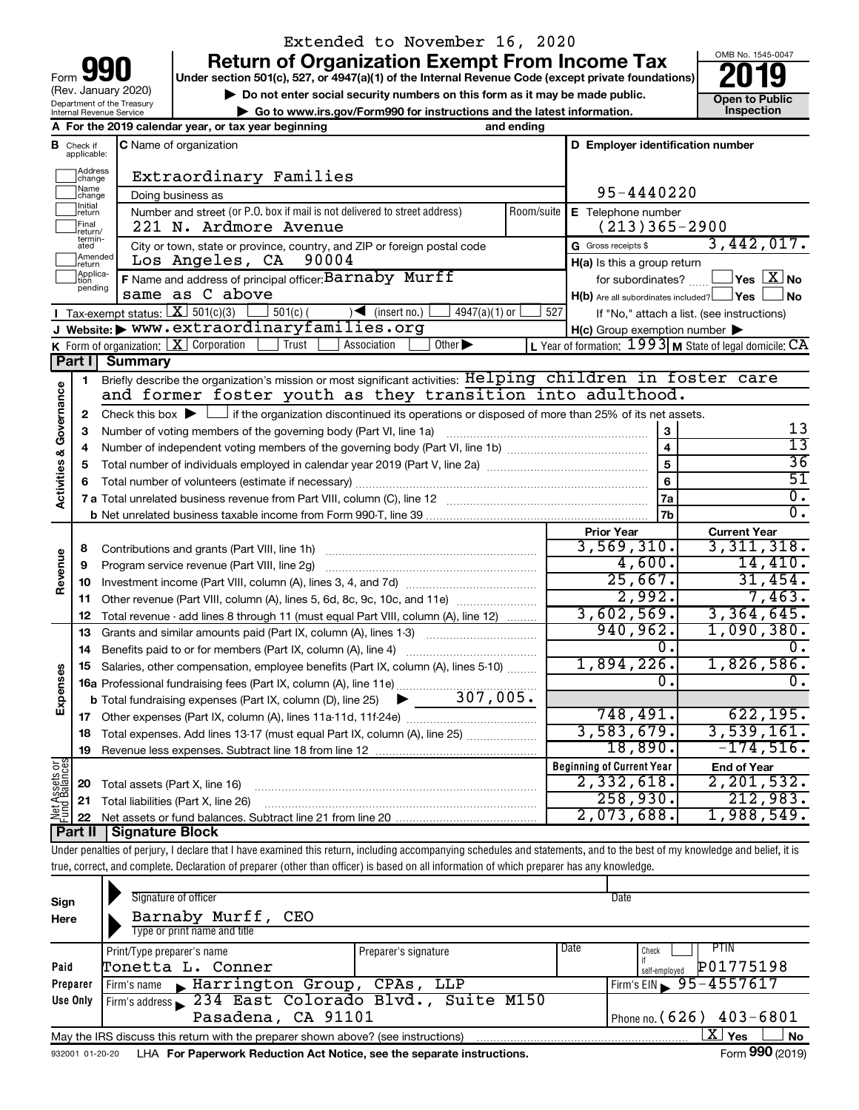| 90<br>Form                                             |
|--------------------------------------------------------|
| (Rev. January 2020)                                    |
| Department of the Treasury<br>Internal Revenue Service |

## Extended to November 16, 2020

**your Section 501(c), 527, or 4947(a)(1) of the Internal Revenue Code (except private foundations) 2019** 

▶ Do not enter social security numbers on this form as it may be made public. <br>
inspection and the latest information. **Dependent in the latest information** and the latest information. **| Go to www.irs.gov/Form990 for instructions and the latest information. Inspection**



|                                    |                                   | A For the 2019 calendar year, or tax year beginning                                                                                         | and ending |                                                     |                                                           |  |
|------------------------------------|-----------------------------------|---------------------------------------------------------------------------------------------------------------------------------------------|------------|-----------------------------------------------------|-----------------------------------------------------------|--|
| В                                  | Check if<br>applicable:           | <b>C</b> Name of organization                                                                                                               |            | D Employer identification number                    |                                                           |  |
|                                    | ]Address<br>]change               | Extraordinary Families                                                                                                                      |            |                                                     |                                                           |  |
|                                    | Name<br> change                   | Doing business as                                                                                                                           |            | 95-4440220                                          |                                                           |  |
|                                    | ]Initia <mark>l</mark><br>]return | Number and street (or P.O. box if mail is not delivered to street address)                                                                  | Room/suite | E Telephone number                                  |                                                           |  |
|                                    | Final<br>Ireturn/<br>termin-      | 221 N. Ardmore Avenue                                                                                                                       |            | $(213)365 - 2900$                                   |                                                           |  |
|                                    | ated                              | City or town, state or province, country, and ZIP or foreign postal code                                                                    |            | G Gross receipts \$                                 | 3,442,017.                                                |  |
|                                    | Amended<br>return                 | Los Angeles, CA<br>90004                                                                                                                    |            | $H(a)$ is this a group return                       |                                                           |  |
|                                    | Applica-<br>tion<br>pending       | F Name and address of principal officer: Barnaby Murff                                                                                      |            | for subordinates?                                   | $\Box$ Yes $\Box X$ No                                    |  |
|                                    |                                   | same as C above                                                                                                                             |            | $H(b)$ Are all subordinates included? $\Box$ Yes    | l No                                                      |  |
|                                    |                                   | Tax-exempt status: $X \ 501(c)(3)$ 501(c)(<br>$\sqrt{\phantom{a}}$ (insert no.)<br>$4947(a)(1)$ or                                          | 527        |                                                     | If "No," attach a list. (see instructions)                |  |
|                                    |                                   | J Website: > WWW.extraordinaryfamilies.org                                                                                                  |            | $H(c)$ Group exemption number $\blacktriangleright$ |                                                           |  |
|                                    |                                   | K Form of organization: $X$ Corporation<br>Other $\blacktriangleright$<br>Trust<br>Association                                              |            |                                                     | L Year of formation: $1993$ M State of legal domicile: CA |  |
|                                    |                                   | Part I Summary                                                                                                                              |            |                                                     |                                                           |  |
|                                    | 1                                 | Briefly describe the organization's mission or most significant activities: Helping children in foster care                                 |            |                                                     |                                                           |  |
|                                    |                                   | and former foster youth as they transition into adulthood.                                                                                  |            |                                                     |                                                           |  |
| <b>Activities &amp; Governance</b> | 2                                 | Check this box $\blacktriangleright$ $\Box$ if the organization discontinued its operations or disposed of more than 25% of its net assets. |            |                                                     |                                                           |  |
|                                    | з                                 | Number of voting members of the governing body (Part VI, line 1a)                                                                           |            | 3                                                   | 13<br>$\overline{13}$                                     |  |
|                                    | 4                                 |                                                                                                                                             |            | $\overline{4}$                                      | $\overline{36}$                                           |  |
|                                    | 5                                 |                                                                                                                                             |            | $\overline{5}$                                      | 51                                                        |  |
|                                    | 6                                 |                                                                                                                                             |            | 6                                                   | $\overline{0}$ .                                          |  |
|                                    |                                   |                                                                                                                                             |            | 7a<br>7b                                            | $\overline{0}$ .                                          |  |
|                                    |                                   |                                                                                                                                             |            | <b>Prior Year</b>                                   | <b>Current Year</b>                                       |  |
|                                    | 8                                 | Contributions and grants (Part VIII, line 1h)                                                                                               |            | 3,569,310.                                          | 3,311,318.                                                |  |
|                                    | 9                                 | Program service revenue (Part VIII, line 2g)                                                                                                |            | 4,600.                                              | 14,410.                                                   |  |
| Revenue                            | 10                                |                                                                                                                                             |            | 25,667.                                             | 31,454.                                                   |  |
|                                    | 11                                | Other revenue (Part VIII, column (A), lines 5, 6d, 8c, 9c, 10c, and 11e)                                                                    |            | 2,992.                                              | 7,463.                                                    |  |
|                                    | 12                                | Total revenue - add lines 8 through 11 (must equal Part VIII, column (A), line 12)                                                          |            | 3,602,569.                                          | 3,364,645.                                                |  |
|                                    | 13                                | Grants and similar amounts paid (Part IX, column (A), lines 1-3)                                                                            |            | 940, 962.                                           | 1,090,380.                                                |  |
|                                    | 14                                |                                                                                                                                             |            | 0.                                                  | 0.                                                        |  |
|                                    | 15                                | Salaries, other compensation, employee benefits (Part IX, column (A), lines 5-10)                                                           |            | 1,894,226.                                          | 1,826,586.                                                |  |
| Expenses                           |                                   | 16a Professional fundraising fees (Part IX, column (A), line 11e)                                                                           |            | 0.                                                  | Ο.                                                        |  |
|                                    |                                   | 307,005.<br><b>b</b> Total fundraising expenses (Part IX, column (D), line 25)<br>▶                                                         |            |                                                     |                                                           |  |
|                                    |                                   |                                                                                                                                             |            | 748,491.                                            | 622, 195.                                                 |  |
|                                    | 18                                | Total expenses. Add lines 13-17 (must equal Part IX, column (A), line 25)                                                                   |            | 3,583,679.                                          | 3,539,161.                                                |  |
|                                    | 19                                |                                                                                                                                             |            | 18,890.                                             | $-174,516.$                                               |  |
|                                    |                                   |                                                                                                                                             |            | <b>Beginning of Current Year</b>                    | <b>End of Year</b>                                        |  |
| Net Assets or<br>Fund Balances     | 20                                | Total assets (Part X, line 16)                                                                                                              |            | 2,332,618.<br>258,930.                              | 2, 201, 532.<br>212,983.                                  |  |
|                                    |                                   | 21 Total liabilities (Part X, line 26)                                                                                                      |            |                                                     |                                                           |  |
|                                    |                                   |                                                                                                                                             |            | 2,073,688.                                          | 1,988,549.                                                |  |
|                                    |                                   | <b>Part II   Signature Block</b>                                                                                                            |            |                                                     |                                                           |  |

Under penalties of perjury, I declare that I have examined this return, including accompanying schedules and statements, and to the best of my knowledge and belief, it is true, correct, and complete. Declaration of preparer (other than officer) is based on all information of which preparer has any knowledge.

| Sign<br>Here    | Signature of officer<br>Barnaby Murff, CEO<br>Type or print name and title        |                      |      | Date                                    |  |  |  |  |  |  |
|-----------------|-----------------------------------------------------------------------------------|----------------------|------|-----------------------------------------|--|--|--|--|--|--|
|                 | Print/Type preparer's name                                                        | Preparer's signature | Date | PIIN<br>Check                           |  |  |  |  |  |  |
| Paid            | Tonetta L. Conner                                                                 |                      |      | if<br>P01775198<br>self-emploved        |  |  |  |  |  |  |
| Preparer        | Firm's name Marrington Group, CPAs, LLP                                           |                      |      | Firm's EIN $\geq 95 - 4557617$          |  |  |  |  |  |  |
| Use Only        | Firm's address 234 East Colorado Blvd., Suite M150                                |                      |      |                                         |  |  |  |  |  |  |
|                 | Pasadena, CA 91101<br>Phone no. $(626)$ 403-6801                                  |                      |      |                                         |  |  |  |  |  |  |
|                 | May the IRS discuss this return with the preparer shown above? (see instructions) |                      |      | $\mathbf{X}$<br><b>No</b><br><b>Yes</b> |  |  |  |  |  |  |
| 932001 01-20-20 | LHA For Paperwork Reduction Act Notice, see the separate instructions.            |                      |      | Form 990 (2019)                         |  |  |  |  |  |  |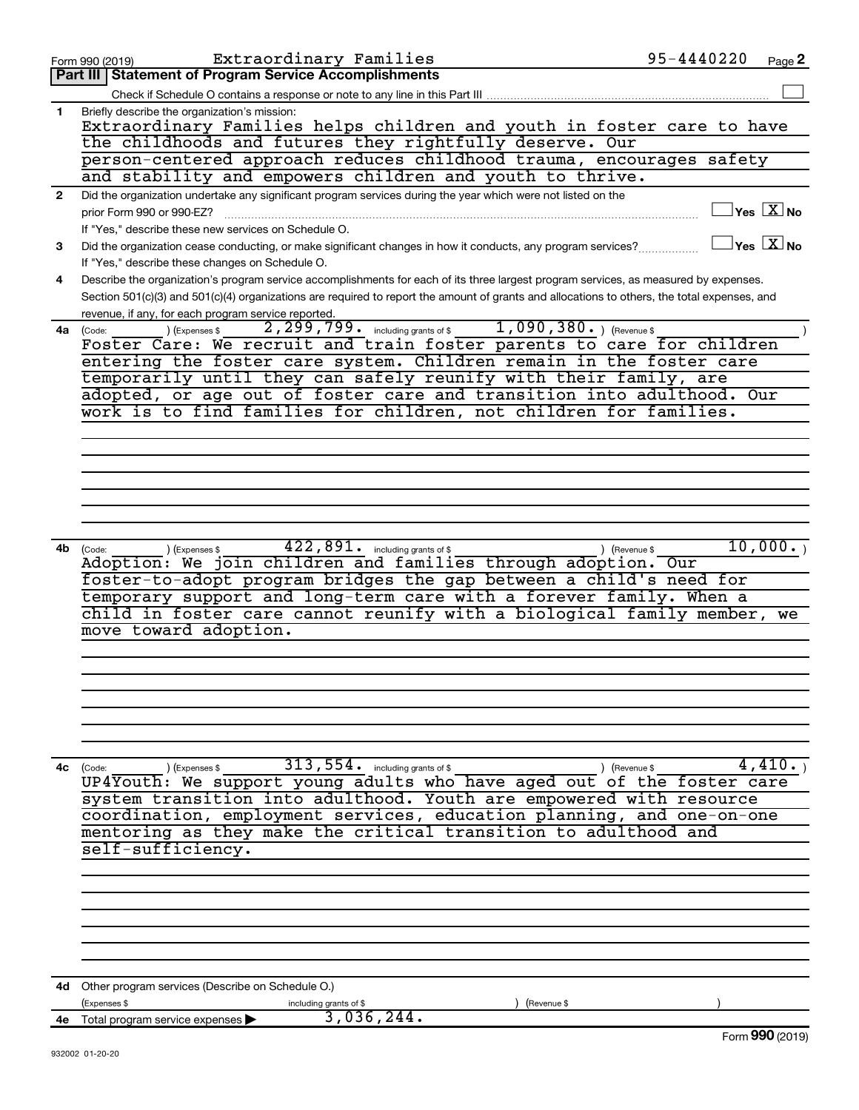|              | 95-4440220<br>Extraordinary Families<br>Form 990 (2019)<br>Page 2                                                                                       |  |
|--------------|---------------------------------------------------------------------------------------------------------------------------------------------------------|--|
|              | Part III   Statement of Program Service Accomplishments                                                                                                 |  |
|              | Check if Schedule O contains a response or note to any line in this Part III                                                                            |  |
| 1            | Briefly describe the organization's mission:                                                                                                            |  |
|              | Extraordinary Families helps children and youth in foster care to have                                                                                  |  |
|              | the childhoods and futures they rightfully deserve. Our                                                                                                 |  |
|              | person-centered approach reduces childhood trauma, encourages safety                                                                                    |  |
|              | and stability and empowers children and youth to thrive.                                                                                                |  |
| $\mathbf{2}$ | Did the organization undertake any significant program services during the year which were not listed on the                                            |  |
|              | $ {\mathsf Y}\mathsf{es}\ \boxed{{\mathsf X}}$ No<br>prior Form 990 or 990-EZ?                                                                          |  |
|              | If "Yes," describe these new services on Schedule O.                                                                                                    |  |
| 3            | $\Box$ Yes $[\overline{\mathrm{X}}]$ No<br>Did the organization cease conducting, or make significant changes in how it conducts, any program services? |  |
|              | If "Yes," describe these changes on Schedule O.                                                                                                         |  |
| 4            | Describe the organization's program service accomplishments for each of its three largest program services, as measured by expenses.                    |  |
|              | Section 501(c)(3) and 501(c)(4) organizations are required to report the amount of grants and allocations to others, the total expenses, and            |  |
|              | revenue, if any, for each program service reported.                                                                                                     |  |
| 4a           | 1,090,380. Revenue \$<br>2, 299, 799. including grants of \$<br>) (Expenses \$<br>(Code:                                                                |  |
|              | Foster Care: We recruit and train foster parents to care for children                                                                                   |  |
|              | entering the foster care system. Children remain in the foster care                                                                                     |  |
|              | temporarily until they can safely reunify with their family, are                                                                                        |  |
|              | adopted, or age out of foster care and transition into adulthood.<br>Our                                                                                |  |
|              | work is to find families for children, not children for families.                                                                                       |  |
|              |                                                                                                                                                         |  |
|              |                                                                                                                                                         |  |
|              |                                                                                                                                                         |  |
|              |                                                                                                                                                         |  |
|              |                                                                                                                                                         |  |
|              |                                                                                                                                                         |  |
|              |                                                                                                                                                         |  |
| 4b           | 10,000.<br>$422,891$ $\cdot$ including grants of \$<br>) (Revenue \$<br>) (Expenses \$<br>(Code:                                                        |  |
|              | Adoption: We join children and families through adoption. Our                                                                                           |  |
|              | foster-to-adopt program bridges the gap between a child's need for<br>temporary support and long-term care with a forever family. When a                |  |
|              | child in foster care cannot reunify with a biological family member,                                                                                    |  |
|              | we<br>move toward adoption.                                                                                                                             |  |
|              |                                                                                                                                                         |  |
|              |                                                                                                                                                         |  |
|              |                                                                                                                                                         |  |
|              |                                                                                                                                                         |  |
|              |                                                                                                                                                         |  |
|              |                                                                                                                                                         |  |
|              |                                                                                                                                                         |  |
| 4c           | $\overline{313}$ , $\overline{554}$ including grants of \$<br>4,410.<br>) (Revenue \$<br>(Code:<br>) (Expenses \$                                       |  |
|              | UP4Youth: We support young adults who have aged out of the foster care                                                                                  |  |
|              | system transition into adulthood. Youth are empowered with resource                                                                                     |  |
|              | coordination, employment services, education planning, and one-on-one                                                                                   |  |
|              | mentoring as they make the critical transition to adulthood and                                                                                         |  |
|              | self-sufficiency.                                                                                                                                       |  |
|              |                                                                                                                                                         |  |
|              |                                                                                                                                                         |  |
|              |                                                                                                                                                         |  |
|              |                                                                                                                                                         |  |
|              |                                                                                                                                                         |  |
|              |                                                                                                                                                         |  |
|              |                                                                                                                                                         |  |
|              | 4d Other program services (Describe on Schedule O.)                                                                                                     |  |
|              | (Expenses \$<br>including grants of \$<br>(Revenue \$                                                                                                   |  |
|              | 3,036,244.<br>4e Total program service expenses                                                                                                         |  |
|              | Form 990 (2019)                                                                                                                                         |  |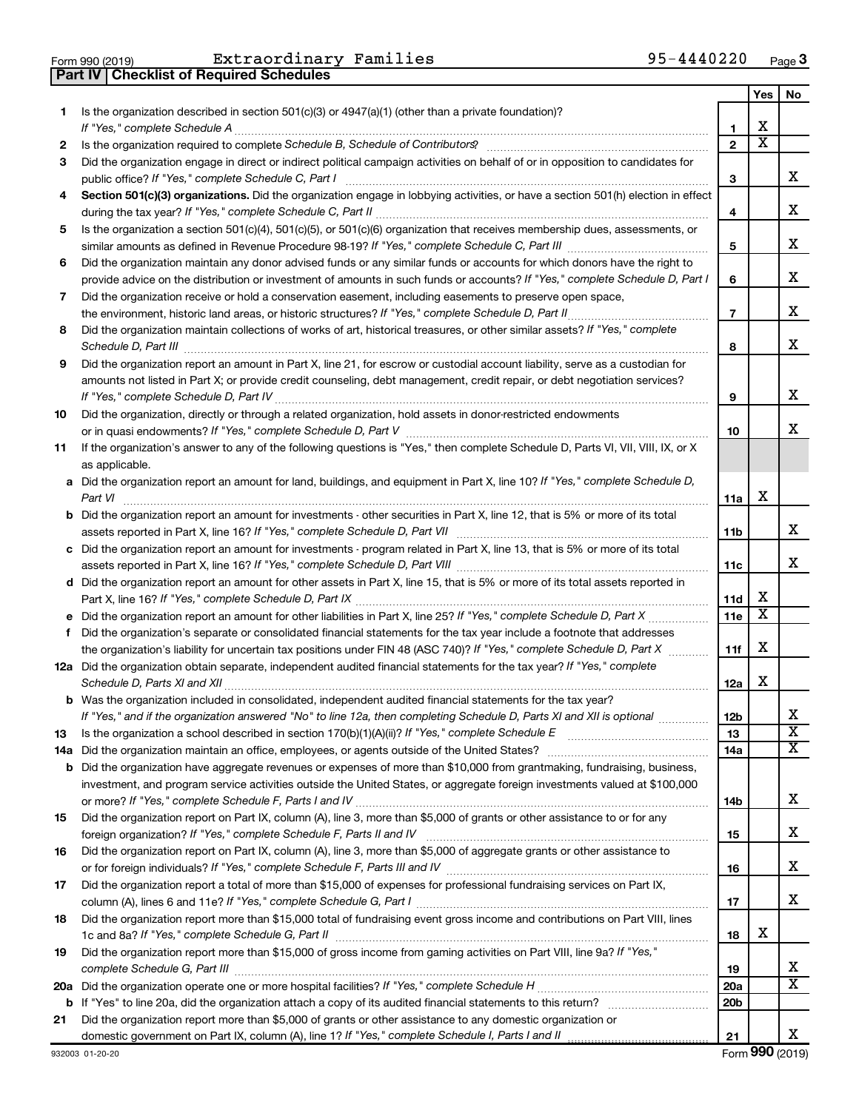**Part IV Checklist of Required Schedules**

Form 990 (2019) Page Extraordinary Families 95-4440220

|        |                                                                                                                                       |                   | Yes | No                      |
|--------|---------------------------------------------------------------------------------------------------------------------------------------|-------------------|-----|-------------------------|
| 1.     | Is the organization described in section 501(c)(3) or 4947(a)(1) (other than a private foundation)?                                   |                   | x   |                         |
|        | If "Yes," complete Schedule A                                                                                                         | 1<br>$\mathbf{2}$ | х   |                         |
| 2<br>3 | Did the organization engage in direct or indirect political campaign activities on behalf of or in opposition to candidates for       |                   |     |                         |
|        | public office? If "Yes," complete Schedule C, Part I                                                                                  | З                 |     | x.                      |
| 4      | Section 501(c)(3) organizations. Did the organization engage in lobbying activities, or have a section 501(h) election in effect      |                   |     |                         |
|        |                                                                                                                                       | 4                 |     | x                       |
| 5      | Is the organization a section 501(c)(4), 501(c)(5), or 501(c)(6) organization that receives membership dues, assessments, or          |                   |     |                         |
|        |                                                                                                                                       | 5                 |     | x                       |
| 6      | Did the organization maintain any donor advised funds or any similar funds or accounts for which donors have the right to             |                   |     |                         |
|        | provide advice on the distribution or investment of amounts in such funds or accounts? If "Yes," complete Schedule D, Part I          | 6                 |     | x.                      |
| 7      | Did the organization receive or hold a conservation easement, including easements to preserve open space,                             |                   |     |                         |
|        | the environment, historic land areas, or historic structures? If "Yes," complete Schedule D, Part II                                  | $\overline{7}$    |     | x                       |
| 8      | Did the organization maintain collections of works of art, historical treasures, or other similar assets? If "Yes," complete          |                   |     |                         |
|        | Schedule D, Part III                                                                                                                  | 8                 |     | x                       |
| 9      | Did the organization report an amount in Part X, line 21, for escrow or custodial account liability, serve as a custodian for         |                   |     |                         |
|        | amounts not listed in Part X; or provide credit counseling, debt management, credit repair, or debt negotiation services?             |                   |     |                         |
|        |                                                                                                                                       | 9                 |     | x                       |
| 10     | Did the organization, directly or through a related organization, hold assets in donor-restricted endowments                          |                   |     |                         |
|        |                                                                                                                                       | 10                |     | x.                      |
| 11     | If the organization's answer to any of the following questions is "Yes," then complete Schedule D, Parts VI, VII, VIII, IX, or X      |                   |     |                         |
|        | as applicable.                                                                                                                        |                   |     |                         |
|        | a Did the organization report an amount for land, buildings, and equipment in Part X, line 10? If "Yes," complete Schedule D,         |                   |     |                         |
|        | Part VI                                                                                                                               | 11a               | x   |                         |
|        | <b>b</b> Did the organization report an amount for investments - other securities in Part X, line 12, that is 5% or more of its total |                   |     |                         |
|        | assets reported in Part X, line 16? If "Yes," complete Schedule D, Part VII                                                           | 11b               |     | x                       |
|        | c Did the organization report an amount for investments - program related in Part X, line 13, that is 5% or more of its total         | 11c               |     | x.                      |
|        | d Did the organization report an amount for other assets in Part X, line 15, that is 5% or more of its total assets reported in       |                   |     |                         |
|        |                                                                                                                                       | 11d               | x   |                         |
|        | e Did the organization report an amount for other liabilities in Part X, line 25? If "Yes," complete Schedule D, Part X               | 11e               | X   |                         |
| f.     | Did the organization's separate or consolidated financial statements for the tax year include a footnote that addresses               |                   |     |                         |
|        | the organization's liability for uncertain tax positions under FIN 48 (ASC 740)? If "Yes," complete Schedule D, Part X                | 11f               | x   |                         |
|        | 12a Did the organization obtain separate, independent audited financial statements for the tax year? If "Yes," complete               |                   |     |                         |
|        | Schedule D, Parts XI and XII                                                                                                          | 12a               | x   |                         |
|        | <b>b</b> Was the organization included in consolidated, independent audited financial statements for the tax year?                    |                   |     |                         |
|        | If "Yes," and if the organization answered "No" to line 12a, then completing Schedule D, Parts XI and XII is optional <i></i>         | 12 <sub>b</sub>   |     | х                       |
| 13     |                                                                                                                                       | 13                |     | $\overline{\texttt{x}}$ |
| 14a    | Did the organization maintain an office, employees, or agents outside of the United States?                                           | 14a               |     | x                       |
|        | <b>b</b> Did the organization have aggregate revenues or expenses of more than \$10,000 from grantmaking, fundraising, business,      |                   |     |                         |
|        | investment, and program service activities outside the United States, or aggregate foreign investments valued at \$100,000            |                   |     |                         |
|        |                                                                                                                                       | 14b               |     | X.                      |
| 15     | Did the organization report on Part IX, column (A), line 3, more than \$5,000 of grants or other assistance to or for any             |                   |     | x                       |
|        | Did the organization report on Part IX, column (A), line 3, more than \$5,000 of aggregate grants or other assistance to              | 15                |     |                         |
| 16     |                                                                                                                                       | 16                |     | x                       |
| 17     | Did the organization report a total of more than \$15,000 of expenses for professional fundraising services on Part IX,               |                   |     |                         |
|        |                                                                                                                                       | 17                |     | X.                      |
| 18     | Did the organization report more than \$15,000 total of fundraising event gross income and contributions on Part VIII, lines          |                   |     |                         |
|        |                                                                                                                                       | 18                | x   |                         |
| 19     | Did the organization report more than \$15,000 of gross income from gaming activities on Part VIII, line 9a? If "Yes,"                |                   |     |                         |
|        |                                                                                                                                       | 19                |     | X                       |
|        |                                                                                                                                       | <b>20a</b>        |     | x                       |
|        |                                                                                                                                       | 20 <sub>b</sub>   |     |                         |
| 21     | Did the organization report more than \$5,000 of grants or other assistance to any domestic organization or                           |                   |     |                         |
|        |                                                                                                                                       | 21                |     | x                       |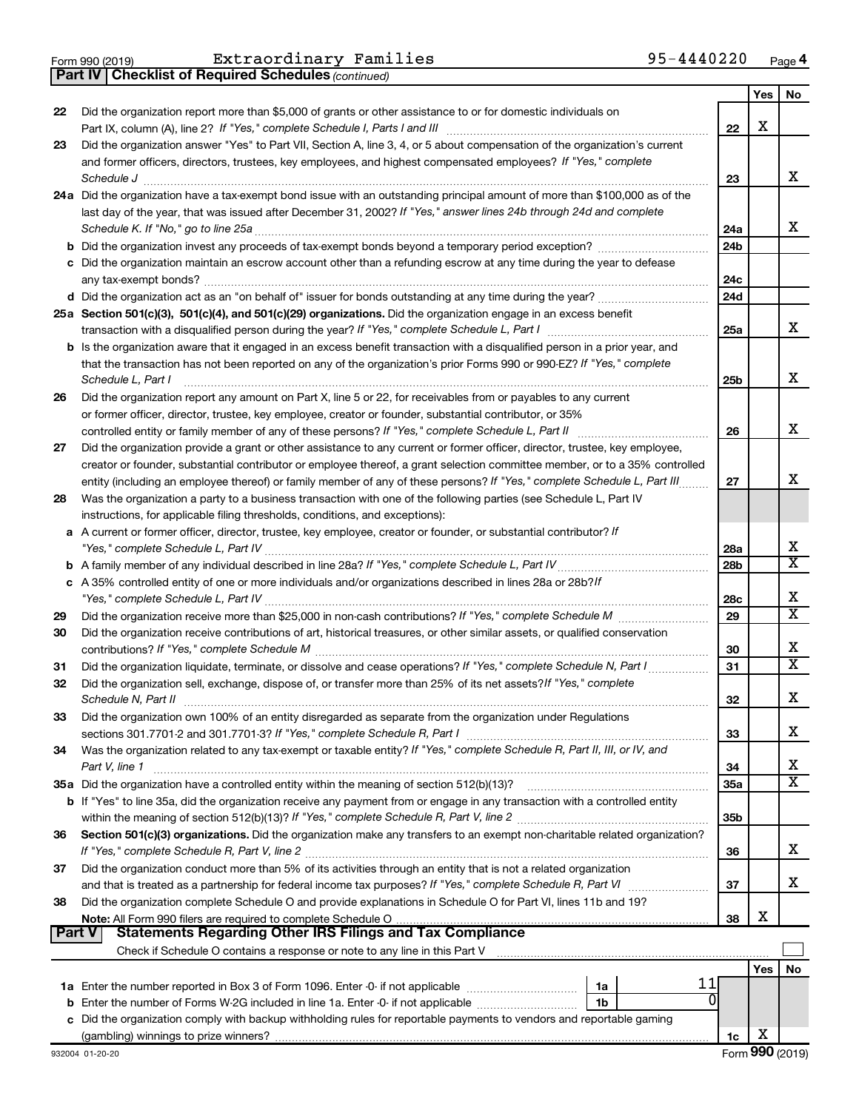*(continued)* **Part IV Checklist of Required Schedules**

|    |                                                                                                                                                                                                                                                                                                                                                                                                                                                           |                 | Yes | No                      |
|----|-----------------------------------------------------------------------------------------------------------------------------------------------------------------------------------------------------------------------------------------------------------------------------------------------------------------------------------------------------------------------------------------------------------------------------------------------------------|-----------------|-----|-------------------------|
| 22 | Did the organization report more than \$5,000 of grants or other assistance to or for domestic individuals on                                                                                                                                                                                                                                                                                                                                             |                 |     |                         |
|    |                                                                                                                                                                                                                                                                                                                                                                                                                                                           | 22              | X   |                         |
| 23 | Did the organization answer "Yes" to Part VII, Section A, line 3, 4, or 5 about compensation of the organization's current                                                                                                                                                                                                                                                                                                                                |                 |     |                         |
|    | and former officers, directors, trustees, key employees, and highest compensated employees? If "Yes," complete                                                                                                                                                                                                                                                                                                                                            |                 |     |                         |
|    | $\textit{Schedule J} \textit{ \textbf{}} \textit{ \textbf{}} \textit{ \textbf{}} \textit{ \textbf{}} \textit{ \textbf{}} \textit{ \textbf{}} \textit{ \textbf{}} \textit{ \textbf{}} \textit{ \textbf{}} \textit{ \textbf{}} \textit{ \textbf{}} \textit{ \textbf{}} \textit{ \textbf{}} \textit{ \textbf{}} \textit{ \textbf{}} \textit{ \textbf{}} \textit{ \textbf{}} \textit{ \textbf{}} \textit{ \textbf{}} \textit{ \textbf{}} \textit{ \textbf{}}$ | 23              |     | x                       |
|    | 24a Did the organization have a tax-exempt bond issue with an outstanding principal amount of more than \$100,000 as of the                                                                                                                                                                                                                                                                                                                               |                 |     |                         |
|    | last day of the year, that was issued after December 31, 2002? If "Yes," answer lines 24b through 24d and complete                                                                                                                                                                                                                                                                                                                                        |                 |     |                         |
|    | Schedule K. If "No," go to line 25a                                                                                                                                                                                                                                                                                                                                                                                                                       | 24a             |     | x                       |
|    |                                                                                                                                                                                                                                                                                                                                                                                                                                                           | 24 <sub>b</sub> |     |                         |
|    | c Did the organization maintain an escrow account other than a refunding escrow at any time during the year to defease                                                                                                                                                                                                                                                                                                                                    |                 |     |                         |
|    |                                                                                                                                                                                                                                                                                                                                                                                                                                                           | 24c             |     |                         |
|    |                                                                                                                                                                                                                                                                                                                                                                                                                                                           | 24d             |     |                         |
|    | 25a Section 501(c)(3), 501(c)(4), and 501(c)(29) organizations. Did the organization engage in an excess benefit                                                                                                                                                                                                                                                                                                                                          |                 |     |                         |
|    |                                                                                                                                                                                                                                                                                                                                                                                                                                                           | 25a             |     | x                       |
|    | <b>b</b> Is the organization aware that it engaged in an excess benefit transaction with a disqualified person in a prior year, and                                                                                                                                                                                                                                                                                                                       |                 |     |                         |
|    | that the transaction has not been reported on any of the organization's prior Forms 990 or 990-EZ? If "Yes," complete                                                                                                                                                                                                                                                                                                                                     |                 |     |                         |
|    | Schedule L, Part I                                                                                                                                                                                                                                                                                                                                                                                                                                        | 25b             |     | X                       |
| 26 | Did the organization report any amount on Part X, line 5 or 22, for receivables from or payables to any current                                                                                                                                                                                                                                                                                                                                           |                 |     |                         |
|    | or former officer, director, trustee, key employee, creator or founder, substantial contributor, or 35%                                                                                                                                                                                                                                                                                                                                                   |                 |     |                         |
|    |                                                                                                                                                                                                                                                                                                                                                                                                                                                           | 26              |     | X                       |
| 27 | Did the organization provide a grant or other assistance to any current or former officer, director, trustee, key employee,                                                                                                                                                                                                                                                                                                                               |                 |     |                         |
|    | creator or founder, substantial contributor or employee thereof, a grant selection committee member, or to a 35% controlled                                                                                                                                                                                                                                                                                                                               |                 |     |                         |
|    | entity (including an employee thereof) or family member of any of these persons? If "Yes," complete Schedule L, Part III                                                                                                                                                                                                                                                                                                                                  | 27              |     | х                       |
| 28 | Was the organization a party to a business transaction with one of the following parties (see Schedule L, Part IV                                                                                                                                                                                                                                                                                                                                         |                 |     |                         |
|    | instructions, for applicable filing thresholds, conditions, and exceptions):                                                                                                                                                                                                                                                                                                                                                                              |                 |     |                         |
|    | a A current or former officer, director, trustee, key employee, creator or founder, or substantial contributor? If                                                                                                                                                                                                                                                                                                                                        |                 |     |                         |
|    |                                                                                                                                                                                                                                                                                                                                                                                                                                                           | 28a             |     | х                       |
|    |                                                                                                                                                                                                                                                                                                                                                                                                                                                           | 28 <sub>b</sub> |     | $\overline{\mathtt{x}}$ |
|    | c A 35% controlled entity of one or more individuals and/or organizations described in lines 28a or 28b?If                                                                                                                                                                                                                                                                                                                                                |                 |     |                         |
|    |                                                                                                                                                                                                                                                                                                                                                                                                                                                           | 28c             |     | х                       |
| 29 |                                                                                                                                                                                                                                                                                                                                                                                                                                                           | 29              |     | $\overline{\mathtt{x}}$ |
| 30 | Did the organization receive contributions of art, historical treasures, or other similar assets, or qualified conservation                                                                                                                                                                                                                                                                                                                               |                 |     |                         |
|    |                                                                                                                                                                                                                                                                                                                                                                                                                                                           | 30              |     | х                       |
| 31 | Did the organization liquidate, terminate, or dissolve and cease operations? If "Yes," complete Schedule N, Part I                                                                                                                                                                                                                                                                                                                                        | 31              |     | $\overline{\mathtt{x}}$ |
| 32 | Did the organization sell, exchange, dispose of, or transfer more than 25% of its net assets? If "Yes," complete                                                                                                                                                                                                                                                                                                                                          |                 |     |                         |
|    | Schedule N, Part II                                                                                                                                                                                                                                                                                                                                                                                                                                       | 32              |     | X                       |
| 33 | Did the organization own 100% of an entity disregarded as separate from the organization under Regulations                                                                                                                                                                                                                                                                                                                                                |                 |     |                         |
|    |                                                                                                                                                                                                                                                                                                                                                                                                                                                           | 33              |     | х                       |
| 34 | Was the organization related to any tax-exempt or taxable entity? If "Yes," complete Schedule R, Part II, III, or IV, and                                                                                                                                                                                                                                                                                                                                 |                 |     |                         |
|    | Part V, line 1                                                                                                                                                                                                                                                                                                                                                                                                                                            | 34              |     | х                       |
|    | 35a Did the organization have a controlled entity within the meaning of section 512(b)(13)?                                                                                                                                                                                                                                                                                                                                                               | 35a             |     | $\overline{\mathtt{x}}$ |
|    | <b>b</b> If "Yes" to line 35a, did the organization receive any payment from or engage in any transaction with a controlled entity                                                                                                                                                                                                                                                                                                                        |                 |     |                         |
|    |                                                                                                                                                                                                                                                                                                                                                                                                                                                           | 35b             |     |                         |
| 36 | Section 501(c)(3) organizations. Did the organization make any transfers to an exempt non-charitable related organization?                                                                                                                                                                                                                                                                                                                                |                 |     |                         |
|    |                                                                                                                                                                                                                                                                                                                                                                                                                                                           | 36              |     | x                       |
| 37 | Did the organization conduct more than 5% of its activities through an entity that is not a related organization                                                                                                                                                                                                                                                                                                                                          |                 |     |                         |
|    |                                                                                                                                                                                                                                                                                                                                                                                                                                                           | 37              |     | х                       |
| 38 | Did the organization complete Schedule O and provide explanations in Schedule O for Part VI, lines 11b and 19?                                                                                                                                                                                                                                                                                                                                            |                 |     |                         |
|    |                                                                                                                                                                                                                                                                                                                                                                                                                                                           | 38              | х   |                         |
|    | <b>Statements Regarding Other IRS Filings and Tax Compliance</b><br><b>Part V</b>                                                                                                                                                                                                                                                                                                                                                                         |                 |     |                         |
|    |                                                                                                                                                                                                                                                                                                                                                                                                                                                           |                 |     |                         |
|    |                                                                                                                                                                                                                                                                                                                                                                                                                                                           |                 | Yes | No                      |
|    | 11<br>1a Enter the number reported in Box 3 of Form 1096. Enter -0- if not applicable <i>manumerane</i> number<br>1a                                                                                                                                                                                                                                                                                                                                      |                 |     |                         |
|    | <b>b</b> Enter the number of Forms W-2G included in line 1a. Enter -0- if not applicable <i>manumumumum</i><br>1b                                                                                                                                                                                                                                                                                                                                         |                 |     |                         |
|    | c Did the organization comply with backup withholding rules for reportable payments to vendors and reportable gaming                                                                                                                                                                                                                                                                                                                                      |                 |     |                         |
|    |                                                                                                                                                                                                                                                                                                                                                                                                                                                           | 1c              | х   |                         |
|    |                                                                                                                                                                                                                                                                                                                                                                                                                                                           |                 |     |                         |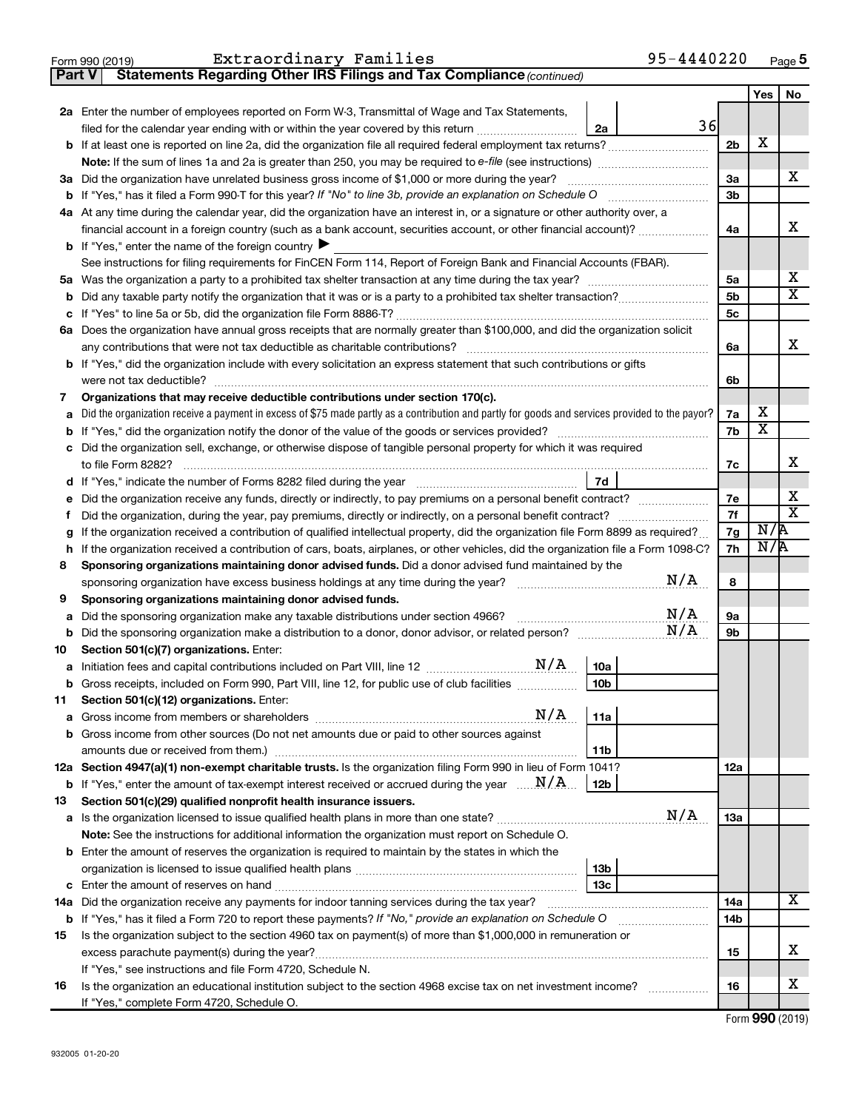| Form 990 (2019) | Extraordinary Families                                                              | 95-4440220 | Page 5 |
|-----------------|-------------------------------------------------------------------------------------|------------|--------|
|                 | <b>Part V</b> Statements Regarding Other IRS Filings and Tax Compliance (continued) |            |        |

|        |                                                                                                                                                                                                                                                  |            | Yes | No                    |  |  |  |  |  |  |
|--------|--------------------------------------------------------------------------------------------------------------------------------------------------------------------------------------------------------------------------------------------------|------------|-----|-----------------------|--|--|--|--|--|--|
|        | 2a Enter the number of employees reported on Form W-3, Transmittal of Wage and Tax Statements,                                                                                                                                                   |            |     |                       |  |  |  |  |  |  |
|        | 36<br>filed for the calendar year ending with or within the year covered by this return <i>manumumumum</i><br>2a                                                                                                                                 |            |     |                       |  |  |  |  |  |  |
|        | 2 <sub>b</sub>                                                                                                                                                                                                                                   |            |     |                       |  |  |  |  |  |  |
|        |                                                                                                                                                                                                                                                  |            |     |                       |  |  |  |  |  |  |
|        | 3a Did the organization have unrelated business gross income of \$1,000 or more during the year?                                                                                                                                                 |            |     |                       |  |  |  |  |  |  |
|        |                                                                                                                                                                                                                                                  |            |     |                       |  |  |  |  |  |  |
|        | 4a At any time during the calendar year, did the organization have an interest in, or a signature or other authority over, a                                                                                                                     |            |     |                       |  |  |  |  |  |  |
|        | financial account in a foreign country (such as a bank account, securities account, or other financial account)?                                                                                                                                 | 4a         |     | x                     |  |  |  |  |  |  |
|        | <b>b</b> If "Yes," enter the name of the foreign country                                                                                                                                                                                         |            |     |                       |  |  |  |  |  |  |
|        | See instructions for filing requirements for FinCEN Form 114, Report of Foreign Bank and Financial Accounts (FBAR).                                                                                                                              |            |     |                       |  |  |  |  |  |  |
| 5а     |                                                                                                                                                                                                                                                  | 5a         |     | х                     |  |  |  |  |  |  |
| b      |                                                                                                                                                                                                                                                  | 5b         |     | X                     |  |  |  |  |  |  |
| с      |                                                                                                                                                                                                                                                  | 5c         |     |                       |  |  |  |  |  |  |
|        | 6a Does the organization have annual gross receipts that are normally greater than \$100,000, and did the organization solicit                                                                                                                   |            |     |                       |  |  |  |  |  |  |
|        | any contributions that were not tax deductible as charitable contributions?                                                                                                                                                                      | 6a         |     | x                     |  |  |  |  |  |  |
|        | <b>b</b> If "Yes," did the organization include with every solicitation an express statement that such contributions or gifts                                                                                                                    |            |     |                       |  |  |  |  |  |  |
|        | were not tax deductible?                                                                                                                                                                                                                         | 6b         |     |                       |  |  |  |  |  |  |
| 7      | Organizations that may receive deductible contributions under section 170(c).                                                                                                                                                                    |            |     |                       |  |  |  |  |  |  |
| a      | Did the organization receive a payment in excess of \$75 made partly as a contribution and partly for goods and services provided to the payor?                                                                                                  | 7a         | х   |                       |  |  |  |  |  |  |
|        | <b>b</b> If "Yes," did the organization notify the donor of the value of the goods or services provided?                                                                                                                                         | 7b         | х   |                       |  |  |  |  |  |  |
| с      | Did the organization sell, exchange, or otherwise dispose of tangible personal property for which it was required                                                                                                                                |            |     | х                     |  |  |  |  |  |  |
|        |                                                                                                                                                                                                                                                  | 7с         |     |                       |  |  |  |  |  |  |
|        | 7d                                                                                                                                                                                                                                               | 7е         |     | x                     |  |  |  |  |  |  |
| е      | Did the organization receive any funds, directly or indirectly, to pay premiums on a personal benefit contract?                                                                                                                                  | 7f         |     | $\overline{\text{x}}$ |  |  |  |  |  |  |
| f.     | Did the organization, during the year, pay premiums, directly or indirectly, on a personal benefit contract?<br>If the organization received a contribution of qualified intellectual property, did the organization file Form 8899 as required? | 7g         | N/R |                       |  |  |  |  |  |  |
| g<br>h | If the organization received a contribution of cars, boats, airplanes, or other vehicles, did the organization file a Form 1098-C?                                                                                                               | 7h         | N/R |                       |  |  |  |  |  |  |
| 8      | Sponsoring organizations maintaining donor advised funds. Did a donor advised fund maintained by the                                                                                                                                             |            |     |                       |  |  |  |  |  |  |
|        | N/A<br>sponsoring organization have excess business holdings at any time during the year?                                                                                                                                                        | 8          |     |                       |  |  |  |  |  |  |
| 9      | Sponsoring organizations maintaining donor advised funds.                                                                                                                                                                                        |            |     |                       |  |  |  |  |  |  |
| а      | N/A<br>Did the sponsoring organization make any taxable distributions under section 4966?                                                                                                                                                        | 9а         |     |                       |  |  |  |  |  |  |
| b      | N/A                                                                                                                                                                                                                                              | 9b         |     |                       |  |  |  |  |  |  |
| 10     | Section 501(c)(7) organizations. Enter:                                                                                                                                                                                                          |            |     |                       |  |  |  |  |  |  |
| а      | 10a                                                                                                                                                                                                                                              |            |     |                       |  |  |  |  |  |  |
|        | 10 <sub>b</sub><br>b Gross receipts, included on Form 990, Part VIII, line 12, for public use of club facilities                                                                                                                                 |            |     |                       |  |  |  |  |  |  |
| 11     | Section 501(c)(12) organizations. Enter:                                                                                                                                                                                                         |            |     |                       |  |  |  |  |  |  |
|        |                                                                                                                                                                                                                                                  |            |     |                       |  |  |  |  |  |  |
|        | <b>b</b> Gross income from other sources (Do not net amounts due or paid to other sources against                                                                                                                                                |            |     |                       |  |  |  |  |  |  |
|        | 11b                                                                                                                                                                                                                                              |            |     |                       |  |  |  |  |  |  |
|        | 12a Section 4947(a)(1) non-exempt charitable trusts. Is the organization filing Form 990 in lieu of Form 1041?                                                                                                                                   | <b>12a</b> |     |                       |  |  |  |  |  |  |
|        | <b>b</b> If "Yes," enter the amount of tax-exempt interest received or accrued during the year $\ldots$ $\mathbf{N}/\mathbf{A}$ .<br>12b                                                                                                         |            |     |                       |  |  |  |  |  |  |
| 13     | Section 501(c)(29) qualified nonprofit health insurance issuers.                                                                                                                                                                                 |            |     |                       |  |  |  |  |  |  |
|        | N/A<br>a Is the organization licensed to issue qualified health plans in more than one state?                                                                                                                                                    | <b>13a</b> |     |                       |  |  |  |  |  |  |
|        | Note: See the instructions for additional information the organization must report on Schedule O.                                                                                                                                                |            |     |                       |  |  |  |  |  |  |
|        | <b>b</b> Enter the amount of reserves the organization is required to maintain by the states in which the                                                                                                                                        |            |     |                       |  |  |  |  |  |  |
|        | 13 <sub>b</sub>                                                                                                                                                                                                                                  |            |     |                       |  |  |  |  |  |  |
|        | 13 <sub>c</sub>                                                                                                                                                                                                                                  |            |     | х                     |  |  |  |  |  |  |
|        | 14a Did the organization receive any payments for indoor tanning services during the tax year?                                                                                                                                                   | 14a        |     |                       |  |  |  |  |  |  |
|        | <b>b</b> If "Yes," has it filed a Form 720 to report these payments? If "No," provide an explanation on Schedule O                                                                                                                               | 14b        |     |                       |  |  |  |  |  |  |
| 15     | Is the organization subject to the section 4960 tax on payment(s) of more than \$1,000,000 in remuneration or                                                                                                                                    |            |     | х                     |  |  |  |  |  |  |
|        | excess parachute payment(s) during the year?                                                                                                                                                                                                     | 15         |     |                       |  |  |  |  |  |  |
| 16     | If "Yes," see instructions and file Form 4720, Schedule N.<br>Is the organization an educational institution subject to the section 4968 excise tax on net investment income?                                                                    | 16         |     | х                     |  |  |  |  |  |  |
|        | If "Yes," complete Form 4720, Schedule O.                                                                                                                                                                                                        |            |     |                       |  |  |  |  |  |  |
|        |                                                                                                                                                                                                                                                  |            |     |                       |  |  |  |  |  |  |

Form (2019) **990**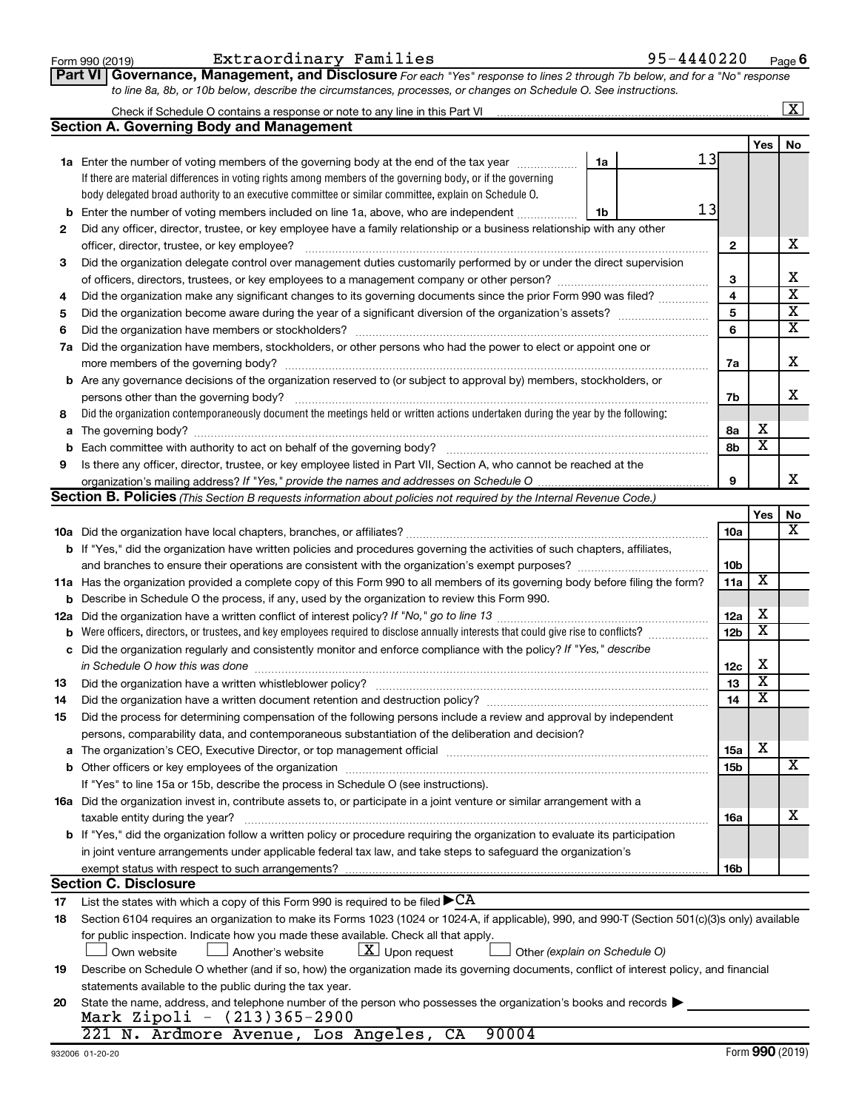| Form 990 (2019) |  |
|-----------------|--|
|-----------------|--|

#### Form 990 (2019)  ${\tt Extractinary\ Families}$   $95-4440220$   $_{\tt Page}$

**Part VI** Governance, Management, and Disclosure For each "Yes" response to lines 2 through 7b below, and for a "No" response *to line 8a, 8b, or 10b below, describe the circumstances, processes, or changes on Schedule O. See instructions.*

|    |                                                                                                                                                                                                                                |                 |                         | $\overline{\text{X}}$   |
|----|--------------------------------------------------------------------------------------------------------------------------------------------------------------------------------------------------------------------------------|-----------------|-------------------------|-------------------------|
|    | <b>Section A. Governing Body and Management</b>                                                                                                                                                                                |                 |                         |                         |
|    |                                                                                                                                                                                                                                |                 | <b>Yes</b>              | No                      |
|    | 13<br>1a<br>1a Enter the number of voting members of the governing body at the end of the tax year                                                                                                                             |                 |                         |                         |
|    | If there are material differences in voting rights among members of the governing body, or if the governing                                                                                                                    |                 |                         |                         |
|    | body delegated broad authority to an executive committee or similar committee, explain on Schedule O.                                                                                                                          |                 |                         |                         |
|    | 13<br><b>b</b> Enter the number of voting members included on line 1a, above, who are independent<br>1b                                                                                                                        |                 |                         |                         |
| 2  | Did any officer, director, trustee, or key employee have a family relationship or a business relationship with any other                                                                                                       |                 |                         |                         |
|    | officer, director, trustee, or key employee?                                                                                                                                                                                   | $\mathbf{2}$    |                         | х                       |
| 3  | Did the organization delegate control over management duties customarily performed by or under the direct supervision                                                                                                          |                 |                         |                         |
|    |                                                                                                                                                                                                                                | 3               |                         | х                       |
| 4  | Did the organization make any significant changes to its governing documents since the prior Form 990 was filed?                                                                                                               | 4               |                         | $\overline{\textbf{x}}$ |
| 5  |                                                                                                                                                                                                                                | 5               |                         | $\overline{\text{x}}$   |
| 6  |                                                                                                                                                                                                                                | 6               |                         | $\overline{\textbf{x}}$ |
|    | 7a Did the organization have members, stockholders, or other persons who had the power to elect or appoint one or                                                                                                              |                 |                         |                         |
|    |                                                                                                                                                                                                                                | 7a              |                         | х                       |
|    | <b>b</b> Are any governance decisions of the organization reserved to (or subject to approval by) members, stockholders, or                                                                                                    |                 |                         |                         |
|    | persons other than the governing body?                                                                                                                                                                                         | 7b              |                         | х                       |
| 8  | Did the organization contemporaneously document the meetings held or written actions undertaken during the year by the following:                                                                                              |                 |                         |                         |
|    |                                                                                                                                                                                                                                | 8а              | х                       |                         |
|    | <b>b</b> Each committee with authority to act on behalf of the governing body?                                                                                                                                                 | 8b              | $\overline{\textbf{x}}$ |                         |
| 9  | Is there any officer, director, trustee, or key employee listed in Part VII, Section A, who cannot be reached at the                                                                                                           |                 |                         |                         |
|    |                                                                                                                                                                                                                                | 9               |                         | х                       |
|    | Section B. Policies (This Section B requests information about policies not required by the Internal Revenue Code.)                                                                                                            |                 |                         |                         |
|    |                                                                                                                                                                                                                                |                 | <b>Yes</b>              | No                      |
|    |                                                                                                                                                                                                                                | 10a             |                         | х                       |
|    | <b>b</b> If "Yes," did the organization have written policies and procedures governing the activities of such chapters, affiliates,                                                                                            |                 |                         |                         |
|    | and branches to ensure their operations are consistent with the organization's exempt purposes?                                                                                                                                | 10b             |                         |                         |
|    | 11a Has the organization provided a complete copy of this Form 990 to all members of its governing body before filing the form?                                                                                                | 11a             | X                       |                         |
|    | <b>b</b> Describe in Schedule O the process, if any, used by the organization to review this Form 990.                                                                                                                         |                 |                         |                         |
|    |                                                                                                                                                                                                                                | 12a             | х                       |                         |
|    |                                                                                                                                                                                                                                | 12 <sub>b</sub> | $\overline{\textbf{x}}$ |                         |
|    | c Did the organization regularly and consistently monitor and enforce compliance with the policy? If "Yes," describe                                                                                                           |                 |                         |                         |
|    | in Schedule O how this was done manufactured and the state of the state of the state of the state of the state of the state of the state of the state of the state of the state of the state of the state of the state of the  | 12c             | х                       |                         |
| 13 | Did the organization have a written whistleblower policy?                                                                                                                                                                      | 13              | $\overline{\textbf{x}}$ |                         |
| 14 |                                                                                                                                                                                                                                | 14              | X                       |                         |
| 15 | Did the process for determining compensation of the following persons include a review and approval by independent                                                                                                             |                 |                         |                         |
|    | persons, comparability data, and contemporaneous substantiation of the deliberation and decision?                                                                                                                              |                 |                         |                         |
|    | a The organization's CEO, Executive Director, or top management official manufactured content content of the organization's CEO, Executive Director, or top management official manufactured content of the state of the state | <b>15a</b>      | х                       |                         |
|    |                                                                                                                                                                                                                                | 15b             |                         | X                       |
|    | If "Yes" to line 15a or 15b, describe the process in Schedule O (see instructions).                                                                                                                                            |                 |                         |                         |
|    | 16a Did the organization invest in, contribute assets to, or participate in a joint venture or similar arrangement with a                                                                                                      |                 |                         |                         |
|    | taxable entity during the year?                                                                                                                                                                                                | 16a             |                         | х                       |
|    | b If "Yes," did the organization follow a written policy or procedure requiring the organization to evaluate its participation                                                                                                 |                 |                         |                         |
|    | in joint venture arrangements under applicable federal tax law, and take steps to safeguard the organization's                                                                                                                 |                 |                         |                         |
|    | exempt status with respect to such arrangements?                                                                                                                                                                               | 16b             |                         |                         |
|    | <b>Section C. Disclosure</b>                                                                                                                                                                                                   |                 |                         |                         |
| 17 | List the states with which a copy of this Form 990 is required to be filed $\blacktriangleright$ CA                                                                                                                            |                 |                         |                         |
| 18 | Section 6104 requires an organization to make its Forms 1023 (1024 or 1024-A, if applicable), 990, and 990-T (Section 501(c)(3)s only) available                                                                               |                 |                         |                         |
|    | for public inspection. Indicate how you made these available. Check all that apply.                                                                                                                                            |                 |                         |                         |
|    | $X$ Upon request<br>Another's website<br>Other (explain on Schedule O)<br>Own website                                                                                                                                          |                 |                         |                         |
| 19 | Describe on Schedule O whether (and if so, how) the organization made its governing documents, conflict of interest policy, and financial                                                                                      |                 |                         |                         |
|    | statements available to the public during the tax year.                                                                                                                                                                        |                 |                         |                         |
| 20 | State the name, address, and telephone number of the person who possesses the organization's books and records                                                                                                                 |                 |                         |                         |
|    | Mark Zipoli - (213)365-2900                                                                                                                                                                                                    |                 |                         |                         |
|    | 90004<br>221 N. Ardmore Avenue, Los Angeles, CA                                                                                                                                                                                |                 |                         |                         |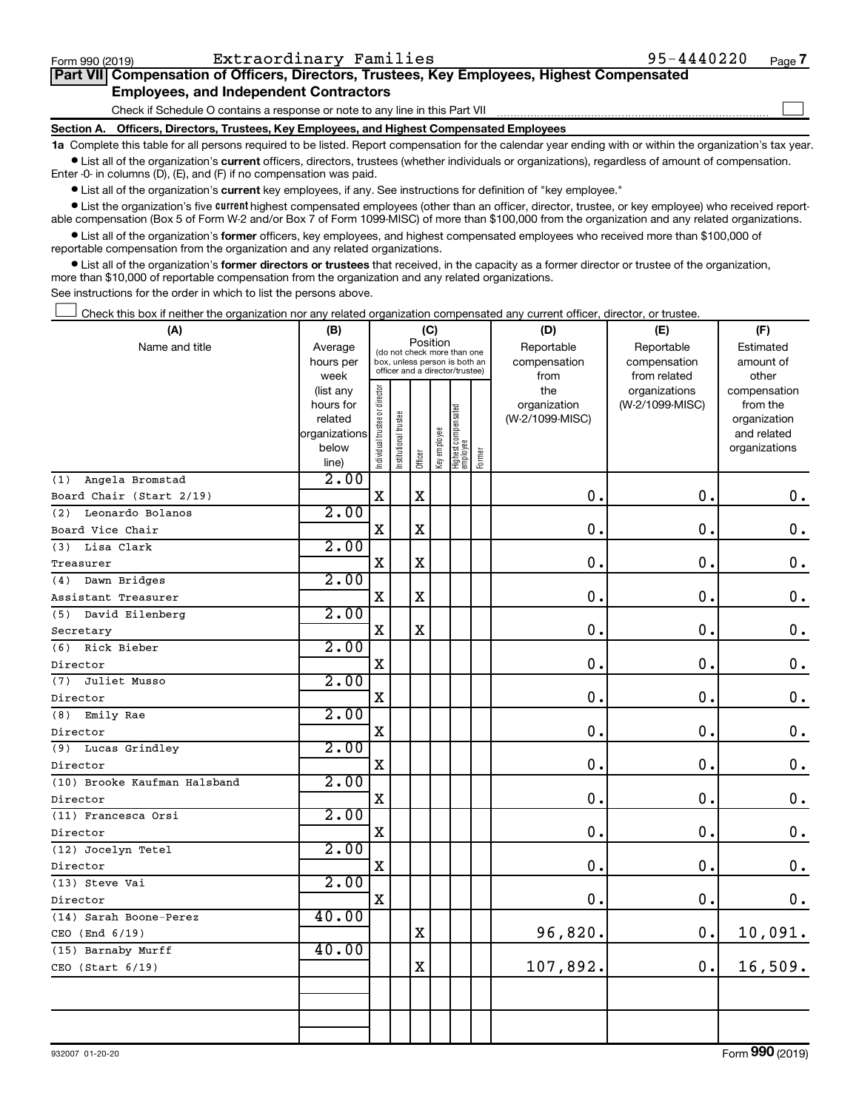$\Box$ 

| Part VII Compensation of Officers, Directors, Trustees, Key Employees, Highest Compensated |
|--------------------------------------------------------------------------------------------|
| <b>Employees, and Independent Contractors</b>                                              |

Check if Schedule O contains a response or note to any line in this Part VII

**Section A. Officers, Directors, Trustees, Key Employees, and Highest Compensated Employees**

**1a**  Complete this table for all persons required to be listed. Report compensation for the calendar year ending with or within the organization's tax year.  $\bullet$  List all of the organization's current officers, directors, trustees (whether individuals or organizations), regardless of amount of compensation.

Enter -0- in columns (D), (E), and (F) if no compensation was paid.

**•** List all of the organization's current key employees, if any. See instructions for definition of "key employee."

• List the organization's five *current* highest compensated employees (other than an officer, director, trustee, or key employee) who received reportable compensation (Box 5 of Form W-2 and/or Box 7 of Form 1099-MISC) of more than \$100,000 from the organization and any related organizations.

 $\bullet$  List all of the organization's former officers, key employees, and highest compensated employees who received more than \$100,000 of reportable compensation from the organization and any related organizations.

**•** List all of the organization's former directors or trustees that received, in the capacity as a former director or trustee of the organization, more than \$10,000 of reportable compensation from the organization and any related organizations.

See instructions for the order in which to list the persons above.

Check this box if neither the organization nor any related organization compensated any current officer, director, or trustee.  $\Box$ 

| (A)                          | (B)                       | (C)                                                                      |                                 |             |              |                                   |        | (D)             | (F)                           |                       |  |
|------------------------------|---------------------------|--------------------------------------------------------------------------|---------------------------------|-------------|--------------|-----------------------------------|--------|-----------------|-------------------------------|-----------------------|--|
| Name and title               | Average                   | Position<br>(do not check more than one<br>box, unless person is both an |                                 |             |              |                                   |        | Reportable      | Reportable                    | Estimated             |  |
|                              | hours per                 |                                                                          | officer and a director/trustee) |             |              |                                   |        | compensation    | compensation                  | amount of             |  |
|                              | week<br>(list any         |                                                                          |                                 |             |              |                                   |        | from<br>the     | from related<br>organizations | other<br>compensation |  |
|                              | hours for<br>organization |                                                                          | (W-2/1099-MISC)                 | from the    |              |                                   |        |                 |                               |                       |  |
|                              | related                   |                                                                          |                                 |             |              |                                   |        | (W-2/1099-MISC) |                               | organization          |  |
|                              | organizations             |                                                                          |                                 |             |              |                                   |        |                 |                               | and related           |  |
|                              | below                     | Individual trustee or director                                           | Institutional trustee           |             | Key employee | Highest compensated<br>  employee | Former |                 |                               | organizations         |  |
|                              | line)                     |                                                                          |                                 | Officer     |              |                                   |        |                 |                               |                       |  |
| Angela Bromstad<br>(1)       | 2.00                      |                                                                          |                                 |             |              |                                   |        |                 |                               |                       |  |
| Board Chair (Start 2/19)     |                           | X                                                                        |                                 | $\mathbf X$ |              |                                   |        | $\mathbf 0$ .   | $\mathbf 0$ .                 | $\boldsymbol{0}$ .    |  |
| Leonardo Bolanos<br>(2)      | 2.00                      |                                                                          |                                 |             |              |                                   |        |                 |                               |                       |  |
| Board Vice Chair             |                           | $\mathbf X$                                                              |                                 | $\mathbf X$ |              |                                   |        | $\mathbf 0$ .   | $\mathbf 0$ .                 | $\mathbf 0$ .         |  |
| Lisa Clark<br>(3)            | 2.00                      |                                                                          |                                 |             |              |                                   |        |                 |                               |                       |  |
| Treasurer                    |                           | $\mathbf X$                                                              |                                 | $\mathbf X$ |              |                                   |        | $\mathbf 0$     | $\mathbf 0$ .                 | $\mathbf 0$ .         |  |
| Dawn Bridges<br>(4)          | 2.00                      |                                                                          |                                 |             |              |                                   |        |                 |                               |                       |  |
| Assistant Treasurer          |                           | $\mathbf X$                                                              |                                 | $\mathbf X$ |              |                                   |        | 0.              | $\mathbf 0$ .                 | $\mathbf 0$ .         |  |
| (5) David Eilenberg          | 2.00                      |                                                                          |                                 |             |              |                                   |        |                 |                               |                       |  |
| Secretary                    |                           | $\mathbf X$                                                              |                                 | $\mathbf X$ |              |                                   |        | $\mathbf 0$ .   | $\mathbf 0$ .                 | $\mathbf 0$ .         |  |
| (6) Rick Bieber              | 2.00                      |                                                                          |                                 |             |              |                                   |        |                 |                               |                       |  |
| Director                     |                           | $\mathbf X$                                                              |                                 |             |              |                                   |        | $\mathbf 0$ .   | 0.                            | $\mathbf 0$ .         |  |
| (7)<br>Juliet Musso          | 2.00                      |                                                                          |                                 |             |              |                                   |        |                 |                               |                       |  |
| Director                     |                           | $\mathbf X$                                                              |                                 |             |              |                                   |        | $\mathbf 0$ .   | $\mathbf 0$ .                 | $\boldsymbol{0}$ .    |  |
| Emily Rae<br>(8)             | 2.00                      |                                                                          |                                 |             |              |                                   |        |                 |                               |                       |  |
| Director                     |                           | $\mathbf X$                                                              |                                 |             |              |                                   |        | 0.              | 0.                            | $\mathbf 0$ .         |  |
| (9) Lucas Grindley           | 2.00                      |                                                                          |                                 |             |              |                                   |        |                 |                               |                       |  |
| Director                     |                           | $\mathbf X$                                                              |                                 |             |              |                                   |        | $\mathbf 0$ .   | 0.                            | $\mathbf 0$ .         |  |
| (10) Brooke Kaufman Halsband | 2.00                      |                                                                          |                                 |             |              |                                   |        |                 |                               |                       |  |
| Director                     |                           | $\mathbf X$                                                              |                                 |             |              |                                   |        | $\mathbf 0$ .   | 0.                            | $\mathbf 0$ .         |  |
| (11) Francesca Orsi          | 2.00                      |                                                                          |                                 |             |              |                                   |        |                 |                               |                       |  |
| Director                     |                           | $\mathbf X$                                                              |                                 |             |              |                                   |        | 0.              | 0.                            | $\mathbf 0$ .         |  |
| (12) Jocelyn Tetel           | 2.00                      |                                                                          |                                 |             |              |                                   |        |                 |                               |                       |  |
| Director                     |                           | $\mathbf X$                                                              |                                 |             |              |                                   |        | $\mathbf 0$ .   | $\mathbf 0$ .                 | $\mathbf 0$ .         |  |
| (13) Steve Vai               | 2.00                      |                                                                          |                                 |             |              |                                   |        |                 |                               |                       |  |
| Director                     |                           | $\mathbf X$                                                              |                                 |             |              |                                   |        | $\mathbf 0$ .   | 0.                            | 0.                    |  |
| (14) Sarah Boone-Perez       | 40.00                     |                                                                          |                                 |             |              |                                   |        |                 |                               |                       |  |
| CEO (End 6/19)               |                           |                                                                          |                                 | $\mathbf X$ |              |                                   |        | 96,820.         | 0.                            | 10,091.               |  |
| $(15)$ Barnaby Murff         | 40.00                     |                                                                          |                                 |             |              |                                   |        |                 |                               |                       |  |
| CEO (Start 6/19)             |                           |                                                                          |                                 | $\mathbf X$ |              |                                   |        | 107,892.        | 0.                            | 16,509.               |  |
|                              |                           |                                                                          |                                 |             |              |                                   |        |                 |                               |                       |  |
|                              |                           |                                                                          |                                 |             |              |                                   |        |                 |                               |                       |  |
|                              |                           |                                                                          |                                 |             |              |                                   |        |                 |                               |                       |  |
|                              |                           |                                                                          |                                 |             |              |                                   |        |                 |                               |                       |  |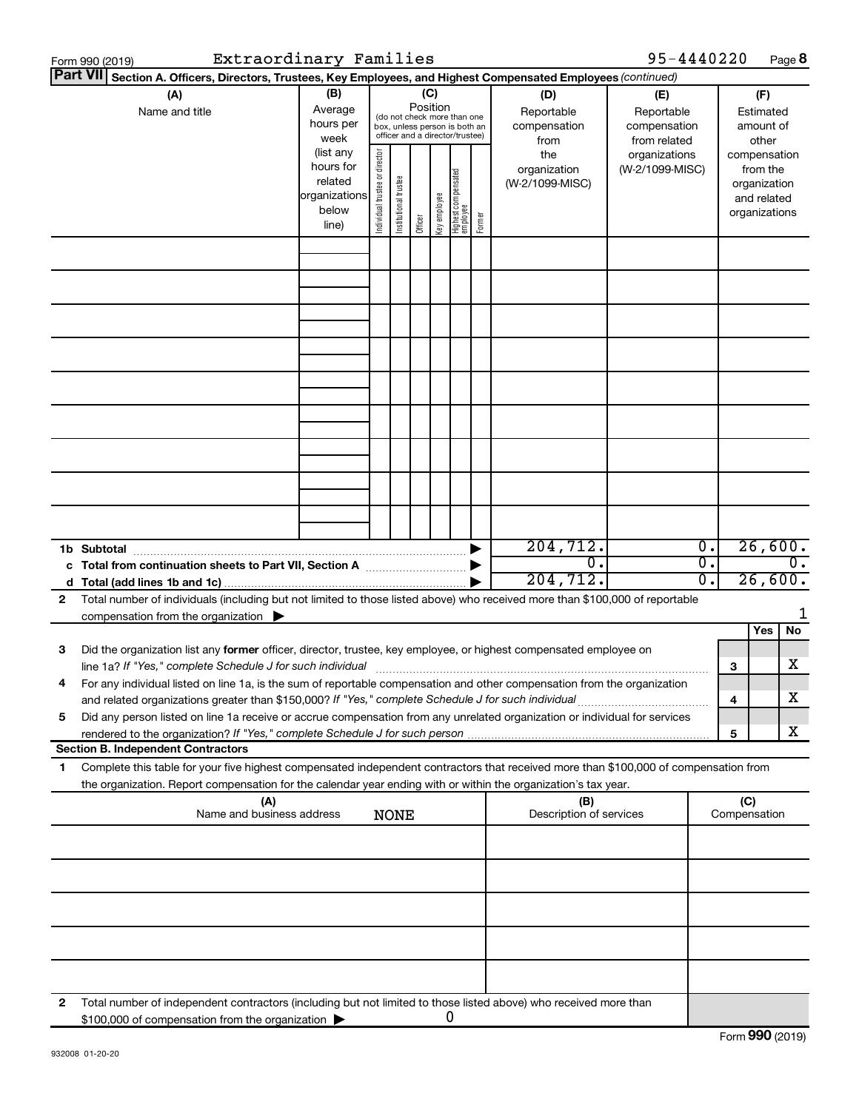|    | Extraordinary Families<br>Form 990 (2019)                                                                                                                                                                                       |                                                         |                                   |                                                                                                 |         |                 |                                  |        |                                                  | 95-4440220                                        |                                      |                                                                          | Page 8                      |
|----|---------------------------------------------------------------------------------------------------------------------------------------------------------------------------------------------------------------------------------|---------------------------------------------------------|-----------------------------------|-------------------------------------------------------------------------------------------------|---------|-----------------|----------------------------------|--------|--------------------------------------------------|---------------------------------------------------|--------------------------------------|--------------------------------------------------------------------------|-----------------------------|
|    | <b>Part VII</b><br>Section A. Officers, Directors, Trustees, Key Employees, and Highest Compensated Employees (continued)                                                                                                       |                                                         |                                   |                                                                                                 |         |                 |                                  |        |                                                  |                                                   |                                      |                                                                          |                             |
|    | (A)<br>Name and title                                                                                                                                                                                                           | (B)<br>Average<br>hours per<br>week<br>(list any        |                                   | (do not check more than one<br>box, unless person is both an<br>officer and a director/trustee) |         | (C)<br>Position |                                  |        | (D)<br>Reportable<br>compensation<br>from<br>the | (E)<br>Reportable<br>compensation<br>from related |                                      | (F)<br>Estimated<br>amount of<br>other                                   |                             |
|    |                                                                                                                                                                                                                                 | hours for<br>related<br>organizations<br>below<br>line) | director<br>Individual trustee or | Institutional trustee                                                                           | Officer | Key employee    | Highest compensated<br> employee | Former | organization<br>(W-2/1099-MISC)                  | organizations<br>(W-2/1099-MISC)                  |                                      | compensation<br>from the<br>organization<br>and related<br>organizations |                             |
|    |                                                                                                                                                                                                                                 |                                                         |                                   |                                                                                                 |         |                 |                                  |        |                                                  |                                                   |                                      |                                                                          |                             |
|    |                                                                                                                                                                                                                                 |                                                         |                                   |                                                                                                 |         |                 |                                  |        |                                                  |                                                   |                                      |                                                                          |                             |
|    |                                                                                                                                                                                                                                 |                                                         |                                   |                                                                                                 |         |                 |                                  |        |                                                  |                                                   |                                      |                                                                          |                             |
|    |                                                                                                                                                                                                                                 |                                                         |                                   |                                                                                                 |         |                 |                                  |        |                                                  |                                                   |                                      |                                                                          |                             |
|    |                                                                                                                                                                                                                                 |                                                         |                                   |                                                                                                 |         |                 |                                  |        |                                                  |                                                   |                                      |                                                                          |                             |
|    |                                                                                                                                                                                                                                 |                                                         |                                   |                                                                                                 |         |                 |                                  |        |                                                  |                                                   |                                      |                                                                          |                             |
|    |                                                                                                                                                                                                                                 |                                                         |                                   |                                                                                                 |         |                 |                                  |        |                                                  |                                                   |                                      |                                                                          |                             |
|    |                                                                                                                                                                                                                                 |                                                         |                                   |                                                                                                 |         |                 |                                  |        |                                                  |                                                   |                                      |                                                                          |                             |
|    | 1b Subtotal                                                                                                                                                                                                                     |                                                         |                                   |                                                                                                 |         |                 |                                  |        | 204, 712.                                        |                                                   | σ.                                   |                                                                          | 26,600.                     |
|    | c Total from continuation sheets to Part VII, Section A manuscription of                                                                                                                                                        |                                                         |                                   |                                                                                                 |         |                 |                                  |        | σ.<br>204, 712.                                  |                                                   | $\overline{0}$ .<br>$\overline{0}$ . |                                                                          | $\overline{0}$ .<br>26,600. |
| 2  | Total number of individuals (including but not limited to those listed above) who received more than \$100,000 of reportable                                                                                                    |                                                         |                                   |                                                                                                 |         |                 |                                  |        |                                                  |                                                   |                                      |                                                                          |                             |
|    | compensation from the organization $\blacktriangleright$                                                                                                                                                                        |                                                         |                                   |                                                                                                 |         |                 |                                  |        |                                                  |                                                   |                                      |                                                                          |                             |
| 3  | Did the organization list any former officer, director, trustee, key employee, or highest compensated employee on                                                                                                               |                                                         |                                   |                                                                                                 |         |                 |                                  |        |                                                  |                                                   |                                      | <b>Yes</b>                                                               | No                          |
|    |                                                                                                                                                                                                                                 |                                                         |                                   |                                                                                                 |         |                 |                                  |        |                                                  |                                                   |                                      | 3                                                                        | X                           |
|    | For any individual listed on line 1a, is the sum of reportable compensation and other compensation from the organization<br>and related organizations greater than \$150,000? If "Yes," complete Schedule J for such individual |                                                         |                                   |                                                                                                 |         |                 |                                  |        |                                                  |                                                   |                                      | 4                                                                        | X                           |
| 5  | Did any person listed on line 1a receive or accrue compensation from any unrelated organization or individual for services                                                                                                      |                                                         |                                   |                                                                                                 |         |                 |                                  |        |                                                  |                                                   |                                      | 5                                                                        | x                           |
| 1. | <b>Section B. Independent Contractors</b><br>Complete this table for your five highest compensated independent contractors that received more than \$100,000 of compensation from                                               |                                                         |                                   |                                                                                                 |         |                 |                                  |        |                                                  |                                                   |                                      |                                                                          |                             |
|    | the organization. Report compensation for the calendar year ending with or within the organization's tax year.<br>(A)                                                                                                           |                                                         |                                   |                                                                                                 |         |                 |                                  |        | (B)                                              |                                                   |                                      | (C)                                                                      |                             |
|    | Name and business address                                                                                                                                                                                                       |                                                         |                                   | <b>NONE</b>                                                                                     |         |                 |                                  |        | Description of services                          |                                                   |                                      | Compensation                                                             |                             |
|    |                                                                                                                                                                                                                                 |                                                         |                                   |                                                                                                 |         |                 |                                  |        |                                                  |                                                   |                                      |                                                                          |                             |
|    |                                                                                                                                                                                                                                 |                                                         |                                   |                                                                                                 |         |                 |                                  |        |                                                  |                                                   |                                      |                                                                          |                             |
|    |                                                                                                                                                                                                                                 |                                                         |                                   |                                                                                                 |         |                 |                                  |        |                                                  |                                                   |                                      |                                                                          |                             |
|    |                                                                                                                                                                                                                                 |                                                         |                                   |                                                                                                 |         |                 |                                  |        |                                                  |                                                   |                                      |                                                                          |                             |
| 2  | Total number of independent contractors (including but not limited to those listed above) who received more than<br>\$100,000 of compensation from the organization                                                             |                                                         |                                   |                                                                                                 |         |                 | 0                                |        |                                                  |                                                   |                                      |                                                                          |                             |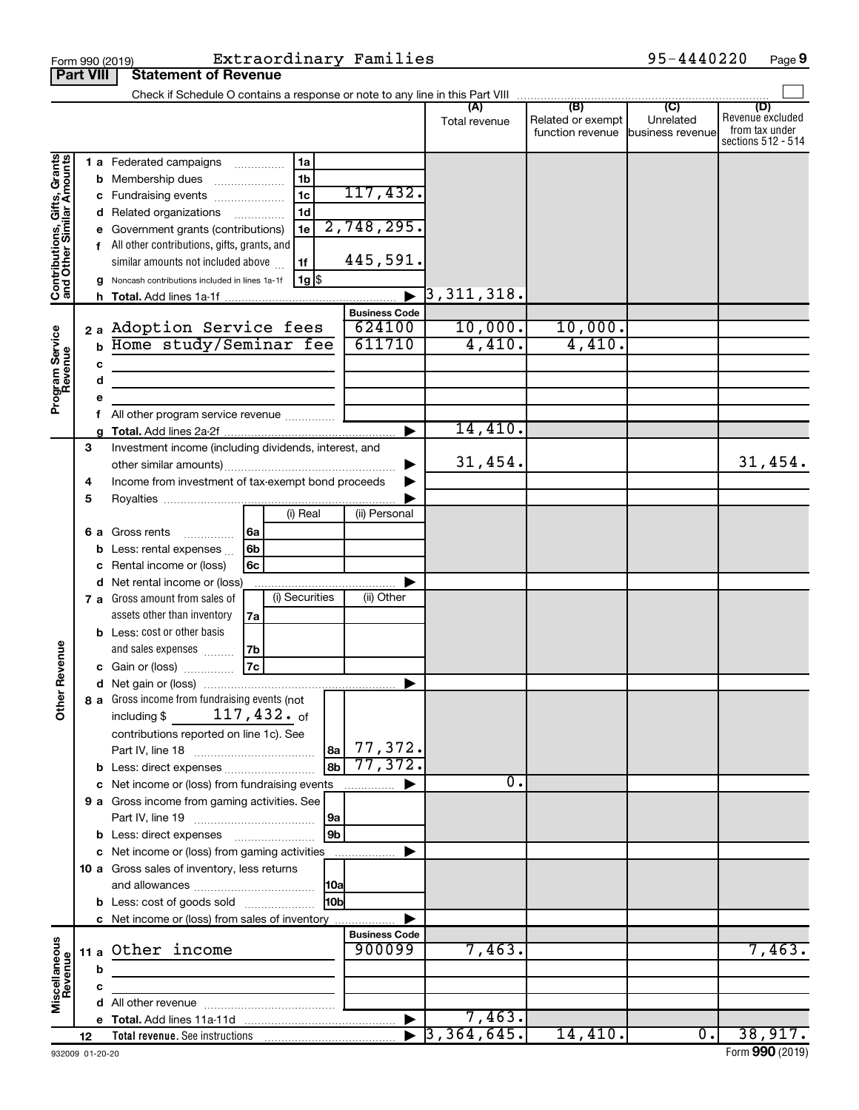|                                                           | <b>Part VIII</b>           | <b>Statement of Revenue</b>                                                                                                                                                                                                                                                                                                                                          |                       |                            |                                              |                                      |                                                                 |
|-----------------------------------------------------------|----------------------------|----------------------------------------------------------------------------------------------------------------------------------------------------------------------------------------------------------------------------------------------------------------------------------------------------------------------------------------------------------------------|-----------------------|----------------------------|----------------------------------------------|--------------------------------------|-----------------------------------------------------------------|
|                                                           |                            | Check if Schedule O contains a response or note to any line in this Part VIII                                                                                                                                                                                                                                                                                        |                       |                            |                                              |                                      |                                                                 |
|                                                           |                            |                                                                                                                                                                                                                                                                                                                                                                      |                       | (A)<br>Total revenue       | (B)<br>Related or exempt<br>function revenue | (C)<br>Unrelated<br>business revenue | (D)<br>Revenue excluded<br>from tax under<br>sections 512 - 514 |
| Contributions, Gifts, Grants<br>and Other Similar Amounts | b<br>с<br>d<br>е<br>g      | 1a<br>1 a Federated campaigns<br>1 <sub>b</sub><br>Membership dues<br>1 <sub>c</sub><br>Fundraising events<br>1 <sub>d</sub><br>Related organizations<br>2,748,295.<br>1e<br>Government grants (contributions)<br>All other contributions, gifts, grants, and<br>similar amounts not included above<br>1f<br>Noncash contributions included in lines 1a-1f<br>1g  \$ | 117,432.<br>445,591.  | $\overline{3}$ , 311, 318. |                                              |                                      |                                                                 |
|                                                           |                            |                                                                                                                                                                                                                                                                                                                                                                      | <b>Business Code</b>  |                            |                                              |                                      |                                                                 |
| Program Service<br>Revenue                                | $\mathbf b$<br>с<br>d<br>е | 2 a Adoption Service fees<br>Home study/Seminar fee<br><u> 1989 - Johann Barn, amerikansk politiker (</u><br><u> 1989 - Johann Barbara, martxa alemaniar a</u>                                                                                                                                                                                                       | 624100<br>611710      | 10,000.<br>4,410.          | 10,000.<br>4,410.                            |                                      |                                                                 |
|                                                           | f                          |                                                                                                                                                                                                                                                                                                                                                                      |                       |                            |                                              |                                      |                                                                 |
|                                                           | g                          |                                                                                                                                                                                                                                                                                                                                                                      |                       | 14,410.                    |                                              |                                      |                                                                 |
|                                                           | 3<br>4<br>5                | Investment income (including dividends, interest, and<br>Income from investment of tax-exempt bond proceeds                                                                                                                                                                                                                                                          | ▶                     | 31,454.                    |                                              |                                      | 31,454.                                                         |
|                                                           | 6а<br>b<br>с<br>d          | (i) Real<br>Gross rents<br>6a<br>6b<br>Less: rental expenses<br>Rental income or (loss)<br>6c<br>Net rental income or (loss)                                                                                                                                                                                                                                         | (ii) Personal         |                            |                                              |                                      |                                                                 |
| Revenue                                                   |                            | (i) Securities<br>7 a Gross amount from sales of<br>assets other than inventory<br>7a<br><b>b</b> Less: cost or other basis<br>and sales expenses<br>7b<br>7c                                                                                                                                                                                                        | (ii) Other            |                            |                                              |                                      |                                                                 |
|                                                           |                            | Gain or (loss)                                                                                                                                                                                                                                                                                                                                                       | ▶                     |                            |                                              |                                      |                                                                 |
| Ĕ                                                         |                            | <b>8 a</b> Gross income from fundraising events (not $\begin{bmatrix} \end{bmatrix}$<br>117,432. of<br>including \$<br>contributions reported on line 1c). See<br>Part IV, line 18<br> 8a  <br>l 8b l                                                                                                                                                                | 77,372.<br>77,372.    |                            |                                              |                                      |                                                                 |
|                                                           |                            | <b>b</b> Less: direct expenses<br>Net income or (loss) from fundraising events                                                                                                                                                                                                                                                                                       |                       | 0.                         |                                              |                                      |                                                                 |
|                                                           | с                          | 9 a Gross income from gaming activities. See<br> 9a                                                                                                                                                                                                                                                                                                                  |                       |                            |                                              |                                      |                                                                 |
|                                                           |                            | l 9b                                                                                                                                                                                                                                                                                                                                                                 |                       |                            |                                              |                                      |                                                                 |
|                                                           |                            | c Net income or (loss) from gaming activities<br>10 a Gross sales of inventory, less returns                                                                                                                                                                                                                                                                         |                       |                            |                                              |                                      |                                                                 |
|                                                           |                            | 10a <br><b>HOb</b><br><b>b</b> Less: cost of goods sold<br>c Net income or (loss) from sales of inventory                                                                                                                                                                                                                                                            |                       |                            |                                              |                                      |                                                                 |
|                                                           |                            |                                                                                                                                                                                                                                                                                                                                                                      | <b>Business Code</b>  |                            |                                              |                                      |                                                                 |
| Miscellaneous<br>Revenue                                  | 11a<br>b                   | Other income                                                                                                                                                                                                                                                                                                                                                         | 900099                | 7,463.                     |                                              |                                      | 7,463.                                                          |
|                                                           | c                          |                                                                                                                                                                                                                                                                                                                                                                      |                       |                            |                                              |                                      |                                                                 |
|                                                           |                            |                                                                                                                                                                                                                                                                                                                                                                      |                       |                            |                                              |                                      |                                                                 |
|                                                           |                            |                                                                                                                                                                                                                                                                                                                                                                      | $\blacktriangleright$ | 7,463.                     |                                              |                                      |                                                                 |
|                                                           | 12                         |                                                                                                                                                                                                                                                                                                                                                                      |                       | 3,364,645.                 | 14,410.                                      | $\overline{0}$ .                     | 38,917.                                                         |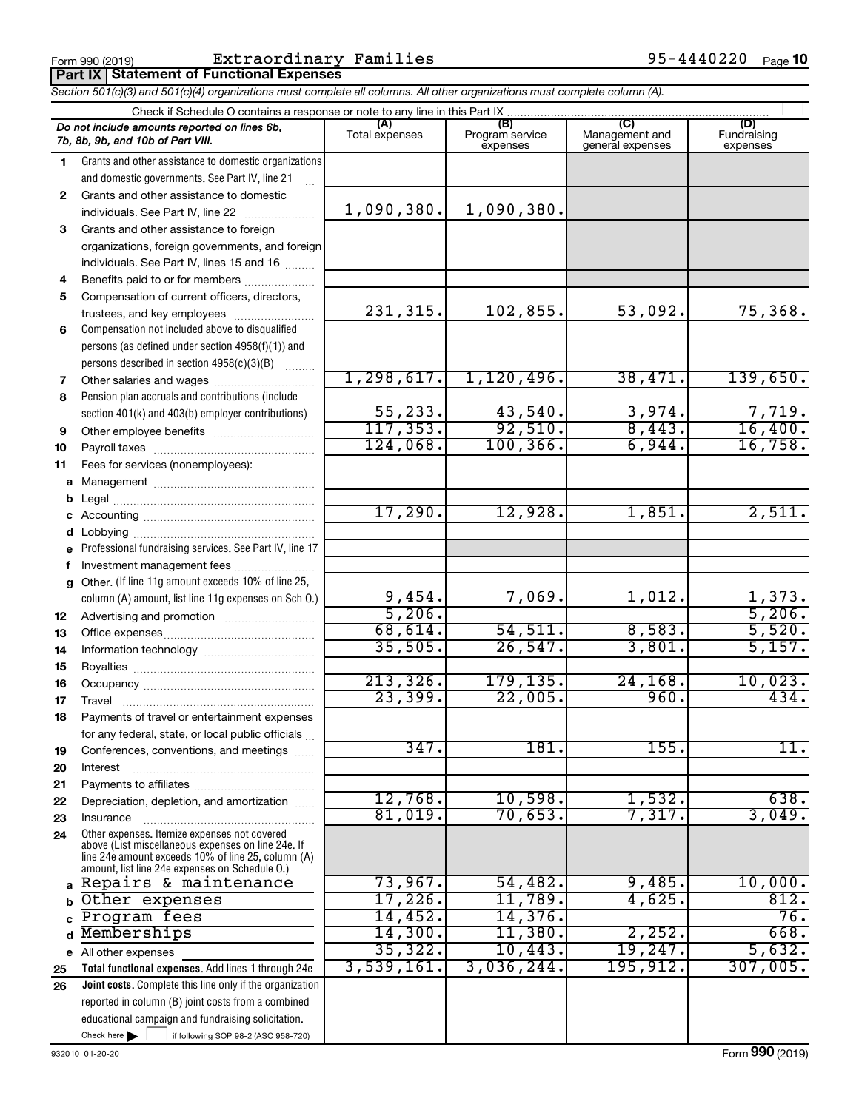Form 990 (2019) Page **Part IX Statement of Functional Expenses** Extraordinary Families 95-4440220

|              | Section 501(c)(3) and 501(c)(4) organizations must complete all columns. All other organizations must complete column (A).                                                                                 |                       |                                    |                                    |                         |  |  |  |  |  |  |
|--------------|------------------------------------------------------------------------------------------------------------------------------------------------------------------------------------------------------------|-----------------------|------------------------------------|------------------------------------|-------------------------|--|--|--|--|--|--|
|              | Check if Schedule O contains a response or note to any line in this Part IX.                                                                                                                               |                       |                                    |                                    |                         |  |  |  |  |  |  |
|              | Do not include amounts reported on lines 6b,<br>7b, 8b, 9b, and 10b of Part VIII.                                                                                                                          | (A)<br>Total expenses | (B)<br>Program service<br>expenses | Management and<br>general expenses | Fundraising<br>expenses |  |  |  |  |  |  |
| $\mathbf{1}$ | Grants and other assistance to domestic organizations<br>and domestic governments. See Part IV, line 21                                                                                                    |                       |                                    |                                    |                         |  |  |  |  |  |  |
| $\mathbf{2}$ | Grants and other assistance to domestic                                                                                                                                                                    |                       |                                    |                                    |                         |  |  |  |  |  |  |
|              |                                                                                                                                                                                                            | 1,090,380.            | 1,090,380.                         |                                    |                         |  |  |  |  |  |  |
| 3            | Grants and other assistance to foreign                                                                                                                                                                     |                       |                                    |                                    |                         |  |  |  |  |  |  |
|              | organizations, foreign governments, and foreign                                                                                                                                                            |                       |                                    |                                    |                         |  |  |  |  |  |  |
|              | individuals. See Part IV, lines 15 and 16                                                                                                                                                                  |                       |                                    |                                    |                         |  |  |  |  |  |  |
| 4            | Benefits paid to or for members                                                                                                                                                                            |                       |                                    |                                    |                         |  |  |  |  |  |  |
| 5            | Compensation of current officers, directors,                                                                                                                                                               |                       |                                    |                                    |                         |  |  |  |  |  |  |
|              | trustees, and key employees                                                                                                                                                                                | 231,315.              | 102,855.                           | 53,092.                            | 75,368.                 |  |  |  |  |  |  |
| 6            | Compensation not included above to disqualified                                                                                                                                                            |                       |                                    |                                    |                         |  |  |  |  |  |  |
|              | persons (as defined under section 4958(f)(1)) and                                                                                                                                                          |                       |                                    |                                    |                         |  |  |  |  |  |  |
|              | persons described in section 4958(c)(3)(B)                                                                                                                                                                 |                       |                                    |                                    |                         |  |  |  |  |  |  |
| 7            |                                                                                                                                                                                                            | 1, 298, 617.          | 1,120,496.                         | 38,471.                            | 139,650.                |  |  |  |  |  |  |
| 8            | Pension plan accruals and contributions (include                                                                                                                                                           |                       |                                    |                                    |                         |  |  |  |  |  |  |
|              | section 401(k) and 403(b) employer contributions)                                                                                                                                                          | 55,233.               | 43,540.                            | 3,974.                             | 7,719.                  |  |  |  |  |  |  |
| 9            |                                                                                                                                                                                                            | 117, 353.             | 92,510.                            | 8,443.                             | 16,400.                 |  |  |  |  |  |  |
| 10           |                                                                                                                                                                                                            | 124,068.              | 100, 366.                          | 6,944.                             | 16,758.                 |  |  |  |  |  |  |
| 11           | Fees for services (nonemployees):                                                                                                                                                                          |                       |                                    |                                    |                         |  |  |  |  |  |  |
|              |                                                                                                                                                                                                            |                       |                                    |                                    |                         |  |  |  |  |  |  |
|              |                                                                                                                                                                                                            |                       |                                    |                                    |                         |  |  |  |  |  |  |
|              |                                                                                                                                                                                                            | 17,290.               | 12,928.                            | 1,851.                             | 2,511.                  |  |  |  |  |  |  |
|              |                                                                                                                                                                                                            |                       |                                    |                                    |                         |  |  |  |  |  |  |
|              | e Professional fundraising services. See Part IV, line 17                                                                                                                                                  |                       |                                    |                                    |                         |  |  |  |  |  |  |
|              | f Investment management fees<br>g Other. (If line 11g amount exceeds 10% of line 25,                                                                                                                       |                       |                                    |                                    |                         |  |  |  |  |  |  |
|              | column (A) amount, list line 11g expenses on Sch O.)                                                                                                                                                       | 9,454.                | 7,069.                             | 1,012.                             |                         |  |  |  |  |  |  |
| 12           |                                                                                                                                                                                                            | 5,206.                |                                    |                                    | $\frac{1,373}{5,206}$   |  |  |  |  |  |  |
| 13           |                                                                                                                                                                                                            | 68,614.               | 54,511.                            | 8,583.                             | 5,520.                  |  |  |  |  |  |  |
| 14           |                                                                                                                                                                                                            | 35,505.               | 26, 547.                           | 3,801.                             | 5,157.                  |  |  |  |  |  |  |
| 15           |                                                                                                                                                                                                            |                       |                                    |                                    |                         |  |  |  |  |  |  |
| 16           |                                                                                                                                                                                                            | 213, 326.             | 179, 135.                          | 24, 168.                           | 10,023.                 |  |  |  |  |  |  |
| 17           |                                                                                                                                                                                                            | 23,399.               | 22,005.                            | 960.                               | 434.                    |  |  |  |  |  |  |
| 18           | Payments of travel or entertainment expenses                                                                                                                                                               |                       |                                    |                                    |                         |  |  |  |  |  |  |
|              | for any federal, state, or local public officials                                                                                                                                                          |                       |                                    |                                    |                         |  |  |  |  |  |  |
| 19           | Conferences, conventions, and meetings                                                                                                                                                                     | 347.                  | 181.                               | 155.                               | 11.                     |  |  |  |  |  |  |
| 20           | Interest                                                                                                                                                                                                   |                       |                                    |                                    |                         |  |  |  |  |  |  |
| 21           |                                                                                                                                                                                                            |                       |                                    |                                    |                         |  |  |  |  |  |  |
| 22           | Depreciation, depletion, and amortization                                                                                                                                                                  | 12,768.               | 10,598.                            | 1,532.                             | 638.                    |  |  |  |  |  |  |
| 23           | Insurance                                                                                                                                                                                                  | 81,019.               | 70,653.                            | 7,317.                             | 3,049.                  |  |  |  |  |  |  |
| 24           | Other expenses. Itemize expenses not covered<br>above (List miscellaneous expenses on line 24e. If<br>line 24e amount exceeds 10% of line 25, column (A)<br>amount, list line 24e expenses on Schedule O.) |                       |                                    |                                    |                         |  |  |  |  |  |  |
|              | Repairs & maintenance                                                                                                                                                                                      | 73,967.               | 54,482.                            | 9,485.                             | 10,000.                 |  |  |  |  |  |  |
|              | Other expenses                                                                                                                                                                                             | $17,226$ .            | 11,789.                            | 4,625.                             | 812.                    |  |  |  |  |  |  |
|              | Program fees                                                                                                                                                                                               | 14,452.               | 14,376.                            |                                    | 76.                     |  |  |  |  |  |  |
|              | Memberships                                                                                                                                                                                                | 14,300.               | 11,380.                            | 2,252.                             | 668.                    |  |  |  |  |  |  |
|              | e All other expenses                                                                                                                                                                                       | 35,322.               | 10,443.                            | 19,247.                            | 5,632.                  |  |  |  |  |  |  |
| 25           | Total functional expenses. Add lines 1 through 24e                                                                                                                                                         | 3,539,161.            | 3,036,244.                         | 195,912.                           | 307,005.                |  |  |  |  |  |  |
| 26           | Joint costs. Complete this line only if the organization                                                                                                                                                   |                       |                                    |                                    |                         |  |  |  |  |  |  |
|              | reported in column (B) joint costs from a combined                                                                                                                                                         |                       |                                    |                                    |                         |  |  |  |  |  |  |
|              | educational campaign and fundraising solicitation.                                                                                                                                                         |                       |                                    |                                    |                         |  |  |  |  |  |  |
|              | Check here $\blacktriangleright$<br>if following SOP 98-2 (ASC 958-720)                                                                                                                                    |                       |                                    |                                    |                         |  |  |  |  |  |  |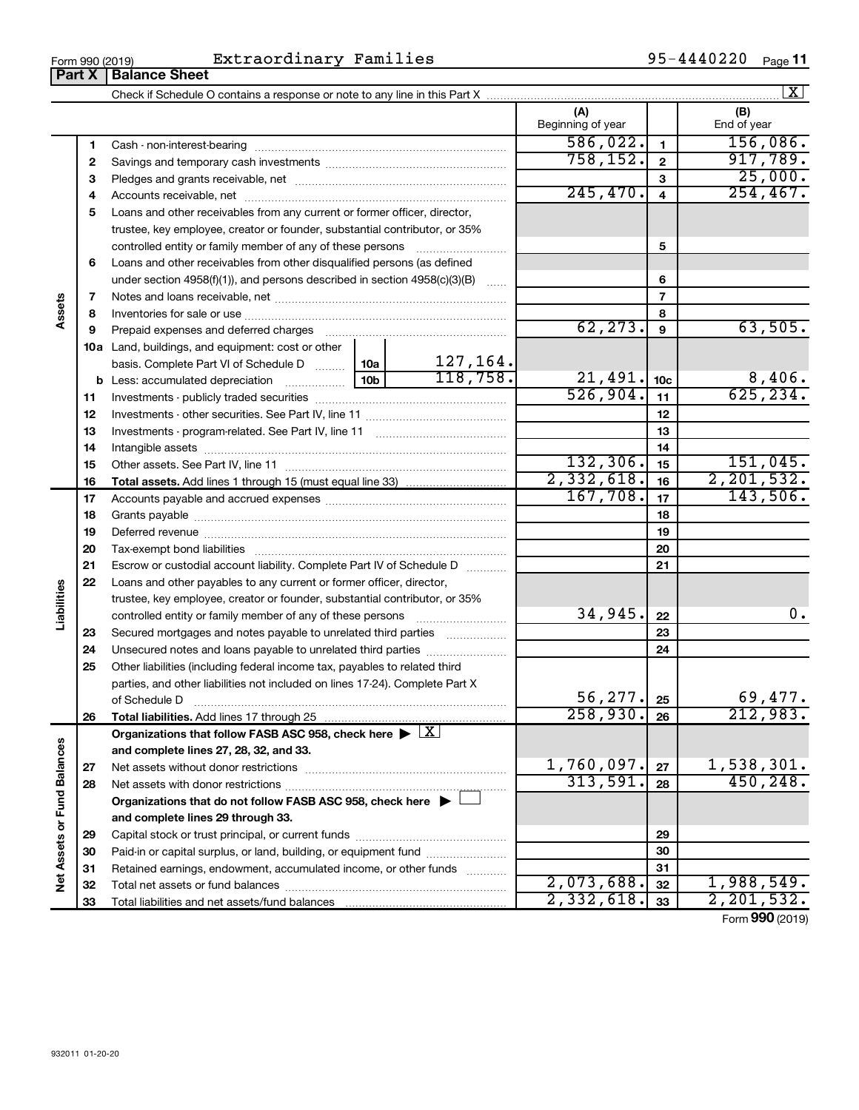| Form 990 (2019) | Extraordinary Families |  | 95-4440220 | Page 11 |
|-----------------|------------------------|--|------------|---------|
|-----------------|------------------------|--|------------|---------|

|                             |    |                                                                                                        |          |           |                               |                | $\vert X \vert$             |
|-----------------------------|----|--------------------------------------------------------------------------------------------------------|----------|-----------|-------------------------------|----------------|-----------------------------|
|                             |    |                                                                                                        |          |           | (A)<br>Beginning of year      |                | (B)<br>End of year          |
|                             | 1  |                                                                                                        |          |           | 586,022.                      | $\mathbf{1}$   | 156,086.                    |
|                             | 2  |                                                                                                        |          |           | 758, 152.                     | $\mathbf{2}$   | 917,789.                    |
|                             | З  |                                                                                                        |          |           |                               | 3              | 25,000.                     |
|                             | 4  |                                                                                                        |          | 245, 470. | $\overline{4}$                | 254, 467.      |                             |
|                             | 5  | Loans and other receivables from any current or former officer, director,                              |          |           |                               |                |                             |
|                             |    | trustee, key employee, creator or founder, substantial contributor, or 35%                             |          |           |                               |                |                             |
|                             |    | controlled entity or family member of any of these persons                                             |          | 5         |                               |                |                             |
|                             | 6  | Loans and other receivables from other disqualified persons (as defined                                |          |           |                               |                |                             |
|                             |    | under section 4958(f)(1)), and persons described in section 4958(c)(3)(B)                              |          | 6         |                               |                |                             |
|                             | 7  |                                                                                                        |          |           |                               | $\overline{7}$ |                             |
| Assets                      | 8  |                                                                                                        |          |           |                               | 8              |                             |
|                             | 9  |                                                                                                        |          |           | 62, 273.                      | 9              | 63,505.                     |
|                             |    | 10a Land, buildings, and equipment: cost or other                                                      |          |           |                               |                |                             |
|                             |    | basis. Complete Part VI of Schedule D  10a                                                             |          | 127,164.  |                               |                |                             |
|                             |    |                                                                                                        | 118,758. | 21,491.   | 10 <sub>c</sub>               | 8,406.         |                             |
|                             | 11 |                                                                                                        | 526,904. | 11        | 625, 234.                     |                |                             |
|                             | 12 |                                                                                                        |          | 12        |                               |                |                             |
|                             | 13 |                                                                                                        |          | 13        |                               |                |                             |
|                             | 14 |                                                                                                        |          |           | 14                            |                |                             |
|                             | 15 |                                                                                                        |          |           | 132,306.                      | 15             | 151,045.                    |
|                             | 16 |                                                                                                        |          |           | 2,332,618.                    | 16             | 2, 201, 532.                |
|                             | 17 |                                                                                                        | 167,708. | 17        | 143,506.                      |                |                             |
|                             | 18 |                                                                                                        |          | 18        |                               |                |                             |
|                             | 19 |                                                                                                        |          |           |                               | 19             |                             |
|                             | 20 |                                                                                                        |          |           |                               | 20             |                             |
|                             | 21 | Escrow or custodial account liability. Complete Part IV of Schedule D                                  |          | .         |                               | 21             |                             |
|                             | 22 | Loans and other payables to any current or former officer, director,                                   |          |           |                               |                |                             |
| Liabilities                 |    | trustee, key employee, creator or founder, substantial contributor, or 35%                             |          |           |                               |                |                             |
|                             |    | controlled entity or family member of any of these persons                                             |          |           | 34,945.                       | 22             | 0.                          |
|                             | 23 | Secured mortgages and notes payable to unrelated third parties                                         |          |           |                               | 23             |                             |
|                             | 24 | Unsecured notes and loans payable to unrelated third parties                                           |          |           |                               | 24             |                             |
|                             | 25 | Other liabilities (including federal income tax, payables to related third                             |          |           |                               |                |                             |
|                             |    | parties, and other liabilities not included on lines 17-24). Complete Part X                           |          |           |                               |                |                             |
|                             |    | of Schedule D                                                                                          |          |           | 56, 277.                      | 25             | 69,477.                     |
|                             | 26 | Total liabilities. Add lines 17 through 25                                                             |          |           | 258,930.                      | 26             | 212,983.                    |
|                             |    | Organizations that follow FASB ASC 958, check here $\blacktriangleright \lfloor \underline{X} \rfloor$ |          |           |                               |                |                             |
|                             |    | and complete lines 27, 28, 32, and 33.                                                                 |          |           |                               |                |                             |
|                             | 27 |                                                                                                        |          |           | $\frac{1,760,097.}{313,591.}$ | 27             | $\frac{1,538,301}{450,248}$ |
|                             | 28 |                                                                                                        |          | 28        |                               |                |                             |
|                             |    | Organizations that do not follow FASB ASC 958, check here ▶ U                                          |          |           |                               |                |                             |
| Net Assets or Fund Balances |    | and complete lines 29 through 33.                                                                      |          |           |                               |                |                             |
|                             | 29 |                                                                                                        |          |           |                               | 29             |                             |
|                             | 30 | Paid-in or capital surplus, or land, building, or equipment fund                                       |          |           |                               | 30             |                             |
|                             | 31 | Retained earnings, endowment, accumulated income, or other funds                                       |          |           |                               | 31             |                             |
|                             | 32 |                                                                                                        |          |           | 2,073,688.                    | 32             | 1,988,549.                  |
|                             | 33 |                                                                                                        |          |           | 2,332,618.                    | 33             | 2, 201, 532.                |

Form (2019) **990**

### **Part X Balance Sheet**

|  | Form 990 (2019 |
|--|----------------|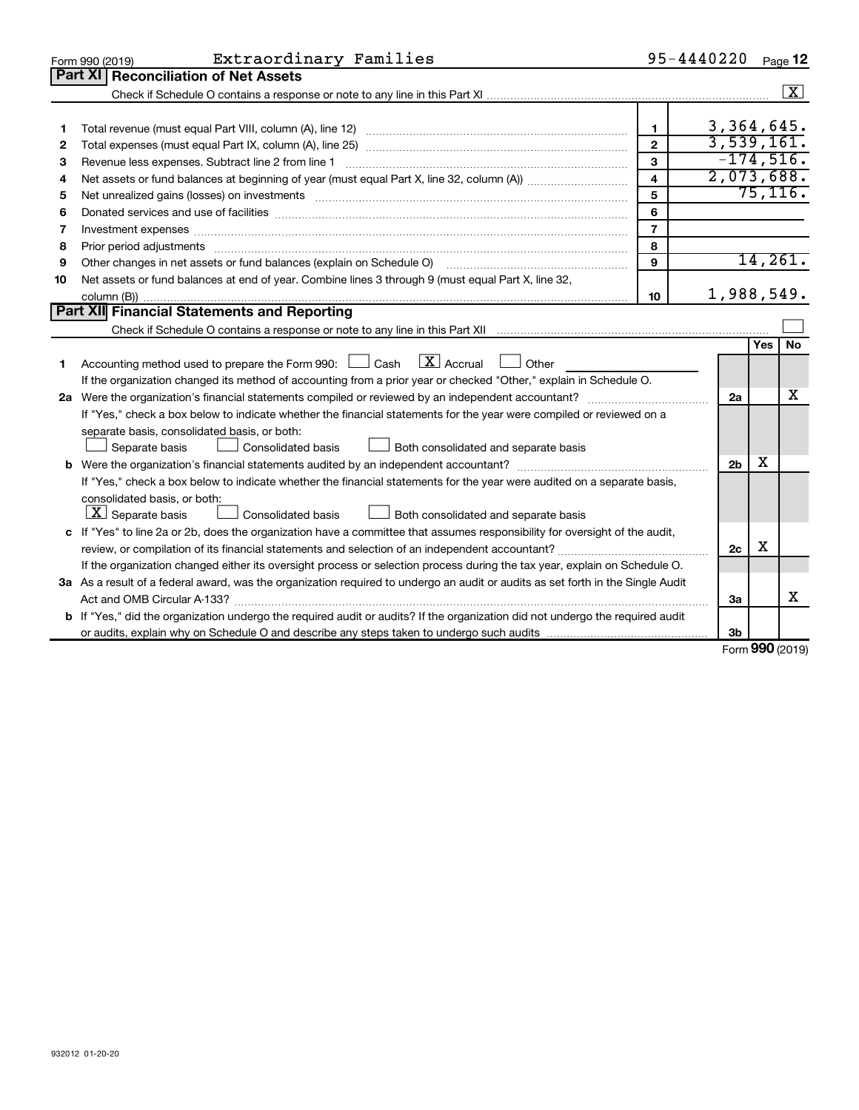|    | Extraordinary Families<br>Form 990 (2019)                                                                                                                                                                                     | 95-4440220              |                |     | Page 12              |
|----|-------------------------------------------------------------------------------------------------------------------------------------------------------------------------------------------------------------------------------|-------------------------|----------------|-----|----------------------|
|    | Part XI   Reconciliation of Net Assets                                                                                                                                                                                        |                         |                |     |                      |
|    |                                                                                                                                                                                                                               |                         |                |     | $\boxed{\textbf{X}}$ |
|    |                                                                                                                                                                                                                               |                         |                |     |                      |
| 1  |                                                                                                                                                                                                                               | $\mathbf{1}$            | 3,364,645.     |     |                      |
| 2  |                                                                                                                                                                                                                               | $\overline{2}$          | 3,539,161.     |     |                      |
| з  | Revenue less expenses. Subtract line 2 from line 1                                                                                                                                                                            | $\overline{\mathbf{3}}$ | $-174,516.$    |     |                      |
| 4  |                                                                                                                                                                                                                               | $\overline{\mathbf{A}}$ | 2,073,688.     |     |                      |
| 5  |                                                                                                                                                                                                                               | 5                       |                |     | 75, 116.             |
| 6  |                                                                                                                                                                                                                               | 6                       |                |     |                      |
| 7  | Investment expenses www.communication.com/www.communication.com/www.communication.com/www.com                                                                                                                                 | $\overline{7}$          |                |     |                      |
| 8  | Prior period adjustments manufactured and content and content and content and content and content and content and content and content and content and content and content and content and content and content and content and | 8                       |                |     |                      |
| 9  | Other changes in net assets or fund balances (explain on Schedule O)                                                                                                                                                          | $\mathbf{Q}$            |                |     | 14,261.              |
| 10 | Net assets or fund balances at end of year. Combine lines 3 through 9 (must equal Part X, line 32,                                                                                                                            |                         |                |     |                      |
|    |                                                                                                                                                                                                                               | 10                      | 1,988,549.     |     |                      |
|    | Part XII Financial Statements and Reporting                                                                                                                                                                                   |                         |                |     |                      |
|    |                                                                                                                                                                                                                               |                         |                |     |                      |
|    |                                                                                                                                                                                                                               |                         |                | Yes | <b>No</b>            |
| 1  | $\boxed{\text{X}}$ Accrual<br>Accounting method used to prepare the Form 990: $\Box$ Cash<br>$\Box$ Other                                                                                                                     |                         |                |     |                      |
|    | If the organization changed its method of accounting from a prior year or checked "Other," explain in Schedule O.                                                                                                             |                         |                |     |                      |
|    |                                                                                                                                                                                                                               |                         | 2a             |     | х                    |
|    | If "Yes," check a box below to indicate whether the financial statements for the year were compiled or reviewed on a                                                                                                          |                         |                |     |                      |
|    | separate basis, consolidated basis, or both:                                                                                                                                                                                  |                         |                |     |                      |
|    | Separate basis<br>Consolidated basis<br>Both consolidated and separate basis                                                                                                                                                  |                         |                |     |                      |
|    |                                                                                                                                                                                                                               |                         | 2 <sub>b</sub> | х   |                      |
|    | If "Yes," check a box below to indicate whether the financial statements for the year were audited on a separate basis,                                                                                                       |                         |                |     |                      |
|    | consolidated basis, or both:                                                                                                                                                                                                  |                         |                |     |                      |
|    | $\lfloor \underline{X} \rfloor$ Separate basis<br>Consolidated basis<br>Both consolidated and separate basis                                                                                                                  |                         |                |     |                      |
|    | c If "Yes" to line 2a or 2b, does the organization have a committee that assumes responsibility for oversight of the audit,                                                                                                   |                         |                |     |                      |
|    | review, or compilation of its financial statements and selection of an independent accountant?                                                                                                                                |                         | 2c             | х   |                      |
|    | If the organization changed either its oversight process or selection process during the tax year, explain on Schedule O.                                                                                                     |                         |                |     |                      |
|    | 3a As a result of a federal award, was the organization required to undergo an audit or audits as set forth in the Single Audit                                                                                               |                         |                |     |                      |
|    | Act and OMB Circular A-133?                                                                                                                                                                                                   |                         | За             |     | x                    |
|    | b If "Yes," did the organization undergo the required audit or audits? If the organization did not undergo the required audit                                                                                                 |                         |                |     |                      |
|    |                                                                                                                                                                                                                               |                         | 3b             |     |                      |

Form (2019) **990**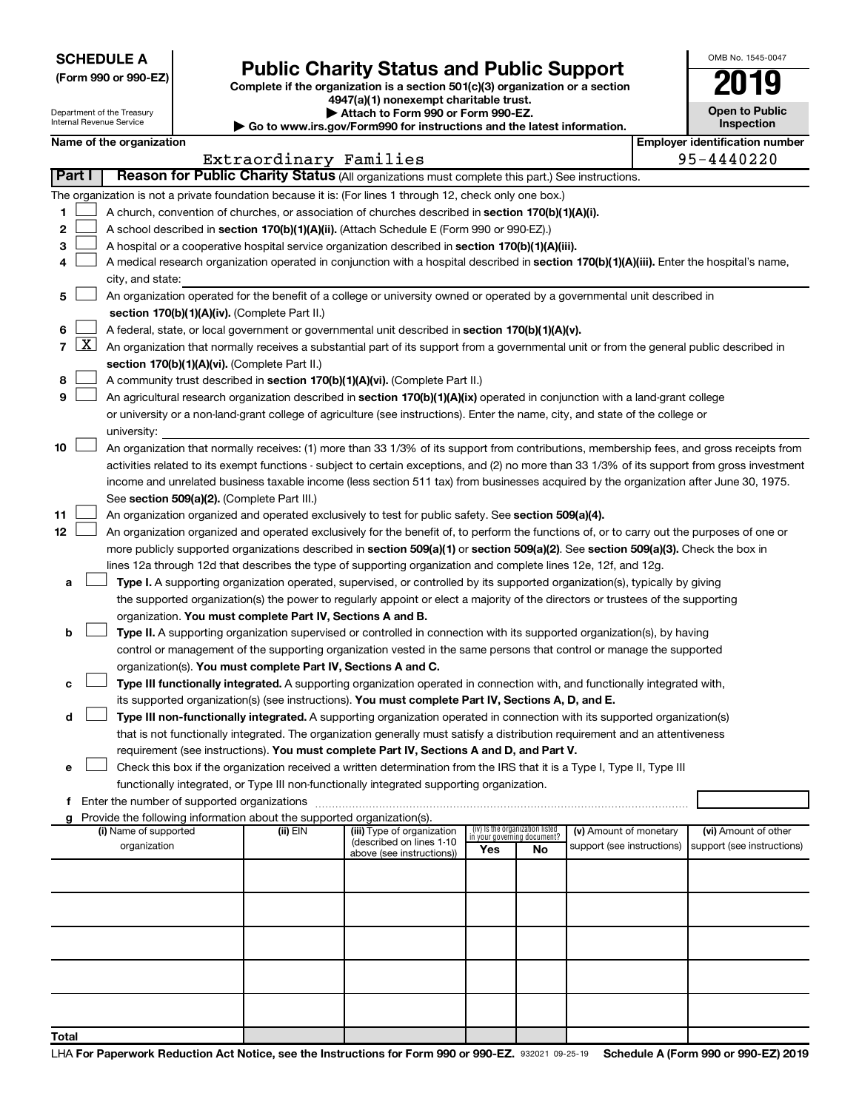| <b>SCHEDULE A</b> |  |
|-------------------|--|
|-------------------|--|

| (Form 990 or 990-EZ) |  |  |  |  |
|----------------------|--|--|--|--|
|----------------------|--|--|--|--|

# **Public Charity Status and Public Support**<br> **Addition is a section 501(c)(3) organization or a section**<br>  $4947(a)(1)$  nonexempt charitable trust.

**(Form 990 or 990-EZ) Complete if the organization is a section 501(c)(3) organization or a section**

| OMB No. 1545-0047     |
|-----------------------|
| ነበ1                   |
| <b>Open to Public</b> |

| Department of the Treasury<br>Attach to Form 990 or Form 990-EZ.<br>Internal Revenue Service<br>$\cdot$ Go to www.irs.gov/Form990 for instructions and the latest information. |        |                          |                                             |                                                                        |                                                                                                                                               | <b>Open to Public</b><br><b>Inspection</b> |                                                                |                            |  |                            |
|--------------------------------------------------------------------------------------------------------------------------------------------------------------------------------|--------|--------------------------|---------------------------------------------|------------------------------------------------------------------------|-----------------------------------------------------------------------------------------------------------------------------------------------|--------------------------------------------|----------------------------------------------------------------|----------------------------|--|----------------------------|
|                                                                                                                                                                                |        | Name of the organization |                                             |                                                                        | <b>Employer identification number</b>                                                                                                         |                                            |                                                                |                            |  |                            |
|                                                                                                                                                                                |        |                          |                                             |                                                                        |                                                                                                                                               |                                            |                                                                |                            |  |                            |
|                                                                                                                                                                                | Part I |                          |                                             | Extraordinary Families                                                 |                                                                                                                                               |                                            |                                                                |                            |  | 95-4440220                 |
|                                                                                                                                                                                |        |                          |                                             |                                                                        | Reason for Public Charity Status (All organizations must complete this part.) See instructions.                                               |                                            |                                                                |                            |  |                            |
|                                                                                                                                                                                |        |                          |                                             |                                                                        | The organization is not a private foundation because it is: (For lines 1 through 12, check only one box.)                                     |                                            |                                                                |                            |  |                            |
| 1                                                                                                                                                                              |        |                          |                                             |                                                                        | A church, convention of churches, or association of churches described in section 170(b)(1)(A)(i).                                            |                                            |                                                                |                            |  |                            |
| 2                                                                                                                                                                              |        |                          |                                             |                                                                        | A school described in section 170(b)(1)(A)(ii). (Attach Schedule E (Form 990 or 990-EZ).)                                                     |                                            |                                                                |                            |  |                            |
| з                                                                                                                                                                              |        |                          |                                             |                                                                        | A hospital or a cooperative hospital service organization described in section 170(b)(1)(A)(iii).                                             |                                            |                                                                |                            |  |                            |
| 4                                                                                                                                                                              |        |                          |                                             |                                                                        | A medical research organization operated in conjunction with a hospital described in section 170(b)(1)(A)(iii). Enter the hospital's name,    |                                            |                                                                |                            |  |                            |
|                                                                                                                                                                                |        | city, and state:         |                                             |                                                                        |                                                                                                                                               |                                            |                                                                |                            |  |                            |
| 5                                                                                                                                                                              |        |                          |                                             |                                                                        | An organization operated for the benefit of a college or university owned or operated by a governmental unit described in                     |                                            |                                                                |                            |  |                            |
|                                                                                                                                                                                |        |                          |                                             | section 170(b)(1)(A)(iv). (Complete Part II.)                          |                                                                                                                                               |                                            |                                                                |                            |  |                            |
| 6                                                                                                                                                                              |        |                          |                                             |                                                                        | A federal, state, or local government or governmental unit described in section 170(b)(1)(A)(v).                                              |                                            |                                                                |                            |  |                            |
| 7                                                                                                                                                                              |        |                          |                                             |                                                                        | $X$ An organization that normally receives a substantial part of its support from a governmental unit or from the general public described in |                                            |                                                                |                            |  |                            |
|                                                                                                                                                                                |        |                          |                                             | section 170(b)(1)(A)(vi). (Complete Part II.)                          |                                                                                                                                               |                                            |                                                                |                            |  |                            |
| 8                                                                                                                                                                              |        |                          |                                             |                                                                        | A community trust described in section 170(b)(1)(A)(vi). (Complete Part II.)                                                                  |                                            |                                                                |                            |  |                            |
| 9                                                                                                                                                                              |        |                          |                                             |                                                                        | An agricultural research organization described in section 170(b)(1)(A)(ix) operated in conjunction with a land-grant college                 |                                            |                                                                |                            |  |                            |
|                                                                                                                                                                                |        |                          |                                             |                                                                        | or university or a non-land-grant college of agriculture (see instructions). Enter the name, city, and state of the college or                |                                            |                                                                |                            |  |                            |
|                                                                                                                                                                                |        | university:              |                                             |                                                                        |                                                                                                                                               |                                            |                                                                |                            |  |                            |
| 10                                                                                                                                                                             |        |                          |                                             |                                                                        | An organization that normally receives: (1) more than 33 1/3% of its support from contributions, membership fees, and gross receipts from     |                                            |                                                                |                            |  |                            |
|                                                                                                                                                                                |        |                          |                                             |                                                                        |                                                                                                                                               |                                            |                                                                |                            |  |                            |
|                                                                                                                                                                                |        |                          |                                             |                                                                        | activities related to its exempt functions - subject to certain exceptions, and (2) no more than 33 1/3% of its support from gross investment |                                            |                                                                |                            |  |                            |
|                                                                                                                                                                                |        |                          |                                             |                                                                        | income and unrelated business taxable income (less section 511 tax) from businesses acquired by the organization after June 30, 1975.         |                                            |                                                                |                            |  |                            |
|                                                                                                                                                                                |        |                          |                                             | See section 509(a)(2). (Complete Part III.)                            |                                                                                                                                               |                                            |                                                                |                            |  |                            |
| 11                                                                                                                                                                             |        |                          |                                             |                                                                        | An organization organized and operated exclusively to test for public safety. See section 509(a)(4).                                          |                                            |                                                                |                            |  |                            |
| 12                                                                                                                                                                             |        |                          |                                             |                                                                        | An organization organized and operated exclusively for the benefit of, to perform the functions of, or to carry out the purposes of one or    |                                            |                                                                |                            |  |                            |
|                                                                                                                                                                                |        |                          |                                             |                                                                        | more publicly supported organizations described in section 509(a)(1) or section 509(a)(2). See section 509(a)(3). Check the box in            |                                            |                                                                |                            |  |                            |
|                                                                                                                                                                                |        |                          |                                             |                                                                        | lines 12a through 12d that describes the type of supporting organization and complete lines 12e, 12f, and 12g.                                |                                            |                                                                |                            |  |                            |
| а                                                                                                                                                                              |        |                          |                                             |                                                                        | Type I. A supporting organization operated, supervised, or controlled by its supported organization(s), typically by giving                   |                                            |                                                                |                            |  |                            |
|                                                                                                                                                                                |        |                          |                                             |                                                                        | the supported organization(s) the power to regularly appoint or elect a majority of the directors or trustees of the supporting               |                                            |                                                                |                            |  |                            |
|                                                                                                                                                                                |        |                          |                                             | organization. You must complete Part IV, Sections A and B.             |                                                                                                                                               |                                            |                                                                |                            |  |                            |
| b                                                                                                                                                                              |        |                          |                                             |                                                                        | Type II. A supporting organization supervised or controlled in connection with its supported organization(s), by having                       |                                            |                                                                |                            |  |                            |
|                                                                                                                                                                                |        |                          |                                             |                                                                        | control or management of the supporting organization vested in the same persons that control or manage the supported                          |                                            |                                                                |                            |  |                            |
|                                                                                                                                                                                |        |                          |                                             | organization(s). You must complete Part IV, Sections A and C.          |                                                                                                                                               |                                            |                                                                |                            |  |                            |
| с                                                                                                                                                                              |        |                          |                                             |                                                                        | Type III functionally integrated. A supporting organization operated in connection with, and functionally integrated with,                    |                                            |                                                                |                            |  |                            |
|                                                                                                                                                                                |        |                          |                                             |                                                                        | its supported organization(s) (see instructions). You must complete Part IV, Sections A, D, and E.                                            |                                            |                                                                |                            |  |                            |
| d                                                                                                                                                                              |        |                          |                                             |                                                                        | Type III non-functionally integrated. A supporting organization operated in connection with its supported organization(s)                     |                                            |                                                                |                            |  |                            |
|                                                                                                                                                                                |        |                          |                                             |                                                                        | that is not functionally integrated. The organization generally must satisfy a distribution requirement and an attentiveness                  |                                            |                                                                |                            |  |                            |
|                                                                                                                                                                                |        |                          |                                             |                                                                        | requirement (see instructions). You must complete Part IV, Sections A and D, and Part V.                                                      |                                            |                                                                |                            |  |                            |
| е                                                                                                                                                                              |        |                          |                                             |                                                                        | Check this box if the organization received a written determination from the IRS that it is a Type I, Type II, Type III                       |                                            |                                                                |                            |  |                            |
|                                                                                                                                                                                |        |                          |                                             |                                                                        | functionally integrated, or Type III non-functionally integrated supporting organization.                                                     |                                            |                                                                |                            |  |                            |
| f                                                                                                                                                                              |        |                          | Enter the number of supported organizations |                                                                        |                                                                                                                                               |                                            |                                                                |                            |  |                            |
| a                                                                                                                                                                              |        |                          |                                             | Provide the following information about the supported organization(s). |                                                                                                                                               |                                            |                                                                |                            |  |                            |
|                                                                                                                                                                                |        | (i) Name of supported    |                                             | (ii) $EIN$                                                             | (iii) Type of organization                                                                                                                    |                                            | (iv) Is the organization listed<br>in your governing document? | (v) Amount of monetary     |  | (vi) Amount of other       |
|                                                                                                                                                                                |        | organization             |                                             |                                                                        | (described on lines 1-10<br>above (see instructions))                                                                                         | Yes                                        | No                                                             | support (see instructions) |  | support (see instructions) |
|                                                                                                                                                                                |        |                          |                                             |                                                                        |                                                                                                                                               |                                            |                                                                |                            |  |                            |
|                                                                                                                                                                                |        |                          |                                             |                                                                        |                                                                                                                                               |                                            |                                                                |                            |  |                            |
|                                                                                                                                                                                |        |                          |                                             |                                                                        |                                                                                                                                               |                                            |                                                                |                            |  |                            |
|                                                                                                                                                                                |        |                          |                                             |                                                                        |                                                                                                                                               |                                            |                                                                |                            |  |                            |
|                                                                                                                                                                                |        |                          |                                             |                                                                        |                                                                                                                                               |                                            |                                                                |                            |  |                            |
|                                                                                                                                                                                |        |                          |                                             |                                                                        |                                                                                                                                               |                                            |                                                                |                            |  |                            |
|                                                                                                                                                                                |        |                          |                                             |                                                                        |                                                                                                                                               |                                            |                                                                |                            |  |                            |
|                                                                                                                                                                                |        |                          |                                             |                                                                        |                                                                                                                                               |                                            |                                                                |                            |  |                            |
|                                                                                                                                                                                |        |                          |                                             |                                                                        |                                                                                                                                               |                                            |                                                                |                            |  |                            |
|                                                                                                                                                                                |        |                          |                                             |                                                                        |                                                                                                                                               |                                            |                                                                |                            |  |                            |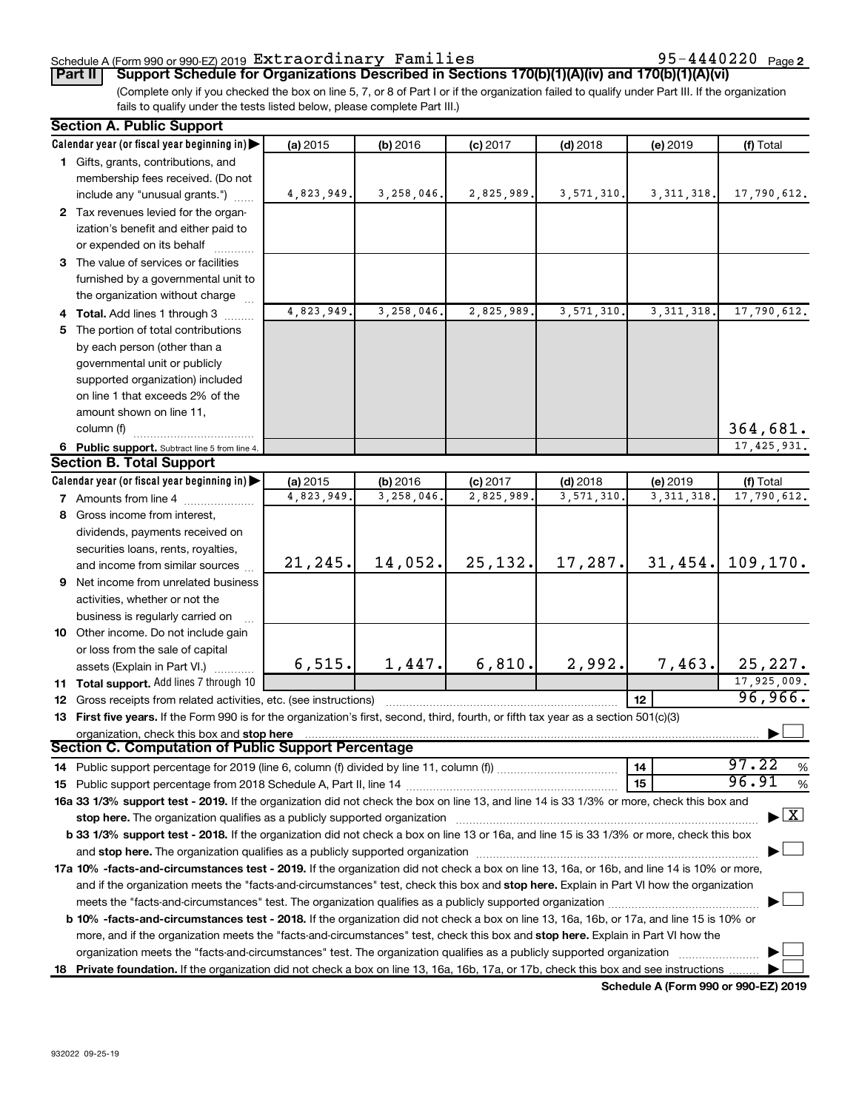#### Schedule A (Form 990 or 990-EZ) 2019  ${\tt ExtractU~Familles} \$   $\,$  95-4440220  $\,$   $_{\rm Page}$

95-4440220 Page 2

(Complete only if you checked the box on line 5, 7, or 8 of Part I or if the organization failed to qualify under Part III. If the organization **Part II Support Schedule for Organizations Described in Sections 170(b)(1)(A)(iv) and 170(b)(1)(A)(vi)**

fails to qualify under the tests listed below, please complete Part III.)

|    | <b>Section A. Public Support</b>                                                                                                           |            |            |            |            |              |                                 |
|----|--------------------------------------------------------------------------------------------------------------------------------------------|------------|------------|------------|------------|--------------|---------------------------------|
|    | Calendar year (or fiscal year beginning in)                                                                                                | (a) 2015   | (b) 2016   | $(c)$ 2017 | $(d)$ 2018 | (e) 2019     | (f) Total                       |
|    | 1 Gifts, grants, contributions, and                                                                                                        |            |            |            |            |              |                                 |
|    | membership fees received. (Do not                                                                                                          |            |            |            |            |              |                                 |
|    | include any "unusual grants.")                                                                                                             | 4,823,949. | 3,258,046. | 2,825,989. | 3,571,310. | 3, 311, 318. | 17,790,612.                     |
|    | 2 Tax revenues levied for the organ-                                                                                                       |            |            |            |            |              |                                 |
|    | ization's benefit and either paid to                                                                                                       |            |            |            |            |              |                                 |
|    | or expended on its behalf                                                                                                                  |            |            |            |            |              |                                 |
|    | 3 The value of services or facilities                                                                                                      |            |            |            |            |              |                                 |
|    | furnished by a governmental unit to                                                                                                        |            |            |            |            |              |                                 |
|    | the organization without charge                                                                                                            |            |            |            |            |              |                                 |
|    | 4 Total. Add lines 1 through 3                                                                                                             | 4,823,949. | 3,258,046  | 2,825,989. | 3,571,310  | 3, 311, 318. | 17,790,612.                     |
|    | 5 The portion of total contributions                                                                                                       |            |            |            |            |              |                                 |
|    | by each person (other than a                                                                                                               |            |            |            |            |              |                                 |
|    | governmental unit or publicly                                                                                                              |            |            |            |            |              |                                 |
|    | supported organization) included                                                                                                           |            |            |            |            |              |                                 |
|    | on line 1 that exceeds 2% of the                                                                                                           |            |            |            |            |              |                                 |
|    | amount shown on line 11,                                                                                                                   |            |            |            |            |              |                                 |
|    | column (f)                                                                                                                                 |            |            |            |            |              | 364,681.                        |
|    | 6 Public support. Subtract line 5 from line 4.                                                                                             |            |            |            |            |              | 17, 425, 931.                   |
|    | <b>Section B. Total Support</b>                                                                                                            |            |            |            |            |              |                                 |
|    | Calendar year (or fiscal year beginning in)                                                                                                | (a) 2015   | (b) 2016   | $(c)$ 2017 | $(d)$ 2018 | (e) 2019     | (f) Total                       |
|    | <b>7</b> Amounts from line 4                                                                                                               | 4,823,949. | 3,258,046  | 2,825,989  | 3,571,310  | 3, 311, 318. | 17,790,612.                     |
|    | 8 Gross income from interest,                                                                                                              |            |            |            |            |              |                                 |
|    | dividends, payments received on                                                                                                            |            |            |            |            |              |                                 |
|    | securities loans, rents, royalties,                                                                                                        |            |            |            |            |              |                                 |
|    | and income from similar sources                                                                                                            | 21, 245.   | 14,052.    | 25,132.    | 17,287.    | 31, 454.     | 109, 170.                       |
|    | <b>9</b> Net income from unrelated business                                                                                                |            |            |            |            |              |                                 |
|    | activities, whether or not the                                                                                                             |            |            |            |            |              |                                 |
|    | business is regularly carried on                                                                                                           |            |            |            |            |              |                                 |
|    | 10 Other income. Do not include gain                                                                                                       |            |            |            |            |              |                                 |
|    | or loss from the sale of capital                                                                                                           |            |            |            |            |              |                                 |
|    | assets (Explain in Part VI.)                                                                                                               | 6,515.     | 1,447.     | 6,810.     | 2,992.     | 7,463.       | 25,227.                         |
|    | 11 Total support. Add lines 7 through 10                                                                                                   |            |            |            |            |              | 17,925,009.                     |
|    | 12 Gross receipts from related activities, etc. (see instructions)                                                                         |            |            |            |            | 12           | 96,966.                         |
|    | 13 First five years. If the Form 990 is for the organization's first, second, third, fourth, or fifth tax year as a section 501(c)(3)      |            |            |            |            |              |                                 |
|    | organization, check this box and stop here                                                                                                 |            |            |            |            |              |                                 |
|    | <b>Section C. Computation of Public Support Percentage</b><br>Section C. Computation of Public Support Percentage                          |            |            |            |            |              |                                 |
|    |                                                                                                                                            |            |            |            |            | 14           | 97.22<br>%                      |
|    |                                                                                                                                            |            |            |            |            | 15           | 96.91<br>%                      |
|    | 16a 33 1/3% support test - 2019. If the organization did not check the box on line 13, and line 14 is 33 1/3% or more, check this box and  |            |            |            |            |              |                                 |
|    | stop here. The organization qualifies as a publicly supported organization                                                                 |            |            |            |            |              | $\blacktriangleright$ $\vert$ X |
|    | b 33 1/3% support test - 2018. If the organization did not check a box on line 13 or 16a, and line 15 is 33 1/3% or more, check this box   |            |            |            |            |              |                                 |
|    |                                                                                                                                            |            |            |            |            |              |                                 |
|    | 17a 10% -facts-and-circumstances test - 2019. If the organization did not check a box on line 13, 16a, or 16b, and line 14 is 10% or more, |            |            |            |            |              |                                 |
|    | and if the organization meets the "facts-and-circumstances" test, check this box and stop here. Explain in Part VI how the organization    |            |            |            |            |              |                                 |
|    | meets the "facts-and-circumstances" test. The organization qualifies as a publicly supported organization <i>[[[[[[[[]]</i>                |            |            |            |            |              |                                 |
|    | b 10% -facts-and-circumstances test - 2018. If the organization did not check a box on line 13, 16a, 16b, or 17a, and line 15 is 10% or    |            |            |            |            |              |                                 |
|    | more, and if the organization meets the "facts-and-circumstances" test, check this box and stop here. Explain in Part VI how the           |            |            |            |            |              |                                 |
|    | organization meets the "facts-and-circumstances" test. The organization qualifies as a publicly supported organization                     |            |            |            |            |              |                                 |
| 18 | Private foundation. If the organization did not check a box on line 13, 16a, 16b, 17a, or 17b, check this box and see instructions         |            |            |            |            |              |                                 |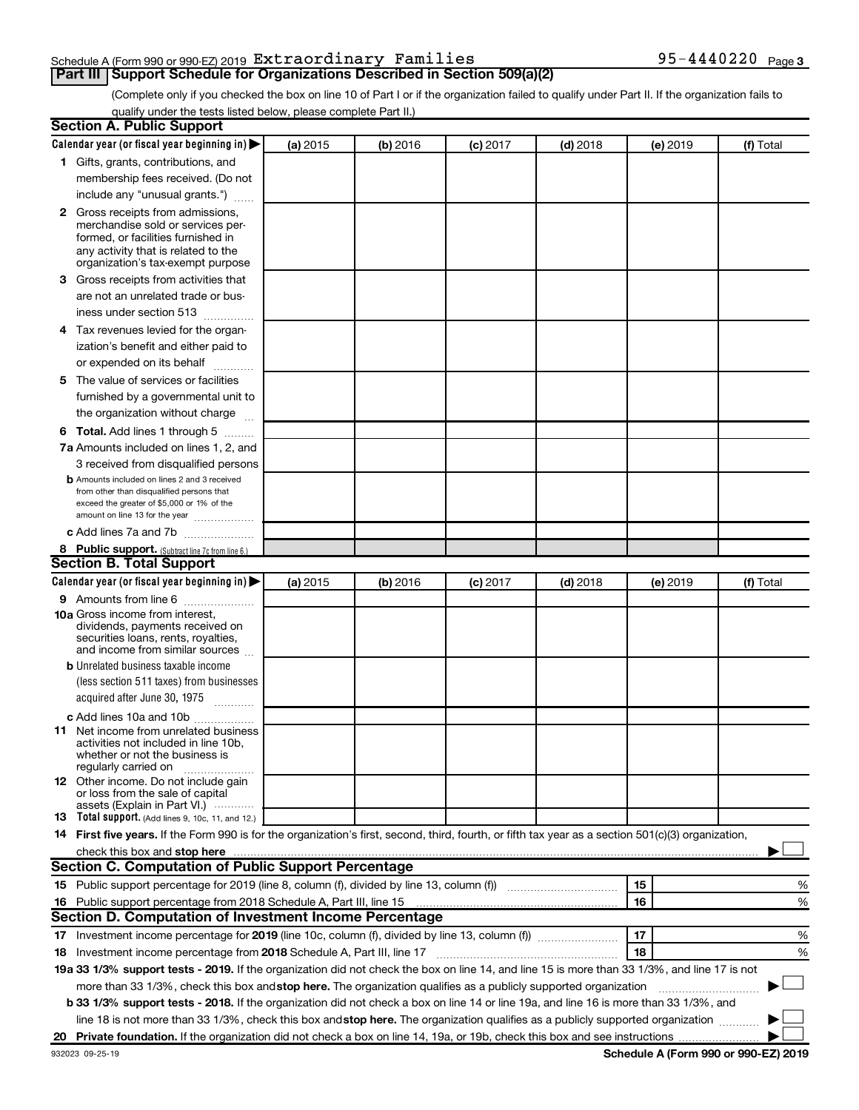#### Schedule A (Form 990 or 990-EZ) 2019  ${\tt ExtractU~Familles} \$   $\,$  95-4440220  $\,$   $_{\rm Page}$

(Complete only if you checked the box on line 10 of Part I or if the organization failed to qualify under Part II. If the organization fails to qualify under the tests listed below, please complete Part II.)

| <b>Section A. Public Support</b>                                                                                                                                                                                                                                       |          |          |          |            |          |           |  |  |  |
|------------------------------------------------------------------------------------------------------------------------------------------------------------------------------------------------------------------------------------------------------------------------|----------|----------|----------|------------|----------|-----------|--|--|--|
| Calendar year (or fiscal year beginning in)                                                                                                                                                                                                                            | (a) 2015 | (b) 2016 | (c) 2017 | $(d)$ 2018 | (e) 2019 | (f) Total |  |  |  |
| 1 Gifts, grants, contributions, and                                                                                                                                                                                                                                    |          |          |          |            |          |           |  |  |  |
| membership fees received. (Do not                                                                                                                                                                                                                                      |          |          |          |            |          |           |  |  |  |
| include any "unusual grants.")                                                                                                                                                                                                                                         |          |          |          |            |          |           |  |  |  |
| <b>2</b> Gross receipts from admissions,                                                                                                                                                                                                                               |          |          |          |            |          |           |  |  |  |
| merchandise sold or services per-                                                                                                                                                                                                                                      |          |          |          |            |          |           |  |  |  |
| formed, or facilities furnished in                                                                                                                                                                                                                                     |          |          |          |            |          |           |  |  |  |
| any activity that is related to the<br>organization's tax-exempt purpose                                                                                                                                                                                               |          |          |          |            |          |           |  |  |  |
| 3 Gross receipts from activities that                                                                                                                                                                                                                                  |          |          |          |            |          |           |  |  |  |
| are not an unrelated trade or bus-                                                                                                                                                                                                                                     |          |          |          |            |          |           |  |  |  |
|                                                                                                                                                                                                                                                                        |          |          |          |            |          |           |  |  |  |
| iness under section 513                                                                                                                                                                                                                                                |          |          |          |            |          |           |  |  |  |
| 4 Tax revenues levied for the organ-                                                                                                                                                                                                                                   |          |          |          |            |          |           |  |  |  |
| ization's benefit and either paid to                                                                                                                                                                                                                                   |          |          |          |            |          |           |  |  |  |
| or expended on its behalf<br>.                                                                                                                                                                                                                                         |          |          |          |            |          |           |  |  |  |
| 5 The value of services or facilities                                                                                                                                                                                                                                  |          |          |          |            |          |           |  |  |  |
| furnished by a governmental unit to                                                                                                                                                                                                                                    |          |          |          |            |          |           |  |  |  |
| the organization without charge                                                                                                                                                                                                                                        |          |          |          |            |          |           |  |  |  |
| <b>6 Total.</b> Add lines 1 through 5                                                                                                                                                                                                                                  |          |          |          |            |          |           |  |  |  |
| 7a Amounts included on lines 1, 2, and                                                                                                                                                                                                                                 |          |          |          |            |          |           |  |  |  |
| 3 received from disqualified persons                                                                                                                                                                                                                                   |          |          |          |            |          |           |  |  |  |
| <b>b</b> Amounts included on lines 2 and 3 received                                                                                                                                                                                                                    |          |          |          |            |          |           |  |  |  |
| from other than disqualified persons that<br>exceed the greater of \$5,000 or 1% of the                                                                                                                                                                                |          |          |          |            |          |           |  |  |  |
| amount on line 13 for the year                                                                                                                                                                                                                                         |          |          |          |            |          |           |  |  |  |
| c Add lines 7a and 7b                                                                                                                                                                                                                                                  |          |          |          |            |          |           |  |  |  |
| 8 Public support. (Subtract line 7c from line 6.)                                                                                                                                                                                                                      |          |          |          |            |          |           |  |  |  |
| <b>Section B. Total Support</b>                                                                                                                                                                                                                                        |          |          |          |            |          |           |  |  |  |
| Calendar year (or fiscal year beginning in)                                                                                                                                                                                                                            | (a) 2015 | (b) 2016 | (c) 2017 | $(d)$ 2018 | (e) 2019 | (f) Total |  |  |  |
| <b>9</b> Amounts from line 6                                                                                                                                                                                                                                           |          |          |          |            |          |           |  |  |  |
| <b>10a</b> Gross income from interest,                                                                                                                                                                                                                                 |          |          |          |            |          |           |  |  |  |
| dividends, payments received on                                                                                                                                                                                                                                        |          |          |          |            |          |           |  |  |  |
| securities loans, rents, royalties,<br>and income from similar sources                                                                                                                                                                                                 |          |          |          |            |          |           |  |  |  |
| <b>b</b> Unrelated business taxable income                                                                                                                                                                                                                             |          |          |          |            |          |           |  |  |  |
| (less section 511 taxes) from businesses                                                                                                                                                                                                                               |          |          |          |            |          |           |  |  |  |
| acquired after June 30, 1975                                                                                                                                                                                                                                           |          |          |          |            |          |           |  |  |  |
| c Add lines 10a and 10b                                                                                                                                                                                                                                                |          |          |          |            |          |           |  |  |  |
| <b>11</b> Net income from unrelated business                                                                                                                                                                                                                           |          |          |          |            |          |           |  |  |  |
| activities not included in line 10b.                                                                                                                                                                                                                                   |          |          |          |            |          |           |  |  |  |
| whether or not the business is                                                                                                                                                                                                                                         |          |          |          |            |          |           |  |  |  |
| regularly carried on<br>12 Other income. Do not include gain                                                                                                                                                                                                           |          |          |          |            |          |           |  |  |  |
| or loss from the sale of capital                                                                                                                                                                                                                                       |          |          |          |            |          |           |  |  |  |
| assets (Explain in Part VI.)                                                                                                                                                                                                                                           |          |          |          |            |          |           |  |  |  |
| <b>13</b> Total support. (Add lines 9, 10c, 11, and 12.)                                                                                                                                                                                                               |          |          |          |            |          |           |  |  |  |
| 14 First five years. If the Form 990 is for the organization's first, second, third, fourth, or fifth tax year as a section 501(c)(3) organization,                                                                                                                    |          |          |          |            |          |           |  |  |  |
| check this box and stop here <b>construction and construction</b> and stop here <b>constructed</b> and stop here <b>constructed</b> and stop here <b>constructed</b> and <b>construction</b> and <b>construction</b> and <b>construction</b> and <b>construction</b> a |          |          |          |            |          |           |  |  |  |
| <b>Section C. Computation of Public Support Percentage</b>                                                                                                                                                                                                             |          |          |          |            |          |           |  |  |  |
| 15 Public support percentage for 2019 (line 8, column (f), divided by line 13, column (f) <i>manumeronominium</i>                                                                                                                                                      |          |          |          |            | 15       | %         |  |  |  |
| 16 Public support percentage from 2018 Schedule A, Part III, line 15                                                                                                                                                                                                   |          |          |          |            | 16       | %         |  |  |  |
| Section D. Computation of Investment Income Percentage                                                                                                                                                                                                                 |          |          |          |            |          |           |  |  |  |
| 17 Investment income percentage for 2019 (line 10c, column (f), divided by line 13, column (f))                                                                                                                                                                        |          |          |          |            | 17       | %         |  |  |  |
| 18 Investment income percentage from 2018 Schedule A, Part III, line 17                                                                                                                                                                                                |          |          |          |            | 18       | %         |  |  |  |
| 19a 33 1/3% support tests - 2019. If the organization did not check the box on line 14, and line 15 is more than 33 1/3%, and line 17 is not                                                                                                                           |          |          |          |            |          |           |  |  |  |
| more than 33 1/3%, check this box and stop here. The organization qualifies as a publicly supported organization                                                                                                                                                       |          |          |          |            |          |           |  |  |  |
| b 33 1/3% support tests - 2018. If the organization did not check a box on line 14 or line 19a, and line 16 is more than 33 1/3%, and                                                                                                                                  |          |          |          |            |          |           |  |  |  |
| line 18 is not more than 33 1/3%, check this box and stop here. The organization qualifies as a publicly supported organization                                                                                                                                        |          |          |          |            |          |           |  |  |  |
|                                                                                                                                                                                                                                                                        |          |          |          |            |          |           |  |  |  |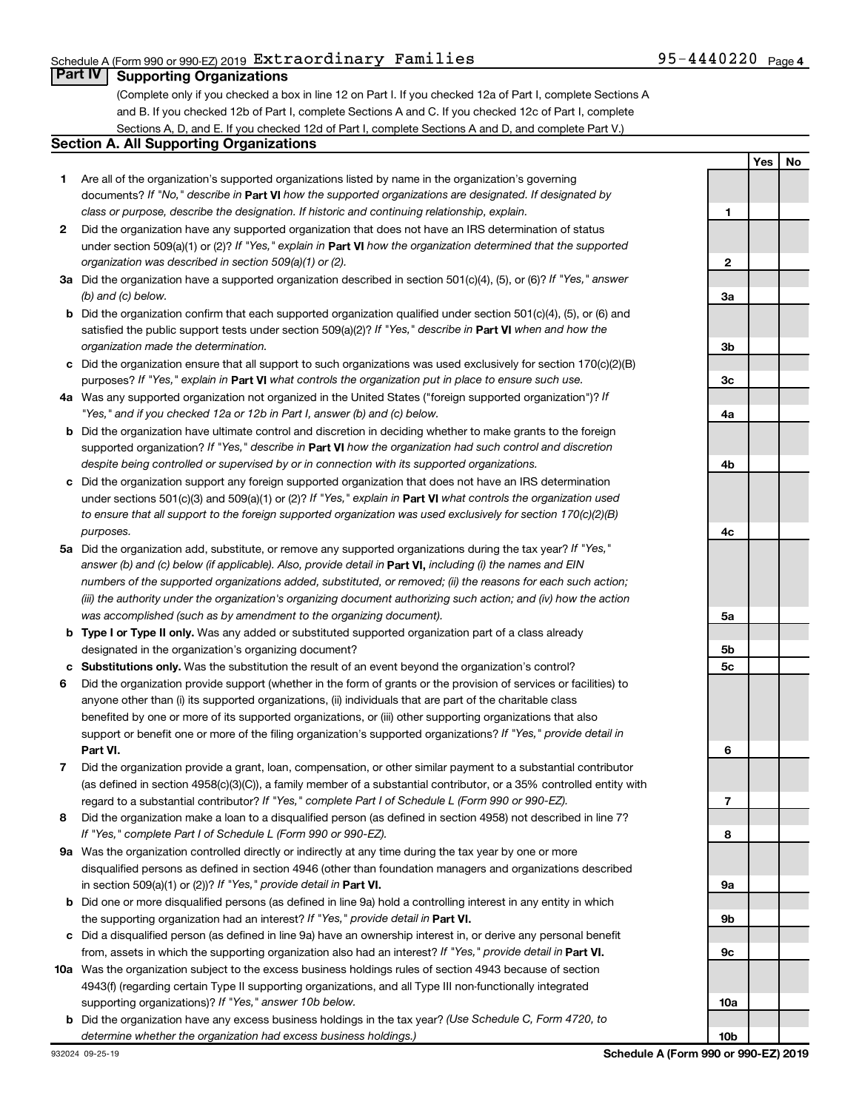#### Schedule A (Form 990 or 990-EZ) 2019  ${\tt ExtractU~Familles} \$   $\,$  95-4440220  $\,$   $_{\rm Page}$

**1**

**Yes No**

#### **Part IV Supporting Organizations**

(Complete only if you checked a box in line 12 on Part I. If you checked 12a of Part I, complete Sections A and B. If you checked 12b of Part I, complete Sections A and C. If you checked 12c of Part I, complete Sections A, D, and E. If you checked 12d of Part I, complete Sections A and D, and complete Part V.)

#### **Section A. All Supporting Organizations**

- **1** Are all of the organization's supported organizations listed by name in the organization's governing documents? If "No," describe in Part VI how the supported organizations are designated. If designated by *class or purpose, describe the designation. If historic and continuing relationship, explain.*
- **2** Did the organization have any supported organization that does not have an IRS determination of status under section 509(a)(1) or (2)? If "Yes," explain in Part **VI** how the organization determined that the supported *organization was described in section 509(a)(1) or (2).*
- **3a** Did the organization have a supported organization described in section 501(c)(4), (5), or (6)? If "Yes," answer *(b) and (c) below.*
- **b** Did the organization confirm that each supported organization qualified under section 501(c)(4), (5), or (6) and satisfied the public support tests under section 509(a)(2)? If "Yes," describe in Part VI when and how the *organization made the determination.*
- **c** Did the organization ensure that all support to such organizations was used exclusively for section 170(c)(2)(B) purposes? If "Yes," explain in Part VI what controls the organization put in place to ensure such use.
- **4 a** *If* Was any supported organization not organized in the United States ("foreign supported organization")? *"Yes," and if you checked 12a or 12b in Part I, answer (b) and (c) below.*
- **b** Did the organization have ultimate control and discretion in deciding whether to make grants to the foreign supported organization? If "Yes," describe in Part VI how the organization had such control and discretion *despite being controlled or supervised by or in connection with its supported organizations.*
- **c** Did the organization support any foreign supported organization that does not have an IRS determination under sections 501(c)(3) and 509(a)(1) or (2)? If "Yes," explain in Part VI what controls the organization used *to ensure that all support to the foreign supported organization was used exclusively for section 170(c)(2)(B) purposes.*
- **5a** Did the organization add, substitute, or remove any supported organizations during the tax year? If "Yes," answer (b) and (c) below (if applicable). Also, provide detail in **Part VI,** including (i) the names and EIN *numbers of the supported organizations added, substituted, or removed; (ii) the reasons for each such action; (iii) the authority under the organization's organizing document authorizing such action; and (iv) how the action was accomplished (such as by amendment to the organizing document).*
- **b Type I or Type II only.** Was any added or substituted supported organization part of a class already designated in the organization's organizing document?
- **c Substitutions only.**  Was the substitution the result of an event beyond the organization's control?
- **6** Did the organization provide support (whether in the form of grants or the provision of services or facilities) to **Part VI.** support or benefit one or more of the filing organization's supported organizations? If "Yes," provide detail in anyone other than (i) its supported organizations, (ii) individuals that are part of the charitable class benefited by one or more of its supported organizations, or (iii) other supporting organizations that also
- **7** Did the organization provide a grant, loan, compensation, or other similar payment to a substantial contributor regard to a substantial contributor? If "Yes," complete Part I of Schedule L (Form 990 or 990-EZ). (as defined in section 4958(c)(3)(C)), a family member of a substantial contributor, or a 35% controlled entity with
- **8** Did the organization make a loan to a disqualified person (as defined in section 4958) not described in line 7? *If "Yes," complete Part I of Schedule L (Form 990 or 990-EZ).*
- **9 a** Was the organization controlled directly or indirectly at any time during the tax year by one or more in section 509(a)(1) or (2))? If "Yes," provide detail in **Part VI.** disqualified persons as defined in section 4946 (other than foundation managers and organizations described
- **b** Did one or more disqualified persons (as defined in line 9a) hold a controlling interest in any entity in which the supporting organization had an interest? If "Yes," provide detail in Part VI.
- **c** Did a disqualified person (as defined in line 9a) have an ownership interest in, or derive any personal benefit from, assets in which the supporting organization also had an interest? If "Yes," provide detail in Part VI.
- **10 a** Was the organization subject to the excess business holdings rules of section 4943 because of section supporting organizations)? If "Yes," answer 10b below. 4943(f) (regarding certain Type II supporting organizations, and all Type III non-functionally integrated
	- **b** Did the organization have any excess business holdings in the tax year? (Use Schedule C, Form 4720, to *determine whether the organization had excess business holdings.)*

**2 3a 3b 3c 4a 4b 4c 5a 5b 5c 6 7 8 9a 9b 9c 10a 10b**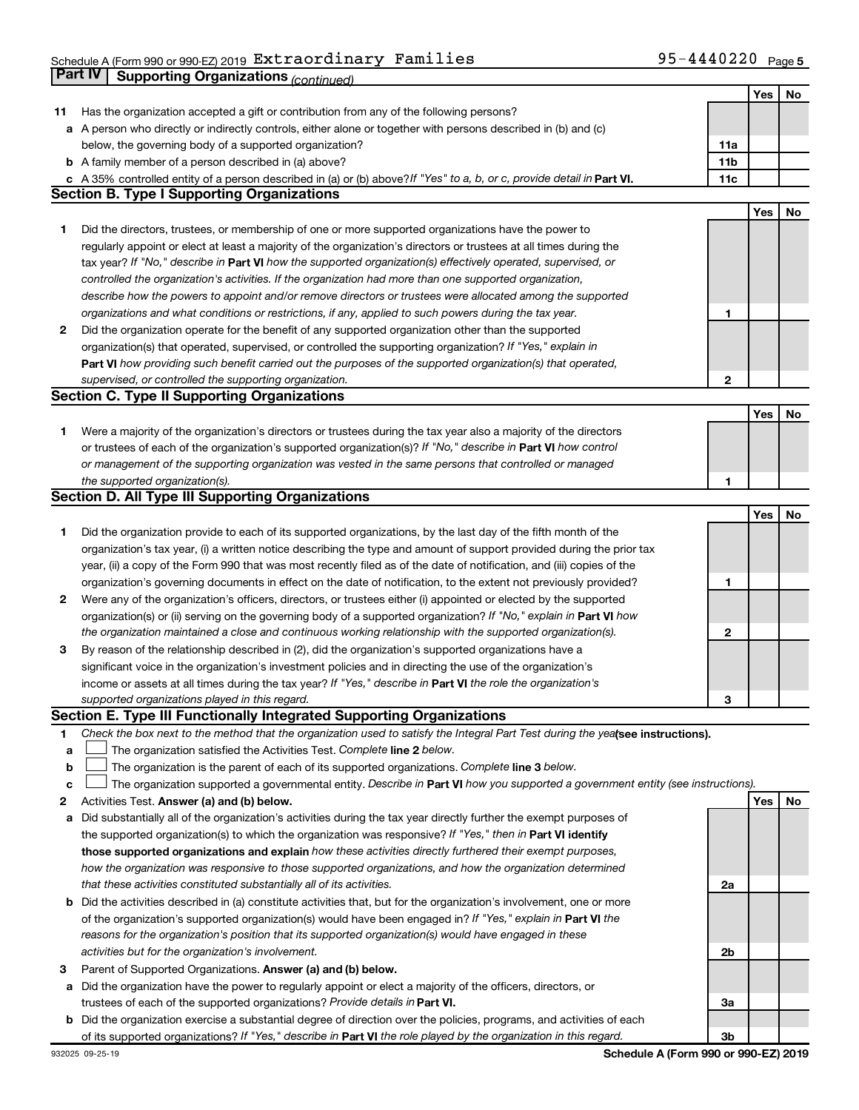#### Schedule A (Form 990 or 990-EZ) 2019  ${\tt ExtractU~Familles} \$   $\,$  95-4440220  $\,$   $_{\rm Page}$ **Part IV | Supporting Organizations** *(continued)*

|     |                                                                                                                                                                                                                                  |                 | Yes        | No |
|-----|----------------------------------------------------------------------------------------------------------------------------------------------------------------------------------------------------------------------------------|-----------------|------------|----|
| 11. | Has the organization accepted a gift or contribution from any of the following persons?                                                                                                                                          |                 |            |    |
|     | a A person who directly or indirectly controls, either alone or together with persons described in (b) and (c)                                                                                                                   |                 |            |    |
|     | below, the governing body of a supported organization?                                                                                                                                                                           | 11a             |            |    |
|     | <b>b</b> A family member of a person described in (a) above?                                                                                                                                                                     | 11 <sub>b</sub> |            |    |
|     | c A 35% controlled entity of a person described in (a) or (b) above? If "Yes" to a, b, or c, provide detail in Part VI.                                                                                                          | 11c             |            |    |
|     | <b>Section B. Type I Supporting Organizations</b>                                                                                                                                                                                |                 |            |    |
|     |                                                                                                                                                                                                                                  |                 | <b>Yes</b> | No |
| 1   | Did the directors, trustees, or membership of one or more supported organizations have the power to                                                                                                                              |                 |            |    |
|     | regularly appoint or elect at least a majority of the organization's directors or trustees at all times during the                                                                                                               |                 |            |    |
|     | tax year? If "No," describe in Part VI how the supported organization(s) effectively operated, supervised, or                                                                                                                    |                 |            |    |
|     | controlled the organization's activities. If the organization had more than one supported organization,                                                                                                                          |                 |            |    |
|     | describe how the powers to appoint and/or remove directors or trustees were allocated among the supported                                                                                                                        |                 |            |    |
|     | organizations and what conditions or restrictions, if any, applied to such powers during the tax year.                                                                                                                           |                 |            |    |
|     |                                                                                                                                                                                                                                  | 1               |            |    |
| 2   | Did the organization operate for the benefit of any supported organization other than the supported                                                                                                                              |                 |            |    |
|     | organization(s) that operated, supervised, or controlled the supporting organization? If "Yes," explain in                                                                                                                       |                 |            |    |
|     | Part VI how providing such benefit carried out the purposes of the supported organization(s) that operated,                                                                                                                      |                 |            |    |
|     | supervised, or controlled the supporting organization.                                                                                                                                                                           | 2               |            |    |
|     | <b>Section C. Type II Supporting Organizations</b>                                                                                                                                                                               |                 |            |    |
|     |                                                                                                                                                                                                                                  |                 | <b>Yes</b> | No |
| 1   | Were a majority of the organization's directors or trustees during the tax year also a majority of the directors                                                                                                                 |                 |            |    |
|     | or trustees of each of the organization's supported organization(s)? If "No," describe in Part VI how control                                                                                                                    |                 |            |    |
|     | or management of the supporting organization was vested in the same persons that controlled or managed                                                                                                                           |                 |            |    |
|     | the supported organization(s).                                                                                                                                                                                                   | 1               |            |    |
|     | <b>Section D. All Type III Supporting Organizations</b>                                                                                                                                                                          |                 |            |    |
|     |                                                                                                                                                                                                                                  |                 | <b>Yes</b> | No |
| 1   | Did the organization provide to each of its supported organizations, by the last day of the fifth month of the                                                                                                                   |                 |            |    |
|     | organization's tax year, (i) a written notice describing the type and amount of support provided during the prior tax                                                                                                            |                 |            |    |
|     | year, (ii) a copy of the Form 990 that was most recently filed as of the date of notification, and (iii) copies of the                                                                                                           |                 |            |    |
|     | organization's governing documents in effect on the date of notification, to the extent not previously provided?                                                                                                                 | 1               |            |    |
| 2   | Were any of the organization's officers, directors, or trustees either (i) appointed or elected by the supported                                                                                                                 |                 |            |    |
|     | organization(s) or (ii) serving on the governing body of a supported organization? If "No," explain in Part VI how                                                                                                               |                 |            |    |
|     | the organization maintained a close and continuous working relationship with the supported organization(s).                                                                                                                      | 2               |            |    |
| 3   | By reason of the relationship described in (2), did the organization's supported organizations have a                                                                                                                            |                 |            |    |
|     | significant voice in the organization's investment policies and in directing the use of the organization's                                                                                                                       |                 |            |    |
|     | income or assets at all times during the tax year? If "Yes," describe in Part VI the role the organization's                                                                                                                     |                 |            |    |
|     | supported organizations played in this regard.                                                                                                                                                                                   | 3               |            |    |
|     | Section E. Type III Functionally Integrated Supporting Organizations                                                                                                                                                             |                 |            |    |
| 1   | Check the box next to the method that the organization used to satisfy the Integral Part Test during the yealsee instructions).                                                                                                  |                 |            |    |
| a   | The organization satisfied the Activities Test. Complete line 2 below.                                                                                                                                                           |                 |            |    |
| b   | The organization is the parent of each of its supported organizations. Complete line 3 below.                                                                                                                                    |                 |            |    |
| c   | The organization supported a governmental entity. Describe in Part VI how you supported a government entity (see instructions).                                                                                                  |                 |            |    |
| 2   | Activities Test. Answer (a) and (b) below.                                                                                                                                                                                       |                 | Yes        | No |
|     |                                                                                                                                                                                                                                  |                 |            |    |
| а   | Did substantially all of the organization's activities during the tax year directly further the exempt purposes of<br>the supported organization(s) to which the organization was responsive? If "Yes," then in Part VI identify |                 |            |    |
|     |                                                                                                                                                                                                                                  |                 |            |    |
|     | those supported organizations and explain how these activities directly furthered their exempt purposes,                                                                                                                         |                 |            |    |
|     | how the organization was responsive to those supported organizations, and how the organization determined                                                                                                                        |                 |            |    |
|     | that these activities constituted substantially all of its activities.                                                                                                                                                           | 2a              |            |    |
| b   | Did the activities described in (a) constitute activities that, but for the organization's involvement, one or more                                                                                                              |                 |            |    |
|     | of the organization's supported organization(s) would have been engaged in? If "Yes," explain in Part VI the                                                                                                                     |                 |            |    |
|     | reasons for the organization's position that its supported organization(s) would have engaged in these                                                                                                                           |                 |            |    |
|     | activities but for the organization's involvement.                                                                                                                                                                               | 2b              |            |    |
| з   | Parent of Supported Organizations. Answer (a) and (b) below.                                                                                                                                                                     |                 |            |    |
| а   | Did the organization have the power to regularly appoint or elect a majority of the officers, directors, or                                                                                                                      |                 |            |    |
|     | trustees of each of the supported organizations? Provide details in Part VI.                                                                                                                                                     | За              |            |    |
|     | <b>b</b> Did the organization exercise a substantial degree of direction over the policies, programs, and activities of each                                                                                                     |                 |            |    |
|     | of its supported organizations? If "Yes," describe in Part VI the role played by the organization in this regard.                                                                                                                | 3b              |            |    |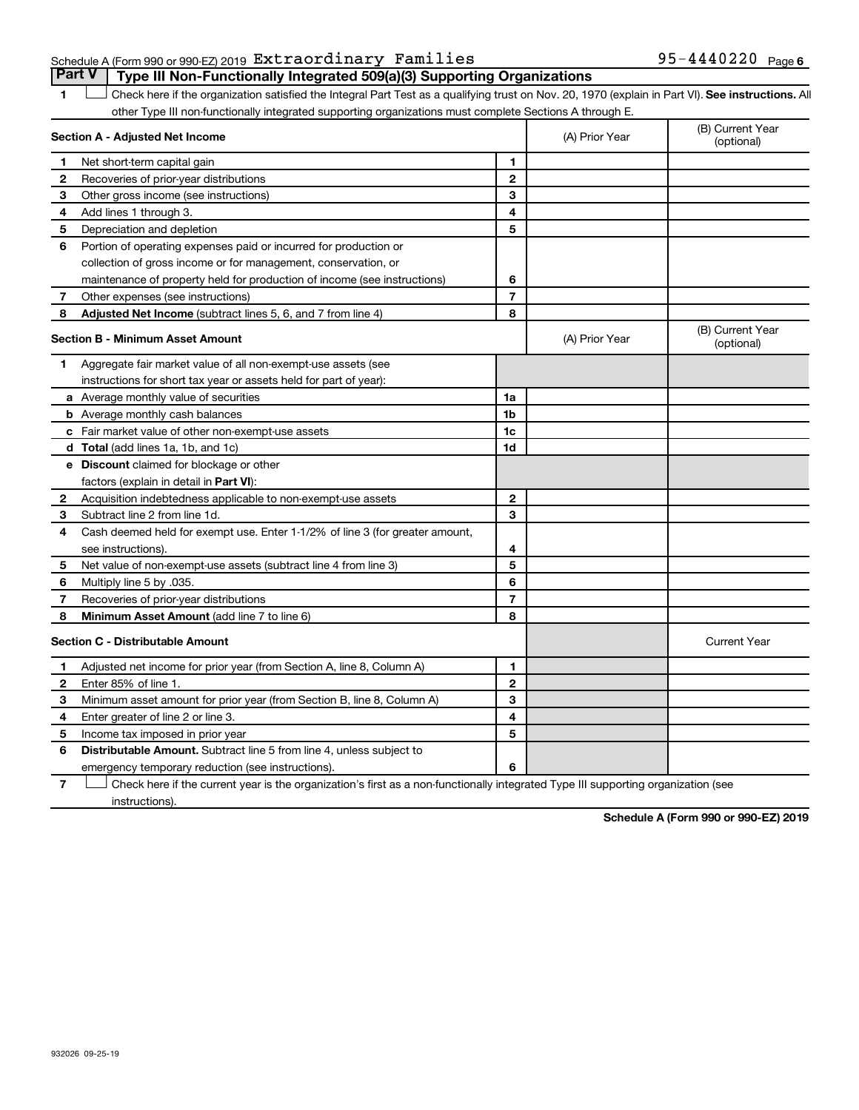#### Schedule A (Form 990 or 990-EZ) 2019  ${\tt ExtractU~Familles} \$   $\,$  95-4440220  $\,$   $_{\rm Page}$ **Part V Type III Non-Functionally Integrated 509(a)(3) Supporting Organizations**

1 **Letter See instructions.** All Check here if the organization satisfied the Integral Part Test as a qualifying trust on Nov. 20, 1970 (explain in Part VI). See instructions. All other Type III non-functionally integrated supporting organizations must complete Sections A through E.

|              | Section A - Adjusted Net Income                                              |                | (A) Prior Year | (B) Current Year<br>(optional) |
|--------------|------------------------------------------------------------------------------|----------------|----------------|--------------------------------|
| 1            | Net short-term capital gain                                                  | 1              |                |                                |
| 2            | Recoveries of prior-year distributions                                       | $\mathbf{2}$   |                |                                |
| з            | Other gross income (see instructions)                                        | 3              |                |                                |
| 4            | Add lines 1 through 3.                                                       | 4              |                |                                |
| 5            | Depreciation and depletion                                                   | 5              |                |                                |
| 6            | Portion of operating expenses paid or incurred for production or             |                |                |                                |
|              | collection of gross income or for management, conservation, or               |                |                |                                |
|              | maintenance of property held for production of income (see instructions)     | 6              |                |                                |
| 7            | Other expenses (see instructions)                                            | $\overline{7}$ |                |                                |
| 8            | Adjusted Net Income (subtract lines 5, 6, and 7 from line 4)                 | 8              |                |                                |
|              | <b>Section B - Minimum Asset Amount</b>                                      |                | (A) Prior Year | (B) Current Year<br>(optional) |
| 1            | Aggregate fair market value of all non-exempt-use assets (see                |                |                |                                |
|              | instructions for short tax year or assets held for part of year):            |                |                |                                |
|              | a Average monthly value of securities                                        | 1a             |                |                                |
|              | <b>b</b> Average monthly cash balances                                       | 1 <sub>b</sub> |                |                                |
|              | c Fair market value of other non-exempt-use assets                           | 1c             |                |                                |
|              | d Total (add lines 1a, 1b, and 1c)                                           | 1d             |                |                                |
|              | e Discount claimed for blockage or other                                     |                |                |                                |
|              | factors (explain in detail in Part VI):                                      |                |                |                                |
| 2            | Acquisition indebtedness applicable to non-exempt-use assets                 | $\mathbf{2}$   |                |                                |
| 3            | Subtract line 2 from line 1d.                                                | 3              |                |                                |
| 4            | Cash deemed held for exempt use. Enter 1-1/2% of line 3 (for greater amount, |                |                |                                |
|              | see instructions).                                                           | 4              |                |                                |
| 5            | Net value of non-exempt-use assets (subtract line 4 from line 3)             | 5              |                |                                |
| 6            | Multiply line 5 by .035.                                                     | 6              |                |                                |
| 7            | Recoveries of prior-year distributions                                       | $\overline{7}$ |                |                                |
| 8            | Minimum Asset Amount (add line 7 to line 6)                                  | 8              |                |                                |
|              | <b>Section C - Distributable Amount</b>                                      |                |                | <b>Current Year</b>            |
| 1            | Adjusted net income for prior year (from Section A, line 8, Column A)        | 1              |                |                                |
| $\mathbf{2}$ | Enter 85% of line 1.                                                         | $\mathbf{2}$   |                |                                |
| 3            | Minimum asset amount for prior year (from Section B, line 8, Column A)       | 3              |                |                                |
| 4            | Enter greater of line 2 or line 3.                                           | 4              |                |                                |
| 5            | Income tax imposed in prior year                                             | 5              |                |                                |
| 6            | <b>Distributable Amount.</b> Subtract line 5 from line 4, unless subject to  |                |                |                                |
|              | emergency temporary reduction (see instructions).                            | 6              |                |                                |
|              |                                                                              |                |                |                                |

**7** Let Check here if the current year is the organization's first as a non-functionally integrated Type III supporting organization (see instructions).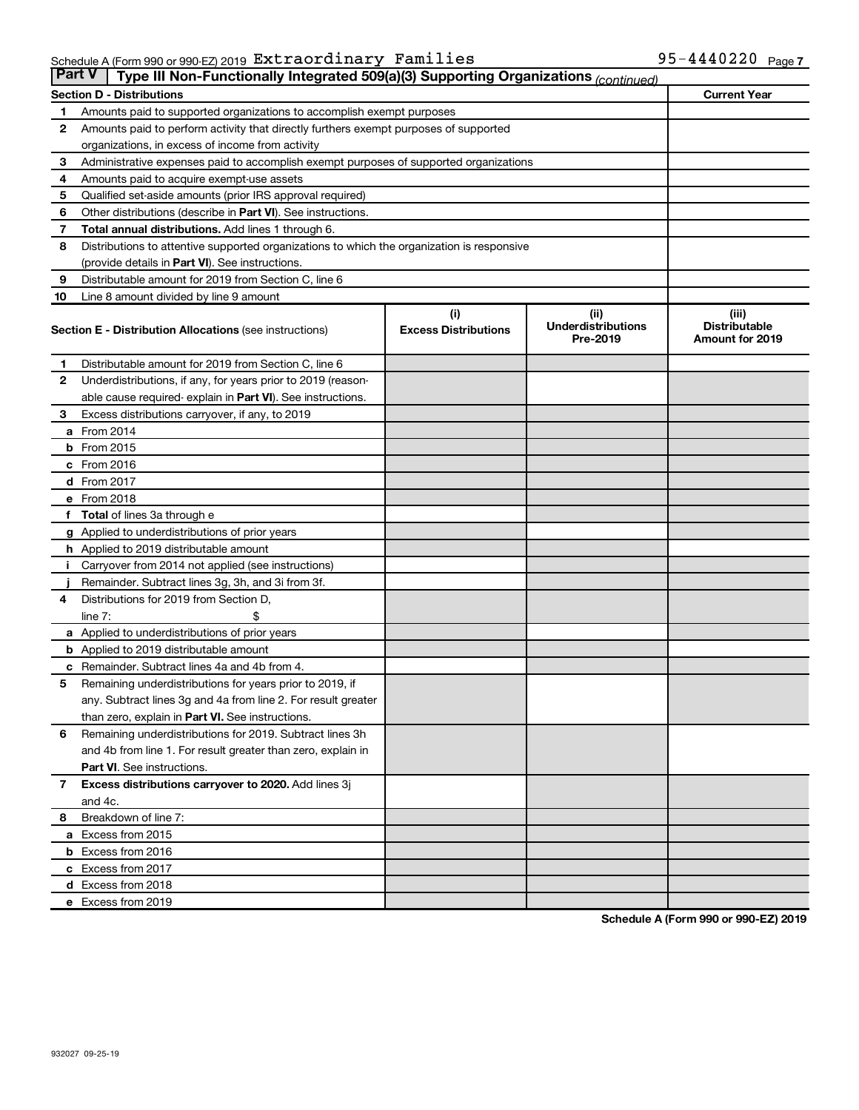| <b>Part V</b><br>Type III Non-Functionally Integrated 509(a)(3) Supporting Organizations (continued) |                                                                                            |                                    |                                               |                                                         |  |  |  |
|------------------------------------------------------------------------------------------------------|--------------------------------------------------------------------------------------------|------------------------------------|-----------------------------------------------|---------------------------------------------------------|--|--|--|
|                                                                                                      | <b>Section D - Distributions</b>                                                           |                                    |                                               | <b>Current Year</b>                                     |  |  |  |
| 1                                                                                                    | Amounts paid to supported organizations to accomplish exempt purposes                      |                                    |                                               |                                                         |  |  |  |
| $\mathbf{2}$                                                                                         | Amounts paid to perform activity that directly furthers exempt purposes of supported       |                                    |                                               |                                                         |  |  |  |
|                                                                                                      | organizations, in excess of income from activity                                           |                                    |                                               |                                                         |  |  |  |
| 3                                                                                                    | Administrative expenses paid to accomplish exempt purposes of supported organizations      |                                    |                                               |                                                         |  |  |  |
| 4                                                                                                    | Amounts paid to acquire exempt-use assets                                                  |                                    |                                               |                                                         |  |  |  |
| 5                                                                                                    | Qualified set-aside amounts (prior IRS approval required)                                  |                                    |                                               |                                                         |  |  |  |
| 6                                                                                                    | Other distributions (describe in <b>Part VI</b> ). See instructions.                       |                                    |                                               |                                                         |  |  |  |
| 7                                                                                                    | Total annual distributions. Add lines 1 through 6.                                         |                                    |                                               |                                                         |  |  |  |
| 8                                                                                                    | Distributions to attentive supported organizations to which the organization is responsive |                                    |                                               |                                                         |  |  |  |
|                                                                                                      | (provide details in Part VI). See instructions.                                            |                                    |                                               |                                                         |  |  |  |
| 9                                                                                                    | Distributable amount for 2019 from Section C, line 6                                       |                                    |                                               |                                                         |  |  |  |
| 10                                                                                                   | Line 8 amount divided by line 9 amount                                                     |                                    |                                               |                                                         |  |  |  |
|                                                                                                      | <b>Section E - Distribution Allocations (see instructions)</b>                             | (i)<br><b>Excess Distributions</b> | (ii)<br><b>Underdistributions</b><br>Pre-2019 | (iii)<br><b>Distributable</b><br><b>Amount for 2019</b> |  |  |  |
| 1                                                                                                    | Distributable amount for 2019 from Section C, line 6                                       |                                    |                                               |                                                         |  |  |  |
| $\mathbf{2}$                                                                                         | Underdistributions, if any, for years prior to 2019 (reason-                               |                                    |                                               |                                                         |  |  |  |
|                                                                                                      | able cause required- explain in Part VI). See instructions.                                |                                    |                                               |                                                         |  |  |  |
| 3                                                                                                    | Excess distributions carryover, if any, to 2019                                            |                                    |                                               |                                                         |  |  |  |
|                                                                                                      | a From 2014                                                                                |                                    |                                               |                                                         |  |  |  |
|                                                                                                      | $b$ From 2015                                                                              |                                    |                                               |                                                         |  |  |  |
|                                                                                                      | c From 2016                                                                                |                                    |                                               |                                                         |  |  |  |
|                                                                                                      | d From 2017                                                                                |                                    |                                               |                                                         |  |  |  |
|                                                                                                      | e From 2018                                                                                |                                    |                                               |                                                         |  |  |  |
|                                                                                                      | f Total of lines 3a through e                                                              |                                    |                                               |                                                         |  |  |  |
|                                                                                                      | <b>g</b> Applied to underdistributions of prior years                                      |                                    |                                               |                                                         |  |  |  |
|                                                                                                      | <b>h</b> Applied to 2019 distributable amount                                              |                                    |                                               |                                                         |  |  |  |
| Ť.                                                                                                   | Carryover from 2014 not applied (see instructions)                                         |                                    |                                               |                                                         |  |  |  |
|                                                                                                      | Remainder. Subtract lines 3g, 3h, and 3i from 3f.                                          |                                    |                                               |                                                         |  |  |  |
| 4                                                                                                    | Distributions for 2019 from Section D,                                                     |                                    |                                               |                                                         |  |  |  |
|                                                                                                      | line $7:$                                                                                  |                                    |                                               |                                                         |  |  |  |
|                                                                                                      | <b>a</b> Applied to underdistributions of prior years                                      |                                    |                                               |                                                         |  |  |  |
|                                                                                                      | <b>b</b> Applied to 2019 distributable amount                                              |                                    |                                               |                                                         |  |  |  |
| c                                                                                                    | Remainder. Subtract lines 4a and 4b from 4.                                                |                                    |                                               |                                                         |  |  |  |
| 5                                                                                                    | Remaining underdistributions for years prior to 2019, if                                   |                                    |                                               |                                                         |  |  |  |
|                                                                                                      | any. Subtract lines 3g and 4a from line 2. For result greater                              |                                    |                                               |                                                         |  |  |  |
|                                                                                                      | than zero, explain in Part VI. See instructions.                                           |                                    |                                               |                                                         |  |  |  |
| 6                                                                                                    | Remaining underdistributions for 2019. Subtract lines 3h                                   |                                    |                                               |                                                         |  |  |  |
|                                                                                                      | and 4b from line 1. For result greater than zero, explain in                               |                                    |                                               |                                                         |  |  |  |
|                                                                                                      | <b>Part VI.</b> See instructions.                                                          |                                    |                                               |                                                         |  |  |  |
| $\overline{7}$                                                                                       | Excess distributions carryover to 2020. Add lines 3j                                       |                                    |                                               |                                                         |  |  |  |
|                                                                                                      | and 4c.                                                                                    |                                    |                                               |                                                         |  |  |  |
| 8                                                                                                    | Breakdown of line 7:                                                                       |                                    |                                               |                                                         |  |  |  |
|                                                                                                      | a Excess from 2015                                                                         |                                    |                                               |                                                         |  |  |  |
|                                                                                                      | <b>b</b> Excess from 2016                                                                  |                                    |                                               |                                                         |  |  |  |
|                                                                                                      | c Excess from 2017                                                                         |                                    |                                               |                                                         |  |  |  |
|                                                                                                      | d Excess from 2018                                                                         |                                    |                                               |                                                         |  |  |  |
|                                                                                                      | e Excess from 2019                                                                         |                                    |                                               |                                                         |  |  |  |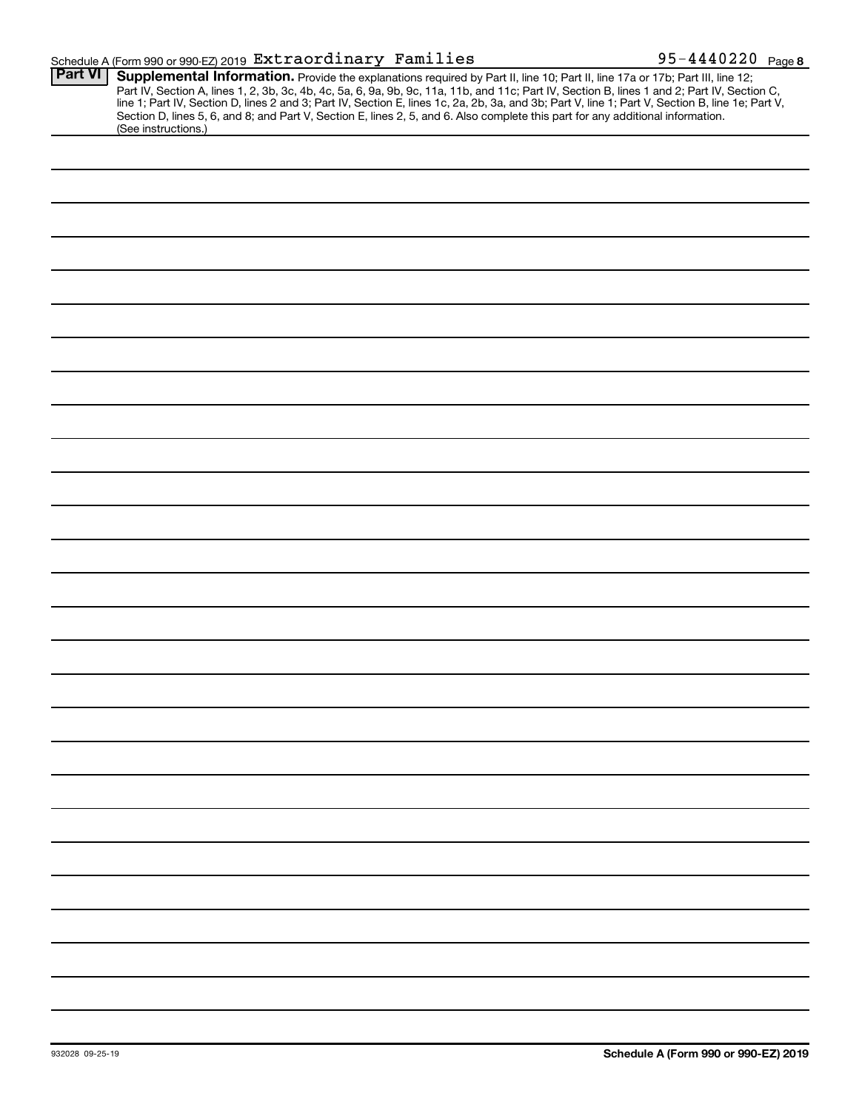| 95-4440220 $_{Page8}$<br>Schedule A (Form 990 or 990 EZ) 2019 $\,$ Extraordinary $\,$ Families $\,$ |  |  |
|-----------------------------------------------------------------------------------------------------|--|--|
|-----------------------------------------------------------------------------------------------------|--|--|

|                | Scributible A (Form 550 or 550-LZ) 2019 $\frac{1}{2}$ 21 C $\frac{1}{2}$ $\frac{1}{2}$ C $\frac{1}{2}$                                                                                                                                                                                                                                                                                                                                                                                                                      |
|----------------|-----------------------------------------------------------------------------------------------------------------------------------------------------------------------------------------------------------------------------------------------------------------------------------------------------------------------------------------------------------------------------------------------------------------------------------------------------------------------------------------------------------------------------|
| <b>Part VI</b> | Supplemental Information. Provide the explanations required by Part II, line 10; Part II, line 17a or 17b; Part III, line 12;<br>Part IV, Section A, lines 1, 2, 3b, 3c, 4b, 4c, 5a, 6, 9a, 9b, 9c, 11a, 11b, and 11c; Part IV, Section B, lines 1 and 2; Part IV, Section C,<br>line 1; Part IV, Section D, lines 2 and 3; Part IV, Section E, lines 1c, 2a, 2b,<br>Section D, lines 5, 6, and 8; and Part V, Section E, lines 2, 5, and 6. Also complete this part for any additional information.<br>(See instructions.) |
|                |                                                                                                                                                                                                                                                                                                                                                                                                                                                                                                                             |
|                |                                                                                                                                                                                                                                                                                                                                                                                                                                                                                                                             |
|                |                                                                                                                                                                                                                                                                                                                                                                                                                                                                                                                             |
|                |                                                                                                                                                                                                                                                                                                                                                                                                                                                                                                                             |
|                |                                                                                                                                                                                                                                                                                                                                                                                                                                                                                                                             |
|                |                                                                                                                                                                                                                                                                                                                                                                                                                                                                                                                             |
|                |                                                                                                                                                                                                                                                                                                                                                                                                                                                                                                                             |
|                |                                                                                                                                                                                                                                                                                                                                                                                                                                                                                                                             |
|                |                                                                                                                                                                                                                                                                                                                                                                                                                                                                                                                             |
|                |                                                                                                                                                                                                                                                                                                                                                                                                                                                                                                                             |
|                |                                                                                                                                                                                                                                                                                                                                                                                                                                                                                                                             |
|                |                                                                                                                                                                                                                                                                                                                                                                                                                                                                                                                             |
|                |                                                                                                                                                                                                                                                                                                                                                                                                                                                                                                                             |
|                |                                                                                                                                                                                                                                                                                                                                                                                                                                                                                                                             |
|                |                                                                                                                                                                                                                                                                                                                                                                                                                                                                                                                             |
|                |                                                                                                                                                                                                                                                                                                                                                                                                                                                                                                                             |
|                |                                                                                                                                                                                                                                                                                                                                                                                                                                                                                                                             |
|                |                                                                                                                                                                                                                                                                                                                                                                                                                                                                                                                             |
|                |                                                                                                                                                                                                                                                                                                                                                                                                                                                                                                                             |
|                |                                                                                                                                                                                                                                                                                                                                                                                                                                                                                                                             |
|                |                                                                                                                                                                                                                                                                                                                                                                                                                                                                                                                             |
|                |                                                                                                                                                                                                                                                                                                                                                                                                                                                                                                                             |
|                |                                                                                                                                                                                                                                                                                                                                                                                                                                                                                                                             |
|                |                                                                                                                                                                                                                                                                                                                                                                                                                                                                                                                             |
|                |                                                                                                                                                                                                                                                                                                                                                                                                                                                                                                                             |
|                |                                                                                                                                                                                                                                                                                                                                                                                                                                                                                                                             |
|                |                                                                                                                                                                                                                                                                                                                                                                                                                                                                                                                             |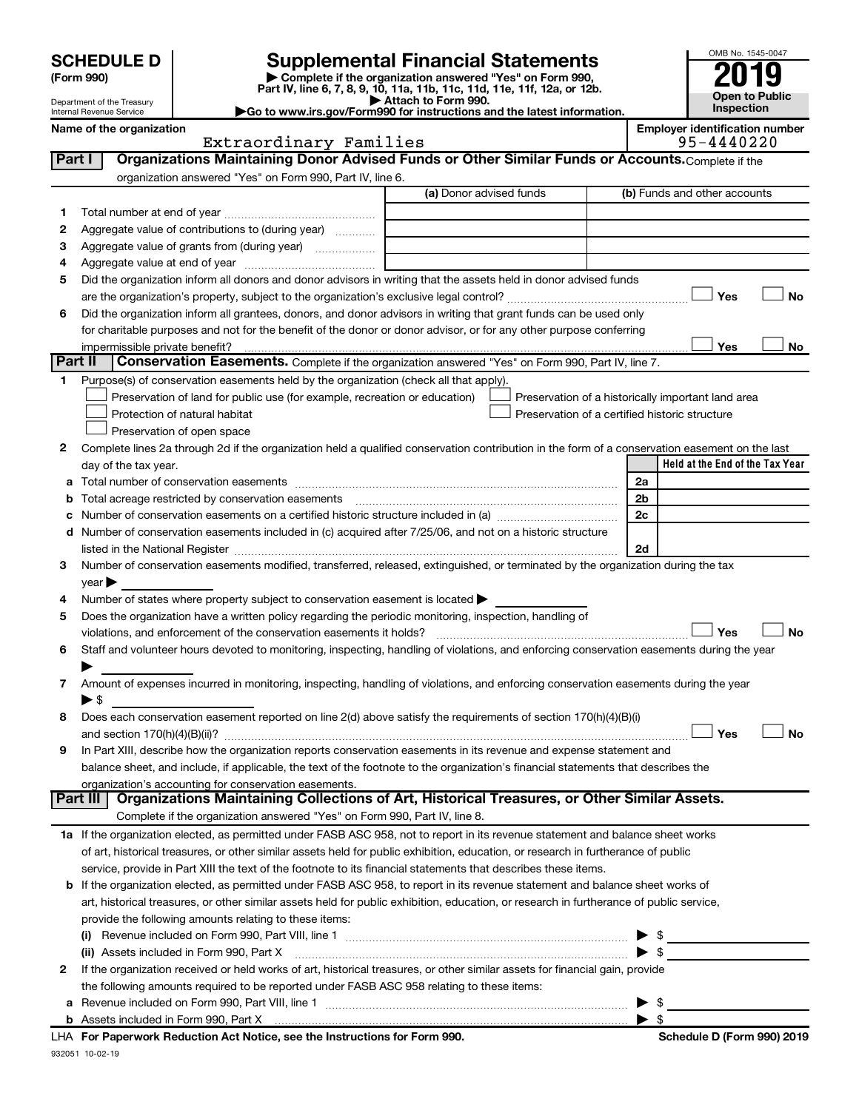| (Form 990) |
|------------|
|------------|

## **SCHEDULE D Supplemental Financial Statements**<br> **Form 990 2019**<br> **Part IV** line 6.7.8.9.10, 11a, 11b, 11d, 11d, 11d, 11d, 11d, 12a, 0r, 12b

**(Form 990) | Complete if the organization answered "Yes" on Form 990, Part IV, line 6, 7, 8, 9, 10, 11a, 11b, 11c, 11d, 11e, 11f, 12a, or 12b.**

**| Attach to Form 990. |Go to www.irs.gov/Form990 for instructions and the latest information.**



| Name of the organizati     |  |
|----------------------------|--|
| Internal Revenue Service   |  |
| Department of the Treasury |  |

**Namization**<br> **Namization Extra organization Extra organization Employer identification number**<br>  $0.5$  4440220

|          | Extraordinary Families                                                                                                                         |                         | 95-4440220                                         |
|----------|------------------------------------------------------------------------------------------------------------------------------------------------|-------------------------|----------------------------------------------------|
| Part I   | Organizations Maintaining Donor Advised Funds or Other Similar Funds or Accounts. Complete if the                                              |                         |                                                    |
|          | organization answered "Yes" on Form 990, Part IV, line 6.                                                                                      |                         |                                                    |
|          |                                                                                                                                                | (a) Donor advised funds | (b) Funds and other accounts                       |
| 1        |                                                                                                                                                |                         |                                                    |
| 2        | Aggregate value of contributions to (during year)                                                                                              |                         |                                                    |
| З        | Aggregate value of grants from (during year)                                                                                                   |                         |                                                    |
| 4        |                                                                                                                                                |                         |                                                    |
|          |                                                                                                                                                |                         |                                                    |
| 5        | Did the organization inform all donors and donor advisors in writing that the assets held in donor advised funds                               |                         |                                                    |
|          |                                                                                                                                                |                         | Yes<br>No                                          |
| 6        | Did the organization inform all grantees, donors, and donor advisors in writing that grant funds can be used only                              |                         |                                                    |
|          | for charitable purposes and not for the benefit of the donor or donor advisor, or for any other purpose conferring                             |                         |                                                    |
|          |                                                                                                                                                |                         | Yes<br>No                                          |
| Part II  | <b>Conservation Easements.</b> Complete if the organization answered "Yes" on Form 990, Part IV, line 7.                                       |                         |                                                    |
| 1        | Purpose(s) of conservation easements held by the organization (check all that apply).                                                          |                         |                                                    |
|          | Preservation of land for public use (for example, recreation or education)                                                                     |                         | Preservation of a historically important land area |
|          | Protection of natural habitat                                                                                                                  |                         | Preservation of a certified historic structure     |
|          | Preservation of open space                                                                                                                     |                         |                                                    |
| 2        | Complete lines 2a through 2d if the organization held a qualified conservation contribution in the form of a conservation easement on the last |                         |                                                    |
|          | day of the tax year.                                                                                                                           |                         | Held at the End of the Tax Year                    |
| а        |                                                                                                                                                |                         | 2a                                                 |
| b        | Total acreage restricted by conservation easements                                                                                             |                         | 2b                                                 |
|          |                                                                                                                                                |                         | 2c                                                 |
| d        | Number of conservation easements included in (c) acquired after 7/25/06, and not on a historic structure                                       |                         |                                                    |
|          |                                                                                                                                                |                         | 2d                                                 |
| 3        | Number of conservation easements modified, transferred, released, extinguished, or terminated by the organization during the tax               |                         |                                                    |
|          |                                                                                                                                                |                         |                                                    |
|          | $year \blacktriangleright$                                                                                                                     |                         |                                                    |
| 4        | Number of states where property subject to conservation easement is located >                                                                  |                         |                                                    |
| 5        | Does the organization have a written policy regarding the periodic monitoring, inspection, handling of                                         |                         |                                                    |
|          | violations, and enforcement of the conservation easements it holds?                                                                            |                         | Yes<br>No                                          |
| 6        | Staff and volunteer hours devoted to monitoring, inspecting, handling of violations, and enforcing conservation easements during the year      |                         |                                                    |
|          |                                                                                                                                                |                         |                                                    |
| 7        | Amount of expenses incurred in monitoring, inspecting, handling of violations, and enforcing conservation easements during the year            |                         |                                                    |
|          | $\blacktriangleright$ \$                                                                                                                       |                         |                                                    |
| 8        | Does each conservation easement reported on line 2(d) above satisfy the requirements of section 170(h)(4)(B)(i)                                |                         |                                                    |
|          |                                                                                                                                                |                         | Yes<br>No                                          |
| 9        | In Part XIII, describe how the organization reports conservation easements in its revenue and expense statement and                            |                         |                                                    |
|          | balance sheet, and include, if applicable, the text of the footnote to the organization's financial statements that describes the              |                         |                                                    |
|          | organization's accounting for conservation easements.                                                                                          |                         |                                                    |
| Part III | Organizations Maintaining Collections of Art, Historical Treasures, or Other Similar Assets.                                                   |                         |                                                    |
|          | Complete if the organization answered "Yes" on Form 990, Part IV, line 8.                                                                      |                         |                                                    |
|          | 1a If the organization elected, as permitted under FASB ASC 958, not to report in its revenue statement and balance sheet works                |                         |                                                    |
|          | of art, historical treasures, or other similar assets held for public exhibition, education, or research in furtherance of public              |                         |                                                    |
|          | service, provide in Part XIII the text of the footnote to its financial statements that describes these items.                                 |                         |                                                    |
|          | b If the organization elected, as permitted under FASB ASC 958, to report in its revenue statement and balance sheet works of                  |                         |                                                    |
|          | art, historical treasures, or other similar assets held for public exhibition, education, or research in furtherance of public service,        |                         |                                                    |
|          | provide the following amounts relating to these items:                                                                                         |                         |                                                    |
|          |                                                                                                                                                |                         | $\frac{1}{2}$                                      |
|          | (ii) Assets included in Form 990, Part X                                                                                                       |                         | $\blacktriangleright$ \$                           |
| 2        | If the organization received or held works of art, historical treasures, or other similar assets for financial gain, provide                   |                         |                                                    |
|          | the following amounts required to be reported under FASB ASC 958 relating to these items:                                                      |                         |                                                    |
|          |                                                                                                                                                |                         | $\blacktriangleright$ \$                           |
|          |                                                                                                                                                |                         |                                                    |

| \$

| Schedule D (Form 990) 2019 |  |
|----------------------------|--|
|                            |  |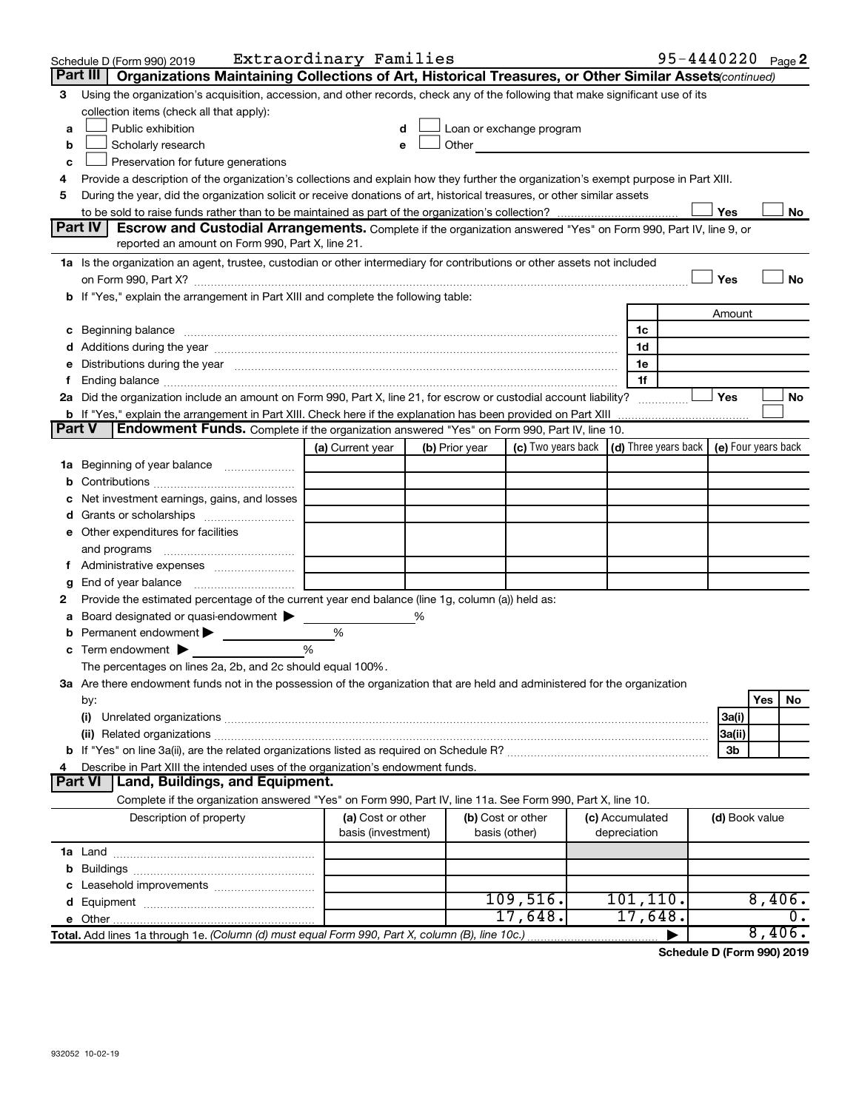|               | Schedule D (Form 990) 2019                                                                                                                                                                                                     | Extraordinary Families                  |   |                                    |                                                                                                                                                                                                                               |  |                                 |                | 95-4440220 Page 2 |
|---------------|--------------------------------------------------------------------------------------------------------------------------------------------------------------------------------------------------------------------------------|-----------------------------------------|---|------------------------------------|-------------------------------------------------------------------------------------------------------------------------------------------------------------------------------------------------------------------------------|--|---------------------------------|----------------|-------------------|
|               | Part III<br>Organizations Maintaining Collections of Art, Historical Treasures, or Other Similar Assets(continued)                                                                                                             |                                         |   |                                    |                                                                                                                                                                                                                               |  |                                 |                |                   |
| 3             | Using the organization's acquisition, accession, and other records, check any of the following that make significant use of its<br>collection items (check all that apply):                                                    |                                         |   |                                    |                                                                                                                                                                                                                               |  |                                 |                |                   |
| a             | Public exhibition                                                                                                                                                                                                              | d                                       |   |                                    | Loan or exchange program                                                                                                                                                                                                      |  |                                 |                |                   |
| b             | Scholarly research                                                                                                                                                                                                             |                                         | е |                                    | Other and the contract of the contract of the contract of the contract of the contract of the contract of the contract of the contract of the contract of the contract of the contract of the contract of the contract of the |  |                                 |                |                   |
| c             | Preservation for future generations                                                                                                                                                                                            |                                         |   |                                    |                                                                                                                                                                                                                               |  |                                 |                |                   |
| 4             | Provide a description of the organization's collections and explain how they further the organization's exempt purpose in Part XIII.                                                                                           |                                         |   |                                    |                                                                                                                                                                                                                               |  |                                 |                |                   |
| 5             | During the year, did the organization solicit or receive donations of art, historical treasures, or other similar assets                                                                                                       |                                         |   |                                    |                                                                                                                                                                                                                               |  |                                 |                |                   |
|               |                                                                                                                                                                                                                                |                                         |   |                                    |                                                                                                                                                                                                                               |  |                                 | Yes            | No                |
|               | Part IV<br><b>Escrow and Custodial Arrangements.</b> Complete if the organization answered "Yes" on Form 990, Part IV, line 9, or                                                                                              |                                         |   |                                    |                                                                                                                                                                                                                               |  |                                 |                |                   |
|               | reported an amount on Form 990, Part X, line 21.                                                                                                                                                                               |                                         |   |                                    |                                                                                                                                                                                                                               |  |                                 |                |                   |
|               | 1a Is the organization an agent, trustee, custodian or other intermediary for contributions or other assets not included                                                                                                       |                                         |   |                                    |                                                                                                                                                                                                                               |  |                                 |                |                   |
|               |                                                                                                                                                                                                                                |                                         |   |                                    |                                                                                                                                                                                                                               |  |                                 | Yes            | <b>No</b>         |
|               | b If "Yes," explain the arrangement in Part XIII and complete the following table:                                                                                                                                             |                                         |   |                                    |                                                                                                                                                                                                                               |  |                                 |                |                   |
|               |                                                                                                                                                                                                                                |                                         |   |                                    |                                                                                                                                                                                                                               |  |                                 | Amount         |                   |
|               | c Beginning balance measurements and the contract of Beginning balance measurements are all the contract of the contract of the contract of the contract of the contract of the contract of the contract of the contract of th |                                         |   |                                    |                                                                                                                                                                                                                               |  | 1c                              |                |                   |
|               |                                                                                                                                                                                                                                |                                         |   |                                    |                                                                                                                                                                                                                               |  | 1d                              |                |                   |
|               | e Distributions during the year measurement contained and all the contract of the contract of the contract of                                                                                                                  |                                         |   |                                    |                                                                                                                                                                                                                               |  | 1e                              |                |                   |
| Ť.            |                                                                                                                                                                                                                                |                                         |   |                                    |                                                                                                                                                                                                                               |  | 1f                              |                |                   |
|               | 2a Did the organization include an amount on Form 990, Part X, line 21, for escrow or custodial account liability?                                                                                                             |                                         |   |                                    |                                                                                                                                                                                                                               |  |                                 | Yes            | No                |
| <b>Part V</b> | b If "Yes," explain the arrangement in Part XIII. Check here if the explanation has been provided on Part XIII<br><b>Endowment Funds.</b> Complete if the organization answered "Yes" on Form 990, Part IV, line 10.           |                                         |   |                                    |                                                                                                                                                                                                                               |  |                                 |                |                   |
|               |                                                                                                                                                                                                                                |                                         |   |                                    | (c) Two years back $\vert$ (d) Three years back $\vert$ (e) Four years back                                                                                                                                                   |  |                                 |                |                   |
|               |                                                                                                                                                                                                                                | (a) Current year                        |   | (b) Prior year                     |                                                                                                                                                                                                                               |  |                                 |                |                   |
|               | 1a Beginning of year balance                                                                                                                                                                                                   |                                         |   |                                    |                                                                                                                                                                                                                               |  |                                 |                |                   |
| b             |                                                                                                                                                                                                                                |                                         |   |                                    |                                                                                                                                                                                                                               |  |                                 |                |                   |
|               | Net investment earnings, gains, and losses                                                                                                                                                                                     |                                         |   |                                    |                                                                                                                                                                                                                               |  |                                 |                |                   |
|               | e Other expenditures for facilities                                                                                                                                                                                            |                                         |   |                                    |                                                                                                                                                                                                                               |  |                                 |                |                   |
|               |                                                                                                                                                                                                                                |                                         |   |                                    |                                                                                                                                                                                                                               |  |                                 |                |                   |
|               |                                                                                                                                                                                                                                |                                         |   |                                    |                                                                                                                                                                                                                               |  |                                 |                |                   |
| g             | End of year balance <i>manually contained</i>                                                                                                                                                                                  |                                         |   |                                    |                                                                                                                                                                                                                               |  |                                 |                |                   |
| 2             | Provide the estimated percentage of the current year end balance (line 1g, column (a)) held as:                                                                                                                                |                                         |   |                                    |                                                                                                                                                                                                                               |  |                                 |                |                   |
| а             | Board designated or quasi-endowment                                                                                                                                                                                            |                                         | % |                                    |                                                                                                                                                                                                                               |  |                                 |                |                   |
| b             | Permanent endowment $\blacktriangleright$                                                                                                                                                                                      | $\%$                                    |   |                                    |                                                                                                                                                                                                                               |  |                                 |                |                   |
|               | $\mathbf c$ Term endowment $\blacktriangleright$                                                                                                                                                                               | %                                       |   |                                    |                                                                                                                                                                                                                               |  |                                 |                |                   |
|               | The percentages on lines 2a, 2b, and 2c should equal 100%.                                                                                                                                                                     |                                         |   |                                    |                                                                                                                                                                                                                               |  |                                 |                |                   |
|               | 3a Are there endowment funds not in the possession of the organization that are held and administered for the organization                                                                                                     |                                         |   |                                    |                                                                                                                                                                                                                               |  |                                 |                |                   |
|               | by:                                                                                                                                                                                                                            |                                         |   |                                    |                                                                                                                                                                                                                               |  |                                 |                | Yes<br>No         |
|               | (i)                                                                                                                                                                                                                            |                                         |   |                                    |                                                                                                                                                                                                                               |  |                                 | 3a(i)          |                   |
|               |                                                                                                                                                                                                                                |                                         |   |                                    |                                                                                                                                                                                                                               |  |                                 | 3a(ii)         |                   |
|               |                                                                                                                                                                                                                                |                                         |   |                                    |                                                                                                                                                                                                                               |  |                                 | 3b             |                   |
| 4             | Describe in Part XIII the intended uses of the organization's endowment funds.                                                                                                                                                 |                                         |   |                                    |                                                                                                                                                                                                                               |  |                                 |                |                   |
|               | Land, Buildings, and Equipment.<br><b>Part VI</b>                                                                                                                                                                              |                                         |   |                                    |                                                                                                                                                                                                                               |  |                                 |                |                   |
|               | Complete if the organization answered "Yes" on Form 990, Part IV, line 11a. See Form 990, Part X, line 10.                                                                                                                     |                                         |   |                                    |                                                                                                                                                                                                                               |  |                                 |                |                   |
|               | Description of property                                                                                                                                                                                                        | (a) Cost or other<br>basis (investment) |   | (b) Cost or other<br>basis (other) |                                                                                                                                                                                                                               |  | (c) Accumulated<br>depreciation | (d) Book value |                   |
|               |                                                                                                                                                                                                                                |                                         |   |                                    |                                                                                                                                                                                                                               |  |                                 |                |                   |
|               |                                                                                                                                                                                                                                |                                         |   |                                    |                                                                                                                                                                                                                               |  |                                 |                |                   |
|               |                                                                                                                                                                                                                                |                                         |   |                                    |                                                                                                                                                                                                                               |  |                                 |                |                   |
|               |                                                                                                                                                                                                                                |                                         |   |                                    | 109,516.                                                                                                                                                                                                                      |  | 101, 110.                       |                | $8,406$ .         |
|               |                                                                                                                                                                                                                                |                                         |   |                                    | 17,648.                                                                                                                                                                                                                       |  | 17,648.                         |                |                   |
|               | Total. Add lines 1a through 1e. (Column (d) must equal Form 990, Part X, column (B), line 10c.)                                                                                                                                |                                         |   |                                    |                                                                                                                                                                                                                               |  |                                 |                | 8,406.            |

**Schedule D (Form 990) 2019**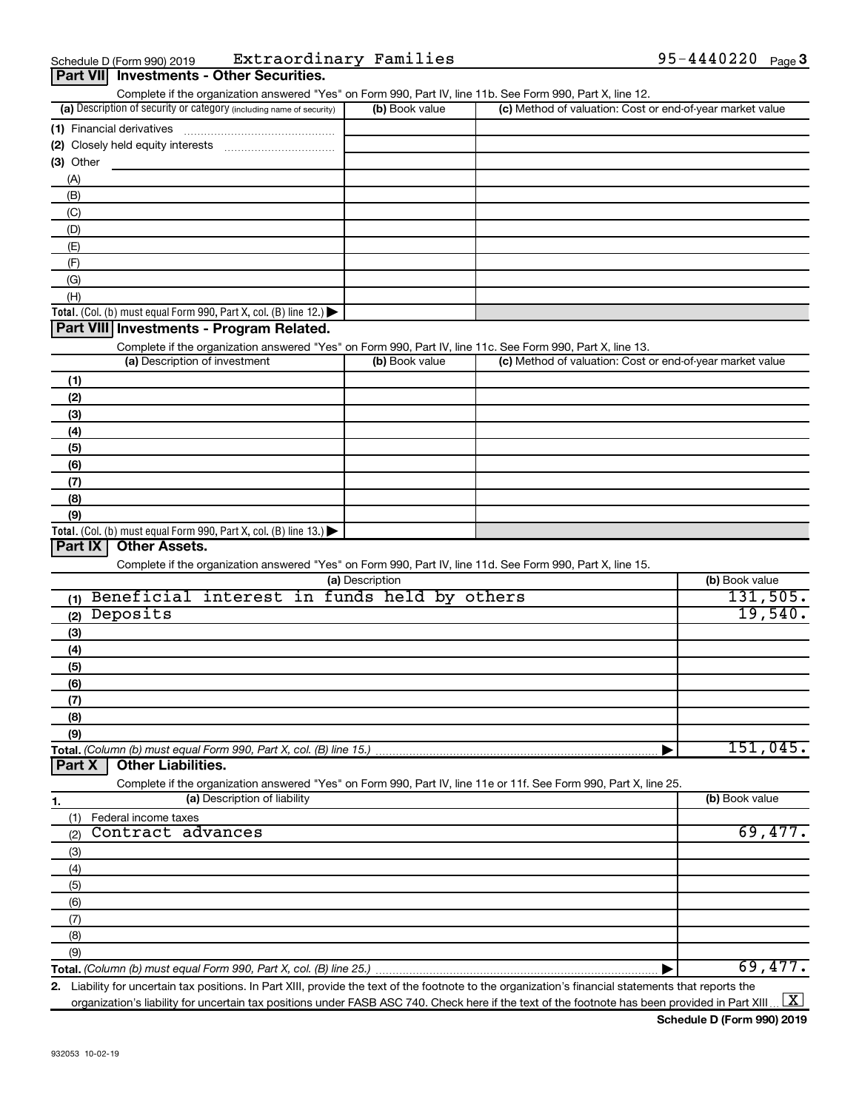| Part VII Investments - Other Securities.                                                                                                          |                 |                                                           |                |
|---------------------------------------------------------------------------------------------------------------------------------------------------|-----------------|-----------------------------------------------------------|----------------|
| Complete if the organization answered "Yes" on Form 990, Part IV, line 11b. See Form 990, Part X, line 12.                                        |                 |                                                           |                |
| (a) Description of security or category (including name of security)                                                                              | (b) Book value  | (c) Method of valuation: Cost or end-of-year market value |                |
| (1) Financial derivatives                                                                                                                         |                 |                                                           |                |
|                                                                                                                                                   |                 |                                                           |                |
| $(3)$ Other                                                                                                                                       |                 |                                                           |                |
| (A)                                                                                                                                               |                 |                                                           |                |
| (B)                                                                                                                                               |                 |                                                           |                |
| (C)                                                                                                                                               |                 |                                                           |                |
| (D)                                                                                                                                               |                 |                                                           |                |
| (E)                                                                                                                                               |                 |                                                           |                |
| (F)                                                                                                                                               |                 |                                                           |                |
| (G)                                                                                                                                               |                 |                                                           |                |
| (H)                                                                                                                                               |                 |                                                           |                |
| Total. (Col. (b) must equal Form 990, Part X, col. (B) line 12.) $\blacktriangleright$                                                            |                 |                                                           |                |
| Part VIII Investments - Program Related.                                                                                                          |                 |                                                           |                |
| Complete if the organization answered "Yes" on Form 990, Part IV, line 11c. See Form 990, Part X, line 13.                                        |                 |                                                           |                |
| (a) Description of investment                                                                                                                     | (b) Book value  | (c) Method of valuation: Cost or end-of-year market value |                |
| (1)                                                                                                                                               |                 |                                                           |                |
| (2)                                                                                                                                               |                 |                                                           |                |
| (3)                                                                                                                                               |                 |                                                           |                |
| (4)                                                                                                                                               |                 |                                                           |                |
| (5)                                                                                                                                               |                 |                                                           |                |
| (6)                                                                                                                                               |                 |                                                           |                |
| (7)                                                                                                                                               |                 |                                                           |                |
| (8)                                                                                                                                               |                 |                                                           |                |
| (9)                                                                                                                                               |                 |                                                           |                |
| Total. (Col. (b) must equal Form 990, Part X, col. (B) line $13.$ )                                                                               |                 |                                                           |                |
| Part IX<br><b>Other Assets.</b>                                                                                                                   |                 |                                                           |                |
| Complete if the organization answered "Yes" on Form 990, Part IV, line 11d. See Form 990, Part X, line 15.                                        |                 |                                                           |                |
|                                                                                                                                                   | (a) Description |                                                           | (b) Book value |
| Beneficial interest in funds held by others<br>(1)                                                                                                |                 |                                                           | 131,505.       |
| Deposits<br>(2)                                                                                                                                   |                 |                                                           | 19,540.        |
| (3)                                                                                                                                               |                 |                                                           |                |
| (4)                                                                                                                                               |                 |                                                           |                |
| (5)                                                                                                                                               |                 |                                                           |                |
| (6)                                                                                                                                               |                 |                                                           |                |
| (7)                                                                                                                                               |                 |                                                           |                |
| (8)                                                                                                                                               |                 |                                                           |                |
| (9)                                                                                                                                               |                 |                                                           |                |
| Part X                                                                                                                                            |                 |                                                           | 151,045.       |
| <b>Other Liabilities.</b>                                                                                                                         |                 |                                                           |                |
| Complete if the organization answered "Yes" on Form 990, Part IV, line 11e or 11f. See Form 990, Part X, line 25.<br>(a) Description of liability |                 |                                                           | (b) Book value |
| 1.                                                                                                                                                |                 |                                                           |                |
| Federal income taxes<br>(1)                                                                                                                       |                 |                                                           |                |
| Contract advances<br>(2)                                                                                                                          |                 |                                                           | 69,477.        |
| (3)                                                                                                                                               |                 |                                                           |                |
| (4)                                                                                                                                               |                 |                                                           |                |
| (5)                                                                                                                                               |                 |                                                           |                |
| (6)                                                                                                                                               |                 |                                                           |                |
| (7)                                                                                                                                               |                 |                                                           |                |
| (8)                                                                                                                                               |                 |                                                           |                |

**Total.**  *(Column (b) must equal Form 990, Part X, col. (B) line 25.)* (9)

**2.** Liability for uncertain tax positions. In Part XIII, provide the text of the footnote to the organization's financial statements that reports the | 69,477.

organization's liability for uncertain tax positions under FASB ASC 740. Check here if the text of the footnote has been provided in Part XIII ...  $\fbox{\bf X}$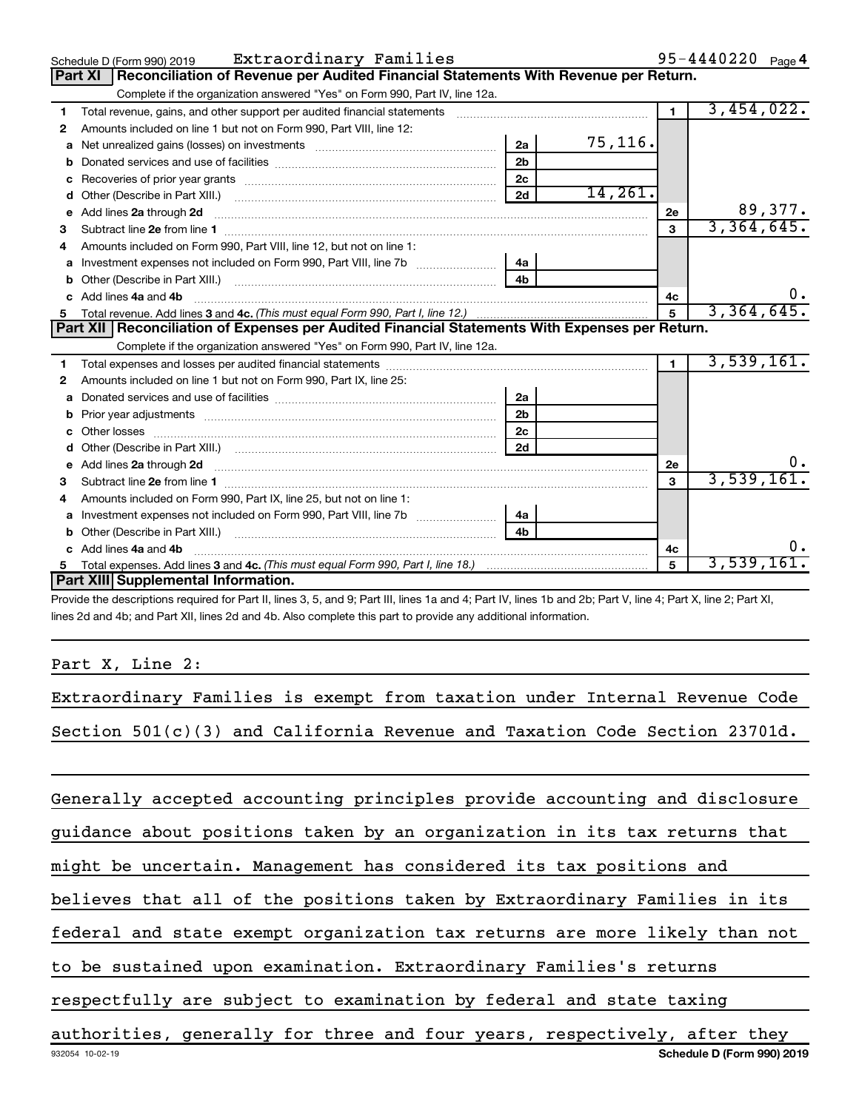|    | Extraordinary Families<br>Schedule D (Form 990) 2019                                                                                                                                                                                |                |          |                | 95-4440220 Page 4 |
|----|-------------------------------------------------------------------------------------------------------------------------------------------------------------------------------------------------------------------------------------|----------------|----------|----------------|-------------------|
|    | Reconciliation of Revenue per Audited Financial Statements With Revenue per Return.<br><b>Part XI</b>                                                                                                                               |                |          |                |                   |
|    | Complete if the organization answered "Yes" on Form 990, Part IV, line 12a.                                                                                                                                                         |                |          |                |                   |
| 1  | Total revenue, gains, and other support per audited financial statements [11] [11] Total revenue, gains, and other support per audited financial statements                                                                         |                |          | $\blacksquare$ | 3,454,022.        |
| 2  | Amounts included on line 1 but not on Form 990, Part VIII, line 12:                                                                                                                                                                 |                |          |                |                   |
| a  |                                                                                                                                                                                                                                     | 2a             | 75, 116. |                |                   |
| b  |                                                                                                                                                                                                                                     | 2 <sub>b</sub> |          |                |                   |
| c  |                                                                                                                                                                                                                                     | 2 <sub>c</sub> |          |                |                   |
| d  | Other (Describe in Part XIII.) <b>2006</b> 2007 2010 2010 2010 2010 2011 2012 2013 2014 2015 2016 2017 2018 2019 2016 2016 2017 2018 2019 2016 2017 2018 2019 2016 2017 2018 2019 2018 2019 2016 2017 2018 2019 2019 2019 2018 2019 | 2d             | 14,261.  |                |                   |
| е  | Add lines 2a through 2d <b>must be a constructed as the constant of the constant of the constant of the construction</b>                                                                                                            |                |          | 2e             | 89,377.           |
| з  |                                                                                                                                                                                                                                     |                |          | $\mathbf{3}$   | 3,364,645.        |
|    | Amounts included on Form 990, Part VIII, line 12, but not on line 1:                                                                                                                                                                |                |          |                |                   |
| a  | Investment expenses not included on Form 990, Part VIII, line 7b [11, 111, 120]                                                                                                                                                     | 4a             |          |                |                   |
| b  |                                                                                                                                                                                                                                     | 4 <sub>b</sub> |          |                |                   |
| C. | Add lines 4a and 4b                                                                                                                                                                                                                 |                |          | 4с             | υ.                |
| 5. |                                                                                                                                                                                                                                     |                |          | 5              | 3,364,645.        |
|    | Part XII   Reconciliation of Expenses per Audited Financial Statements With Expenses per Return.                                                                                                                                    |                |          |                |                   |
|    | Complete if the organization answered "Yes" on Form 990, Part IV, line 12a.                                                                                                                                                         |                |          |                |                   |
| 1  |                                                                                                                                                                                                                                     |                |          | $\mathbf{1}$   | 3,539,161.        |
| 2  | Amounts included on line 1 but not on Form 990, Part IX, line 25:                                                                                                                                                                   |                |          |                |                   |
| a  |                                                                                                                                                                                                                                     | 2a             |          |                |                   |
| b  | Prior year adjustments [ www.communications of the contract of the contract of the contract of the contract of                                                                                                                      | 2 <sub>b</sub> |          |                |                   |
| c  |                                                                                                                                                                                                                                     | 2 <sub>c</sub> |          |                |                   |
|    |                                                                                                                                                                                                                                     | 2d             |          |                |                   |
| е  | Add lines 2a through 2d <b>contained a contained a contained a contained a</b> contained a contained a contained a contained a contained a contained a contained a contained a contained a contained a contained a contained a cont |                |          | 2e             | 0.                |
| з  |                                                                                                                                                                                                                                     |                |          | 3              | 3,539,161.        |
| 4  | Amounts included on Form 990, Part IX, line 25, but not on line 1:                                                                                                                                                                  |                |          |                |                   |
| a  | Investment expenses not included on Form 990, Part VIII, line 7b                                                                                                                                                                    | 4a             |          |                |                   |
| b  |                                                                                                                                                                                                                                     | 4h             |          |                |                   |
| c  | Add lines 4a and 4b                                                                                                                                                                                                                 |                |          | 4c             |                   |
|    |                                                                                                                                                                                                                                     |                |          | 5              | 3,539,161.        |
|    | Part XIII Supplemental Information.                                                                                                                                                                                                 |                |          |                |                   |

Provide the descriptions required for Part II, lines 3, 5, and 9; Part III, lines 1a and 4; Part IV, lines 1b and 2b; Part V, line 4; Part X, line 2; Part XI, lines 2d and 4b; and Part XII, lines 2d and 4b. Also complete this part to provide any additional information.

Part X, Line 2:

Extraordinary Families is exempt from taxation under Internal Revenue Code Section 501(c)(3) and California Revenue and Taxation Code Section 23701d.

Generally accepted accounting principles provide accounting and disclosure

guidance about positions taken by an organization in its tax returns that

might be uncertain. Management has considered its tax positions and

believes that all of the positions taken by Extraordinary Families in its

federal and state exempt organization tax returns are more likely than not

to be sustained upon examination. Extraordinary Families's returns

respectfully are subject to examination by federal and state taxing

932054 10-02-19 **Schedule D (Form 990) 2019** authorities, generally for three and four years, respectively, after they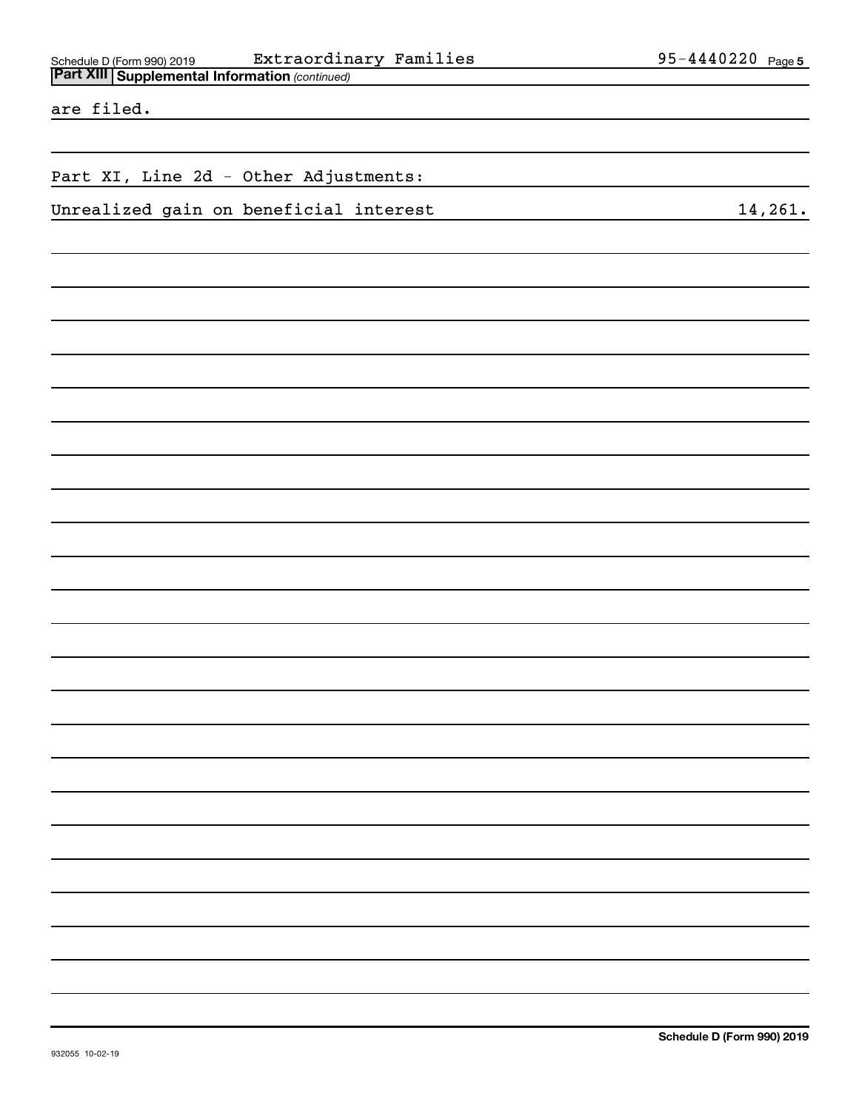Schedule D (Form 990) 2019  ${\rm \bf Extraordinary\, Families}$  95-4440220  $_{\rm Page}$ 

are filed.

Part XI, Line 2d - Other Adjustments:

Unrealized gain on beneficial interest 14,261.

**Schedule D (Form 990) 2019**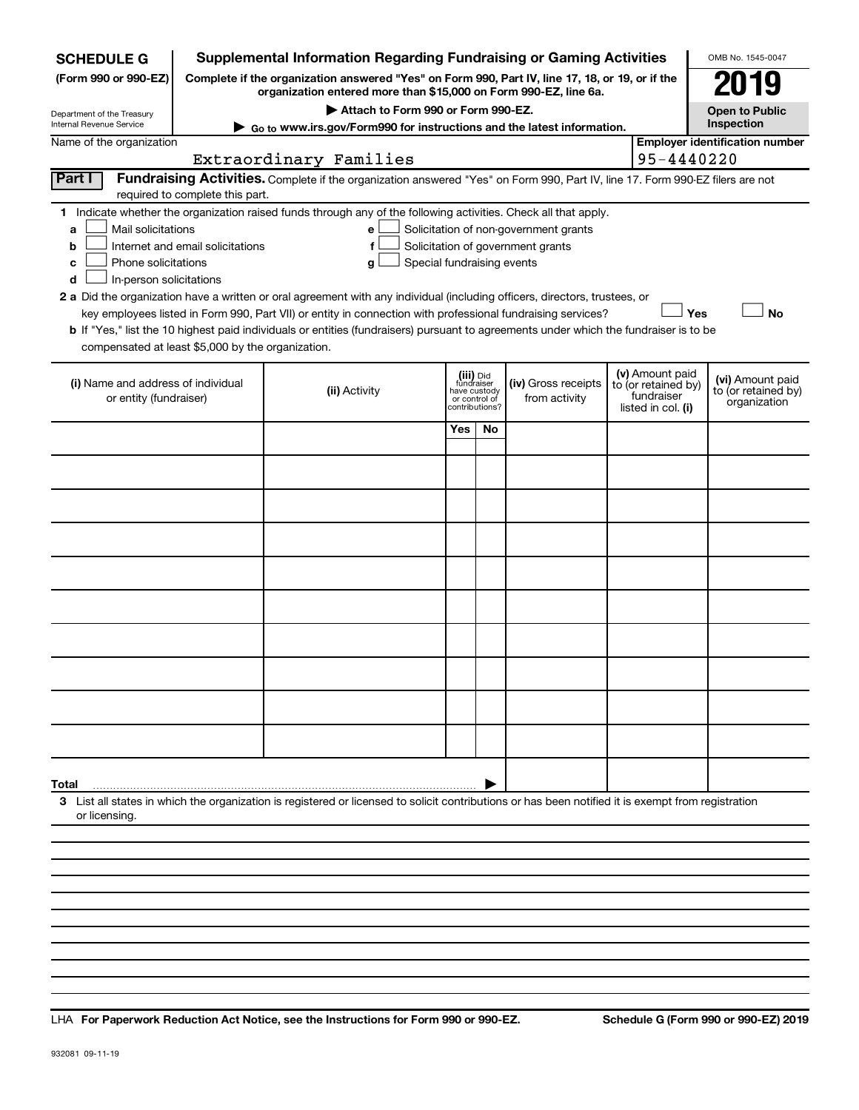| <b>SCHEDULE G</b>                                                                                                                             |                                    | <b>Supplemental Information Regarding Fundraising or Gaming Activities</b>                                                                                                                                                                                                                                                                                                                                                                                                                                                                    |                                                          |                |                                                                            |                                                                            |            | OMB No. 1545-0047                                       |
|-----------------------------------------------------------------------------------------------------------------------------------------------|------------------------------------|-----------------------------------------------------------------------------------------------------------------------------------------------------------------------------------------------------------------------------------------------------------------------------------------------------------------------------------------------------------------------------------------------------------------------------------------------------------------------------------------------------------------------------------------------|----------------------------------------------------------|----------------|----------------------------------------------------------------------------|----------------------------------------------------------------------------|------------|---------------------------------------------------------|
| (Form 990 or 990-EZ)                                                                                                                          |                                    | Complete if the organization answered "Yes" on Form 990, Part IV, line 17, 18, or 19, or if the<br>organization entered more than \$15,000 on Form 990-EZ, line 6a.                                                                                                                                                                                                                                                                                                                                                                           |                                                          |                |                                                                            |                                                                            |            | 019                                                     |
| Department of the Treasury                                                                                                                    | Attach to Form 990 or Form 990-EZ. |                                                                                                                                                                                                                                                                                                                                                                                                                                                                                                                                               |                                                          |                |                                                                            |                                                                            |            | <b>Open to Public</b>                                   |
| Internal Revenue Service                                                                                                                      |                                    | Go to www.irs.gov/Form990 for instructions and the latest information.                                                                                                                                                                                                                                                                                                                                                                                                                                                                        |                                                          |                |                                                                            |                                                                            |            | Inspection                                              |
| Name of the organization                                                                                                                      |                                    | Extraordinary Families                                                                                                                                                                                                                                                                                                                                                                                                                                                                                                                        |                                                          |                |                                                                            |                                                                            | 95-4440220 | <b>Employer identification number</b>                   |
| Part I                                                                                                                                        | required to complete this part.    | Fundraising Activities. Complete if the organization answered "Yes" on Form 990, Part IV, line 17. Form 990-EZ filers are not                                                                                                                                                                                                                                                                                                                                                                                                                 |                                                          |                |                                                                            |                                                                            |            |                                                         |
| Mail solicitations<br>a<br>b<br>Phone solicitations<br>с<br>In-person solicitations<br>d<br>compensated at least \$5,000 by the organization. | Internet and email solicitations   | 1 Indicate whether the organization raised funds through any of the following activities. Check all that apply.<br>e<br>Special fundraising events<br>g<br>2 a Did the organization have a written or oral agreement with any individual (including officers, directors, trustees, or<br>key employees listed in Form 990, Part VII) or entity in connection with professional fundraising services?<br>b If "Yes," list the 10 highest paid individuals or entities (fundraisers) pursuant to agreements under which the fundraiser is to be |                                                          |                | Solicitation of non-government grants<br>Solicitation of government grants |                                                                            | Yes        | <b>No</b>                                               |
| (i) Name and address of individual<br>or entity (fundraiser)                                                                                  |                                    | (ii) Activity                                                                                                                                                                                                                                                                                                                                                                                                                                                                                                                                 | (iii) Did<br>fundraiser<br>have custody<br>or control of | contributions? | (iv) Gross receipts<br>from activity                                       | (v) Amount paid<br>to (or retained by)<br>fundraiser<br>listed in col. (i) |            | (vi) Amount paid<br>to (or retained by)<br>organization |
|                                                                                                                                               |                                    |                                                                                                                                                                                                                                                                                                                                                                                                                                                                                                                                               | Yes                                                      | No.            |                                                                            |                                                                            |            |                                                         |
|                                                                                                                                               |                                    |                                                                                                                                                                                                                                                                                                                                                                                                                                                                                                                                               |                                                          |                |                                                                            |                                                                            |            |                                                         |
|                                                                                                                                               |                                    |                                                                                                                                                                                                                                                                                                                                                                                                                                                                                                                                               |                                                          |                |                                                                            |                                                                            |            |                                                         |
|                                                                                                                                               |                                    |                                                                                                                                                                                                                                                                                                                                                                                                                                                                                                                                               |                                                          |                |                                                                            |                                                                            |            |                                                         |
|                                                                                                                                               |                                    |                                                                                                                                                                                                                                                                                                                                                                                                                                                                                                                                               |                                                          |                |                                                                            |                                                                            |            |                                                         |
|                                                                                                                                               |                                    |                                                                                                                                                                                                                                                                                                                                                                                                                                                                                                                                               |                                                          |                |                                                                            |                                                                            |            |                                                         |
|                                                                                                                                               |                                    |                                                                                                                                                                                                                                                                                                                                                                                                                                                                                                                                               |                                                          |                |                                                                            |                                                                            |            |                                                         |
|                                                                                                                                               |                                    |                                                                                                                                                                                                                                                                                                                                                                                                                                                                                                                                               |                                                          |                |                                                                            |                                                                            |            |                                                         |
|                                                                                                                                               |                                    |                                                                                                                                                                                                                                                                                                                                                                                                                                                                                                                                               |                                                          |                |                                                                            |                                                                            |            |                                                         |
|                                                                                                                                               |                                    |                                                                                                                                                                                                                                                                                                                                                                                                                                                                                                                                               |                                                          |                |                                                                            |                                                                            |            |                                                         |
| Total                                                                                                                                         |                                    |                                                                                                                                                                                                                                                                                                                                                                                                                                                                                                                                               |                                                          |                |                                                                            |                                                                            |            |                                                         |
| or licensing.                                                                                                                                 |                                    | 3 List all states in which the organization is registered or licensed to solicit contributions or has been notified it is exempt from registration                                                                                                                                                                                                                                                                                                                                                                                            |                                                          |                |                                                                            |                                                                            |            |                                                         |
|                                                                                                                                               |                                    |                                                                                                                                                                                                                                                                                                                                                                                                                                                                                                                                               |                                                          |                |                                                                            |                                                                            |            |                                                         |
|                                                                                                                                               |                                    |                                                                                                                                                                                                                                                                                                                                                                                                                                                                                                                                               |                                                          |                |                                                                            |                                                                            |            |                                                         |

**For Paperwork Reduction Act Notice, see the Instructions for Form 990 or 990-EZ. Schedule G (Form 990 or 990-EZ) 2019** LHA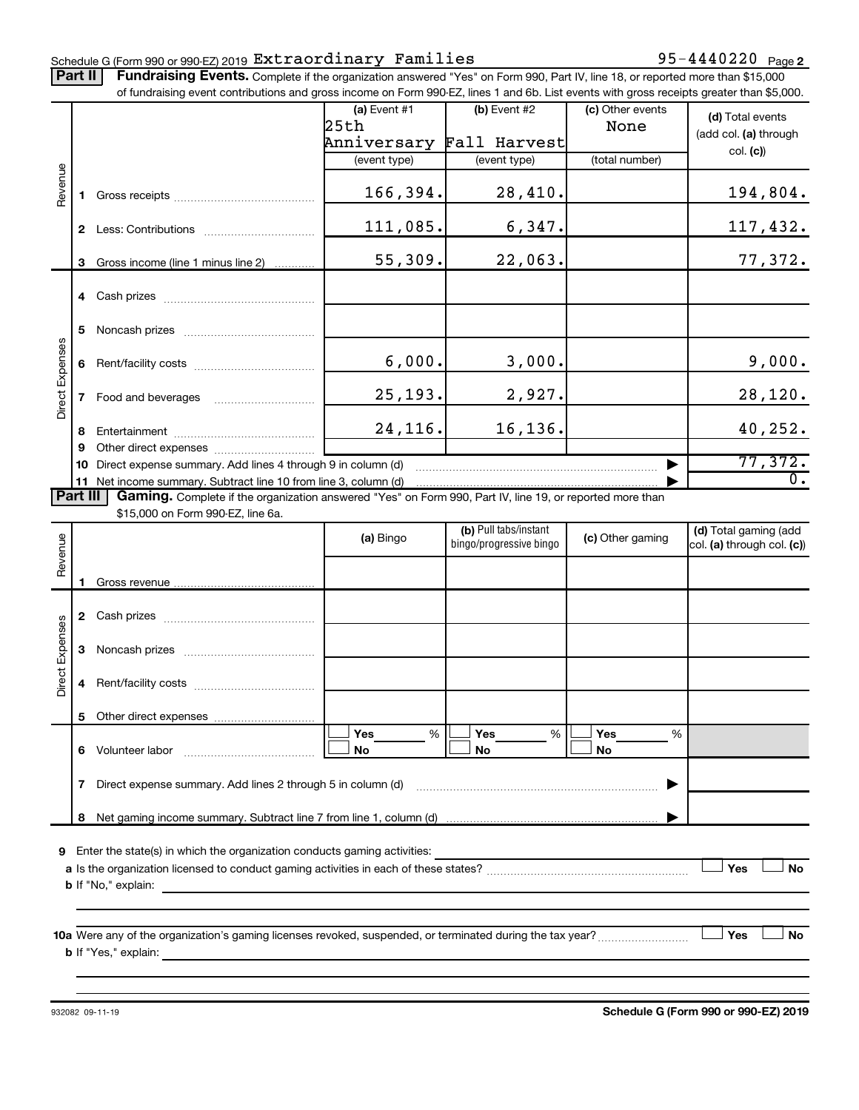#### Schedule G (Form 990 or 990-EZ) 2019  ${\tt Extracty\; Families} \hspace{2cm} 95-4440220 \hspace{0.2cm} {\rm Page}$

Part II | Fundraising Events. Complete if the organization answered "Yes" on Form 990, Part IV, line 18, or reported more than \$15,000 of fundraising event contributions and gross income on Form 990-EZ, lines 1 and 6b. List events with gross receipts greater than \$5,000.

|                        |              | of fundraising event contributions and gross income on Form 990-EZ, lines T and 6D. List events with gross receipts greater than \$5,000. |                |                          |                  |                                                     |
|------------------------|--------------|-------------------------------------------------------------------------------------------------------------------------------------------|----------------|--------------------------|------------------|-----------------------------------------------------|
|                        |              |                                                                                                                                           | (a) Event $#1$ | $(b)$ Event #2           | (c) Other events | (d) Total events                                    |
|                        |              |                                                                                                                                           | 25th           |                          | None             | (add col. (a) through                               |
|                        |              |                                                                                                                                           |                | Anniversary Fall Harvest |                  | col. (c)                                            |
|                        |              |                                                                                                                                           | (event type)   | (event type)             | (total number)   |                                                     |
| Revenue                |              |                                                                                                                                           |                |                          |                  |                                                     |
|                        | 1.           |                                                                                                                                           | 166,394.       | 28,410.                  |                  | 194,804.                                            |
|                        |              |                                                                                                                                           |                |                          |                  |                                                     |
|                        |              |                                                                                                                                           | 111,085.       | 6,347.                   |                  | 117,432.                                            |
|                        |              |                                                                                                                                           |                |                          |                  |                                                     |
|                        | 3            | Gross income (line 1 minus line 2)                                                                                                        | 55,309.        | 22,063.                  |                  | 77,372.                                             |
|                        |              |                                                                                                                                           |                |                          |                  |                                                     |
|                        |              |                                                                                                                                           |                |                          |                  |                                                     |
|                        |              |                                                                                                                                           |                |                          |                  |                                                     |
|                        | 5            |                                                                                                                                           |                |                          |                  |                                                     |
| <b>Direct Expenses</b> |              |                                                                                                                                           | 6,000.         | 3,000.                   |                  | 9,000.                                              |
|                        |              |                                                                                                                                           |                |                          |                  |                                                     |
|                        |              |                                                                                                                                           | 25,193.        | 2,927.                   |                  | 28,120.                                             |
|                        | $\mathbf{7}$ |                                                                                                                                           |                |                          |                  |                                                     |
|                        |              |                                                                                                                                           | 24,116.        | 16,136.                  |                  | 40,252.                                             |
|                        | 8<br>9       |                                                                                                                                           |                |                          |                  |                                                     |
|                        | 10           | Direct expense summary. Add lines 4 through 9 in column (d)                                                                               |                |                          |                  | 77,372.                                             |
|                        |              | 11 Net income summary. Subtract line 10 from line 3, column (d)                                                                           |                |                          |                  | $\overline{0}$ .                                    |
|                        | Part III     | Gaming. Complete if the organization answered "Yes" on Form 990, Part IV, line 19, or reported more than                                  |                |                          |                  |                                                     |
|                        |              | \$15,000 on Form 990-EZ, line 6a.                                                                                                         |                |                          |                  |                                                     |
|                        |              |                                                                                                                                           |                |                          |                  |                                                     |
|                        |              |                                                                                                                                           |                | (b) Pull tabs/instant    |                  |                                                     |
|                        |              |                                                                                                                                           | (a) Bingo      | bingo/progressive bingo  | (c) Other gaming | (d) Total gaming (add<br>col. (a) through col. (c)) |
|                        |              |                                                                                                                                           |                |                          |                  |                                                     |
| Revenue                | 1.           |                                                                                                                                           |                |                          |                  |                                                     |
|                        |              |                                                                                                                                           |                |                          |                  |                                                     |
|                        |              |                                                                                                                                           |                |                          |                  |                                                     |
|                        |              |                                                                                                                                           |                |                          |                  |                                                     |
|                        | 3            |                                                                                                                                           |                |                          |                  |                                                     |
|                        |              |                                                                                                                                           |                |                          |                  |                                                     |
|                        | 4            |                                                                                                                                           |                |                          |                  |                                                     |
| <b>Direct Expenses</b> |              |                                                                                                                                           |                |                          |                  |                                                     |
|                        | 5            |                                                                                                                                           |                |                          |                  |                                                     |
|                        |              |                                                                                                                                           | Yes<br>%       | %<br>Yes                 | Yes<br>%         |                                                     |
|                        |              | 6 Volunteer labor                                                                                                                         | No             | No                       | No               |                                                     |
|                        |              |                                                                                                                                           |                |                          |                  |                                                     |
|                        | 7            | Direct expense summary. Add lines 2 through 5 in column (d)                                                                               |                |                          |                  |                                                     |
|                        |              |                                                                                                                                           |                |                          |                  |                                                     |
|                        | 8            |                                                                                                                                           |                |                          |                  |                                                     |
|                        |              |                                                                                                                                           |                |                          |                  |                                                     |
|                        |              | 9 Enter the state(s) in which the organization conducts gaming activities:                                                                |                |                          |                  |                                                     |
|                        |              |                                                                                                                                           |                |                          |                  | Yes<br>No                                           |
|                        |              | <b>b</b> If "No," explain:                                                                                                                |                |                          |                  |                                                     |
|                        |              |                                                                                                                                           |                |                          |                  |                                                     |

**10 a Yes No** Were any of the organization's gaming licenses revoked, suspended, or terminated during the tax year? ~~~~~~~~~ † † **b** If "Yes," explain:

932082 09-11-19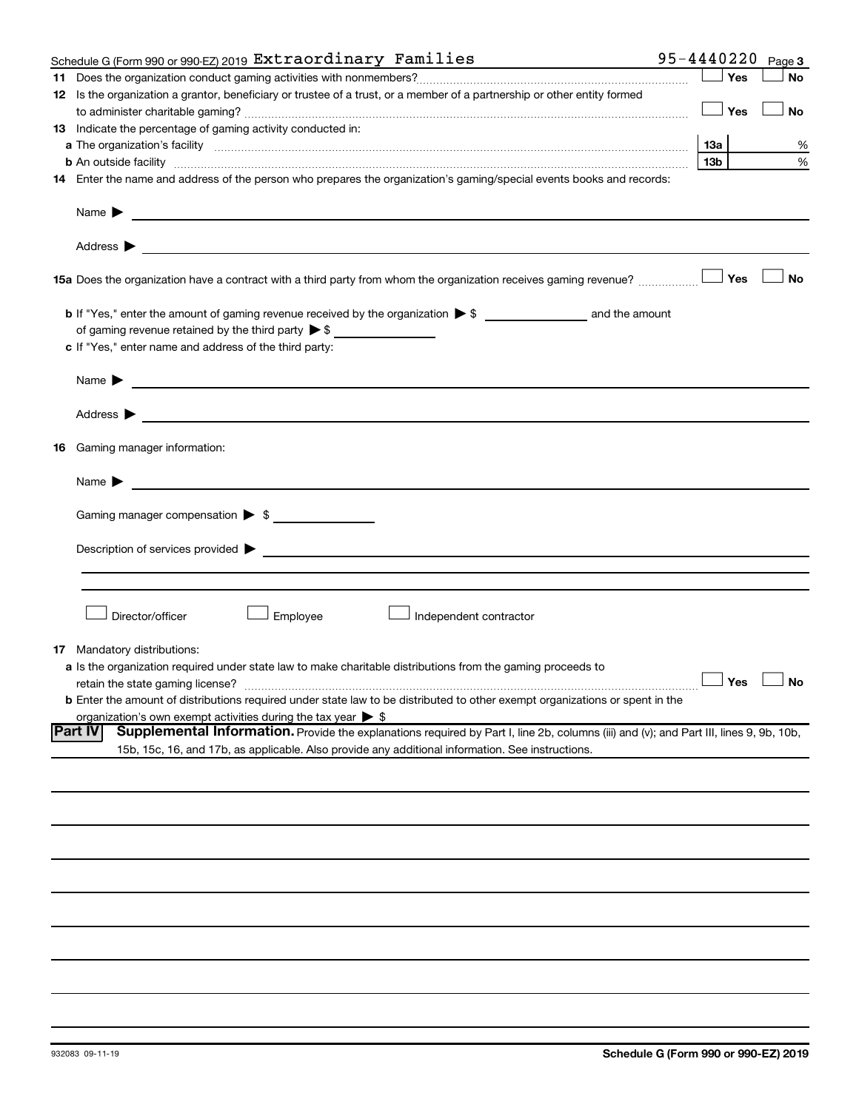|    | Schedule G (Form 990 or 990-EZ) 2019 Extraordinary Families                                                                                                                                                                                                                                                                                                                                  | 95-4440220 |     |     | Page 3               |
|----|----------------------------------------------------------------------------------------------------------------------------------------------------------------------------------------------------------------------------------------------------------------------------------------------------------------------------------------------------------------------------------------------|------------|-----|-----|----------------------|
|    |                                                                                                                                                                                                                                                                                                                                                                                              |            |     | Yes | <b>No</b>            |
|    | 12 Is the organization a grantor, beneficiary or trustee of a trust, or a member of a partnership or other entity formed                                                                                                                                                                                                                                                                     |            |     |     |                      |
|    |                                                                                                                                                                                                                                                                                                                                                                                              |            |     | Yes | <b>No</b>            |
|    | 13 Indicate the percentage of gaming activity conducted in:                                                                                                                                                                                                                                                                                                                                  |            |     |     |                      |
|    |                                                                                                                                                                                                                                                                                                                                                                                              |            | 1За |     | %                    |
|    | <b>b</b> An outside facility <i>www.communicality www.communicality.communicality www.communicality www.communicality.communicality www.communicality.com</i>                                                                                                                                                                                                                                |            | 13b |     | %                    |
|    | 14 Enter the name and address of the person who prepares the organization's gaming/special events books and records:                                                                                                                                                                                                                                                                         |            |     |     |                      |
|    | Name $\blacktriangleright$                                                                                                                                                                                                                                                                                                                                                                   |            |     |     |                      |
|    | <u>and the control of the control of the control of the control of the control of the control of the control of</u><br>Address $\blacktriangleright$<br><u>and the state of the state of the state of the state of the state of the state of the state of the state of the state of the state of the state of the state of the state of the state of the state of the state of the state</u> |            |     |     |                      |
|    | <b>15a</b> Does the organization have a contract with a third party from whom the organization receives gaming revenue? $\ldots$                                                                                                                                                                                                                                                             |            |     |     | <b>No</b>            |
|    |                                                                                                                                                                                                                                                                                                                                                                                              |            |     |     |                      |
|    |                                                                                                                                                                                                                                                                                                                                                                                              |            |     |     |                      |
|    |                                                                                                                                                                                                                                                                                                                                                                                              |            |     |     |                      |
|    | c If "Yes," enter name and address of the third party:                                                                                                                                                                                                                                                                                                                                       |            |     |     |                      |
|    | Name $\blacktriangleright$<br><u>and the contract of the contract of the contract of the contract of the contract of the contract of</u>                                                                                                                                                                                                                                                     |            |     |     |                      |
|    | Address $\blacktriangleright$<br><u>and the control of the control of the control of the control of the control of the control of the control of</u>                                                                                                                                                                                                                                         |            |     |     |                      |
| 16 | Gaming manager information:                                                                                                                                                                                                                                                                                                                                                                  |            |     |     |                      |
|    | <u> 1989 - Johann Stein, mars an de Brazilian (b. 1989)</u><br>Name $\blacktriangleright$                                                                                                                                                                                                                                                                                                    |            |     |     |                      |
|    | Gaming manager compensation > \$                                                                                                                                                                                                                                                                                                                                                             |            |     |     |                      |
|    |                                                                                                                                                                                                                                                                                                                                                                                              |            |     |     |                      |
|    |                                                                                                                                                                                                                                                                                                                                                                                              |            |     |     |                      |
|    |                                                                                                                                                                                                                                                                                                                                                                                              |            |     |     |                      |
|    |                                                                                                                                                                                                                                                                                                                                                                                              |            |     |     |                      |
|    | Director/officer<br>Employee<br>Independent contractor                                                                                                                                                                                                                                                                                                                                       |            |     |     |                      |
|    |                                                                                                                                                                                                                                                                                                                                                                                              |            |     |     |                      |
| 17 | Mandatory distributions:                                                                                                                                                                                                                                                                                                                                                                     |            |     |     |                      |
|    | a Is the organization required under state law to make charitable distributions from the gaming proceeds to<br>retain the state gaming license?                                                                                                                                                                                                                                              |            |     |     | $\Box$ Yes $\Box$ No |
|    | b Enter the amount of distributions required under state law to be distributed to other exempt organizations or spent in the                                                                                                                                                                                                                                                                 |            |     |     |                      |
|    | organization's own exempt activities during the tax year $\triangleright$ \$                                                                                                                                                                                                                                                                                                                 |            |     |     |                      |
|    | Part IV<br>Supplemental Information. Provide the explanations required by Part I, line 2b, columns (iii) and (v); and Part III, lines 9, 9b, 10b,                                                                                                                                                                                                                                            |            |     |     |                      |
|    | 15b, 15c, 16, and 17b, as applicable. Also provide any additional information. See instructions.                                                                                                                                                                                                                                                                                             |            |     |     |                      |
|    |                                                                                                                                                                                                                                                                                                                                                                                              |            |     |     |                      |
|    |                                                                                                                                                                                                                                                                                                                                                                                              |            |     |     |                      |
|    |                                                                                                                                                                                                                                                                                                                                                                                              |            |     |     |                      |
|    |                                                                                                                                                                                                                                                                                                                                                                                              |            |     |     |                      |
|    |                                                                                                                                                                                                                                                                                                                                                                                              |            |     |     |                      |
|    |                                                                                                                                                                                                                                                                                                                                                                                              |            |     |     |                      |
|    |                                                                                                                                                                                                                                                                                                                                                                                              |            |     |     |                      |
|    |                                                                                                                                                                                                                                                                                                                                                                                              |            |     |     |                      |
|    |                                                                                                                                                                                                                                                                                                                                                                                              |            |     |     |                      |
|    |                                                                                                                                                                                                                                                                                                                                                                                              |            |     |     |                      |
|    |                                                                                                                                                                                                                                                                                                                                                                                              |            |     |     |                      |
|    |                                                                                                                                                                                                                                                                                                                                                                                              |            |     |     |                      |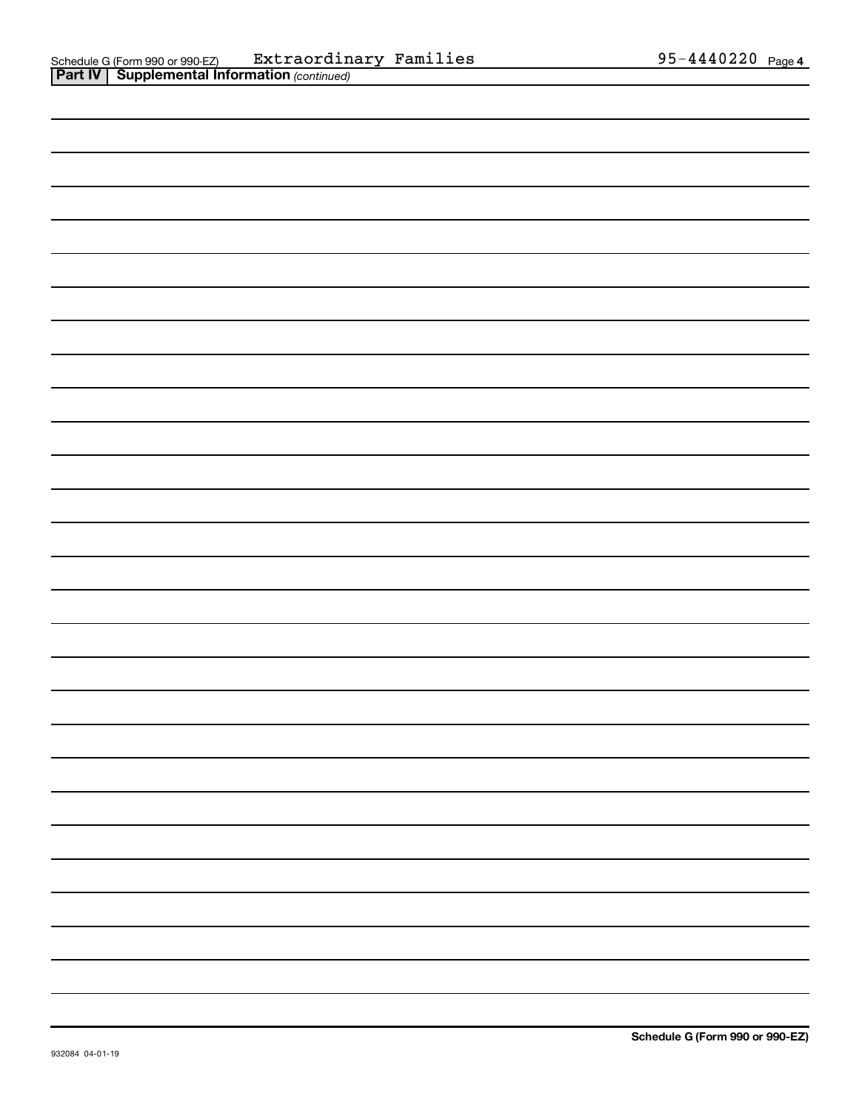| —                        |
|--------------------------|
| —                        |
| $\overline{\phantom{0}}$ |
| —                        |
|                          |
| Ξ.                       |
|                          |
|                          |
| $\overline{\phantom{a}}$ |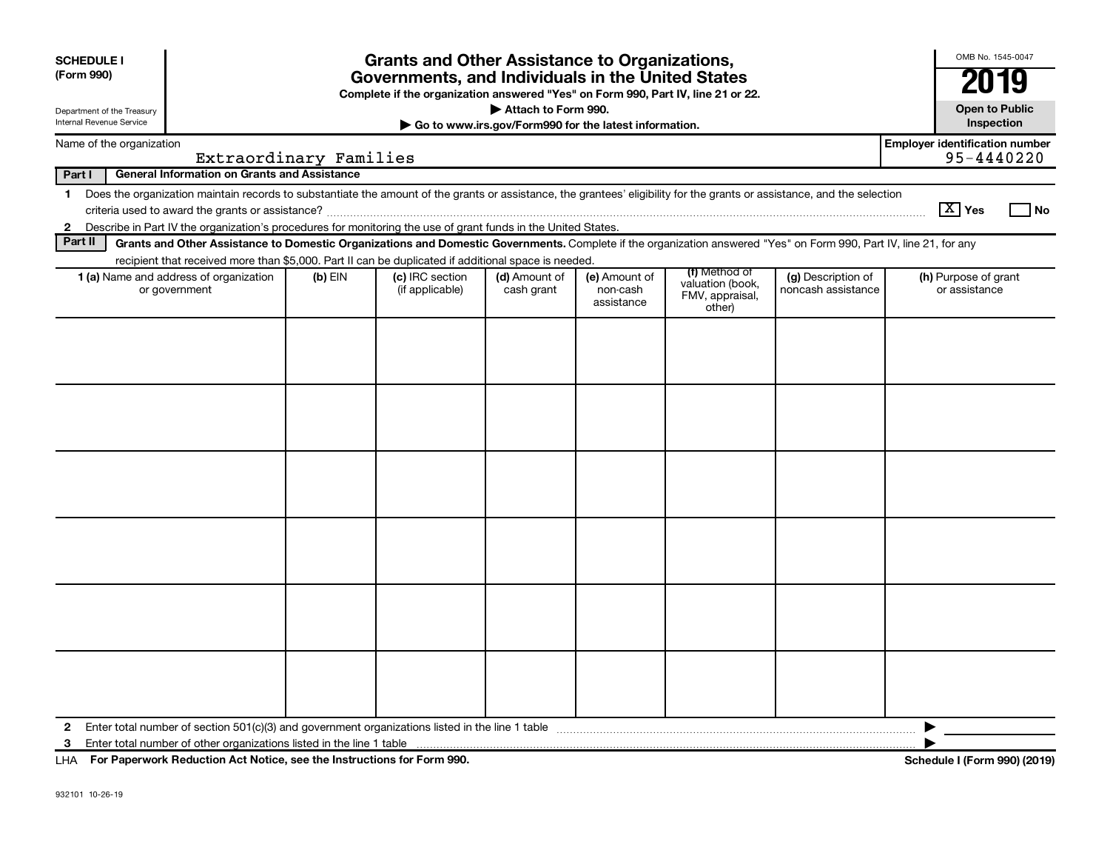| <b>SCHEDULE I</b><br>(Form 990)<br>Department of the Treasury |                                                                                                                                                                                                                                                                                           |                        | <b>Grants and Other Assistance to Organizations,</b><br>Governments, and Individuals in the United States<br>Complete if the organization answered "Yes" on Form 990, Part IV, line 21 or 22. | Attach to Form 990.                                   |                                         |                                                                |                                          | OMB No. 1545-0047<br>20<br>IJ<br><b>Open to Public</b> |
|---------------------------------------------------------------|-------------------------------------------------------------------------------------------------------------------------------------------------------------------------------------------------------------------------------------------------------------------------------------------|------------------------|-----------------------------------------------------------------------------------------------------------------------------------------------------------------------------------------------|-------------------------------------------------------|-----------------------------------------|----------------------------------------------------------------|------------------------------------------|--------------------------------------------------------|
| Internal Revenue Service                                      |                                                                                                                                                                                                                                                                                           |                        |                                                                                                                                                                                               | Go to www.irs.gov/Form990 for the latest information. |                                         |                                                                |                                          | Inspection                                             |
| Name of the organization                                      |                                                                                                                                                                                                                                                                                           | Extraordinary Families |                                                                                                                                                                                               |                                                       |                                         |                                                                |                                          | <b>Employer identification number</b><br>95-4440220    |
| Part I                                                        | <b>General Information on Grants and Assistance</b>                                                                                                                                                                                                                                       |                        |                                                                                                                                                                                               |                                                       |                                         |                                                                |                                          |                                                        |
| 1                                                             | Does the organization maintain records to substantiate the amount of the grants or assistance, the grantees' eligibility for the grants or assistance, and the selection<br>Describe in Part IV the organization's procedures for monitoring the use of grant funds in the United States. |                        |                                                                                                                                                                                               |                                                       |                                         |                                                                |                                          | $ \mathrm{X} $ Yes<br>l No                             |
| $\mathbf{2}$<br>Part II                                       | Grants and Other Assistance to Domestic Organizations and Domestic Governments. Complete if the organization answered "Yes" on Form 990, Part IV, line 21, for any                                                                                                                        |                        |                                                                                                                                                                                               |                                                       |                                         |                                                                |                                          |                                                        |
|                                                               | recipient that received more than \$5,000. Part II can be duplicated if additional space is needed.                                                                                                                                                                                       |                        |                                                                                                                                                                                               |                                                       |                                         |                                                                |                                          |                                                        |
|                                                               | 1 (a) Name and address of organization<br>or government                                                                                                                                                                                                                                   | (b) EIN                | (c) IRC section<br>(if applicable)                                                                                                                                                            | (d) Amount of<br>cash grant                           | (e) Amount of<br>non-cash<br>assistance | (f) Method of<br>valuation (book,<br>FMV, appraisal,<br>other) | (g) Description of<br>noncash assistance | (h) Purpose of grant<br>or assistance                  |
|                                                               |                                                                                                                                                                                                                                                                                           |                        |                                                                                                                                                                                               |                                                       |                                         |                                                                |                                          |                                                        |
|                                                               |                                                                                                                                                                                                                                                                                           |                        |                                                                                                                                                                                               |                                                       |                                         |                                                                |                                          |                                                        |
|                                                               |                                                                                                                                                                                                                                                                                           |                        |                                                                                                                                                                                               |                                                       |                                         |                                                                |                                          |                                                        |
|                                                               |                                                                                                                                                                                                                                                                                           |                        |                                                                                                                                                                                               |                                                       |                                         |                                                                |                                          |                                                        |
|                                                               |                                                                                                                                                                                                                                                                                           |                        |                                                                                                                                                                                               |                                                       |                                         |                                                                |                                          |                                                        |
|                                                               |                                                                                                                                                                                                                                                                                           |                        |                                                                                                                                                                                               |                                                       |                                         |                                                                |                                          |                                                        |
| $\mathbf{2}$                                                  | Enter total number of section $501(c)(3)$ and government organizations listed in the line 1 table                                                                                                                                                                                         |                        |                                                                                                                                                                                               |                                                       |                                         |                                                                |                                          |                                                        |
| 3                                                             | Enter total number of other organizations listed in the line 1 table                                                                                                                                                                                                                      |                        |                                                                                                                                                                                               |                                                       |                                         |                                                                |                                          |                                                        |
|                                                               | LHA For Paperwork Reduction Act Notice, see the Instructions for Form 990.                                                                                                                                                                                                                |                        |                                                                                                                                                                                               |                                                       |                                         |                                                                |                                          | Schedule I (Form 990) (2019)                           |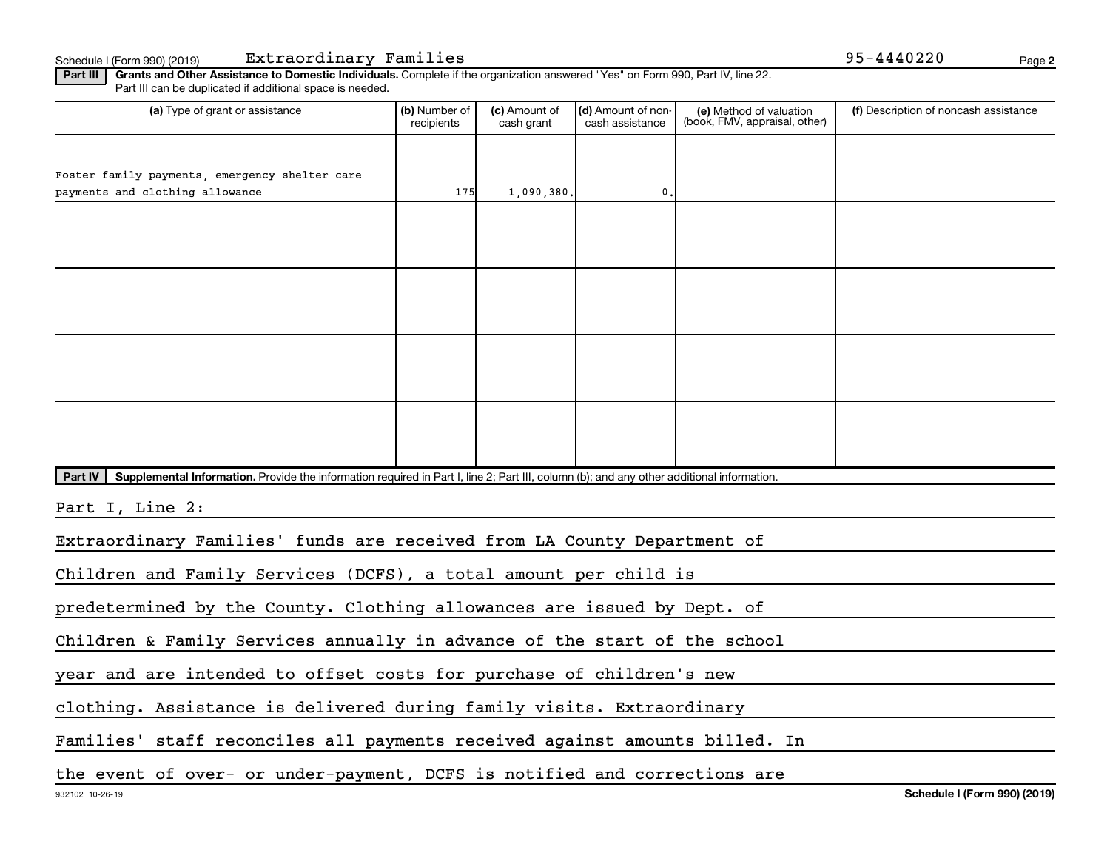**Part III Grants and Other Assistance to Domestic Individuals.**  Complete if the organization answered "Yes" on Form 990, Part IV, line 22. Part III can be duplicated if additional space is needed.

| (a) Type of grant or assistance                                                                                                                     | (b) Number of<br>recipients | (c) Amount of<br>cash grant | (d) Amount of non-<br>cash assistance | (e) Method of valuation<br>(book, FMV, appraisal, other) | (f) Description of noncash assistance |
|-----------------------------------------------------------------------------------------------------------------------------------------------------|-----------------------------|-----------------------------|---------------------------------------|----------------------------------------------------------|---------------------------------------|
|                                                                                                                                                     |                             |                             |                                       |                                                          |                                       |
|                                                                                                                                                     |                             |                             |                                       |                                                          |                                       |
| Foster family payments, emergency shelter care<br>payments and clothing allowance                                                                   | 175                         | 1,090,380.                  | $\mathbf{0}$                          |                                                          |                                       |
|                                                                                                                                                     |                             |                             |                                       |                                                          |                                       |
|                                                                                                                                                     |                             |                             |                                       |                                                          |                                       |
|                                                                                                                                                     |                             |                             |                                       |                                                          |                                       |
|                                                                                                                                                     |                             |                             |                                       |                                                          |                                       |
|                                                                                                                                                     |                             |                             |                                       |                                                          |                                       |
|                                                                                                                                                     |                             |                             |                                       |                                                          |                                       |
|                                                                                                                                                     |                             |                             |                                       |                                                          |                                       |
|                                                                                                                                                     |                             |                             |                                       |                                                          |                                       |
|                                                                                                                                                     |                             |                             |                                       |                                                          |                                       |
|                                                                                                                                                     |                             |                             |                                       |                                                          |                                       |
|                                                                                                                                                     |                             |                             |                                       |                                                          |                                       |
| Part IV   Supplemental Information. Provide the information required in Part I, line 2; Part III, column (b); and any other additional information. |                             |                             |                                       |                                                          |                                       |
| Part I, Line 2:                                                                                                                                     |                             |                             |                                       |                                                          |                                       |
| Extraordinary Families' funds are received from LA County Department of                                                                             |                             |                             |                                       |                                                          |                                       |
| Children and Family Services (DCFS), a total amount per child is                                                                                    |                             |                             |                                       |                                                          |                                       |
| predetermined by the County. Clothing allowances are issued by Dept. of                                                                             |                             |                             |                                       |                                                          |                                       |
| Children & Family Services annually in advance of the start of the school                                                                           |                             |                             |                                       |                                                          |                                       |
| year and are intended to offset costs for purchase of children's new                                                                                |                             |                             |                                       |                                                          |                                       |
|                                                                                                                                                     |                             |                             |                                       |                                                          |                                       |
| clothing. Assistance is delivered during family visits. Extraordinary                                                                               |                             |                             |                                       |                                                          |                                       |
| Families' staff reconciles all payments received against amounts billed. In                                                                         |                             |                             |                                       |                                                          |                                       |

the event of over- or under-payment, DCFS is notified and corrections are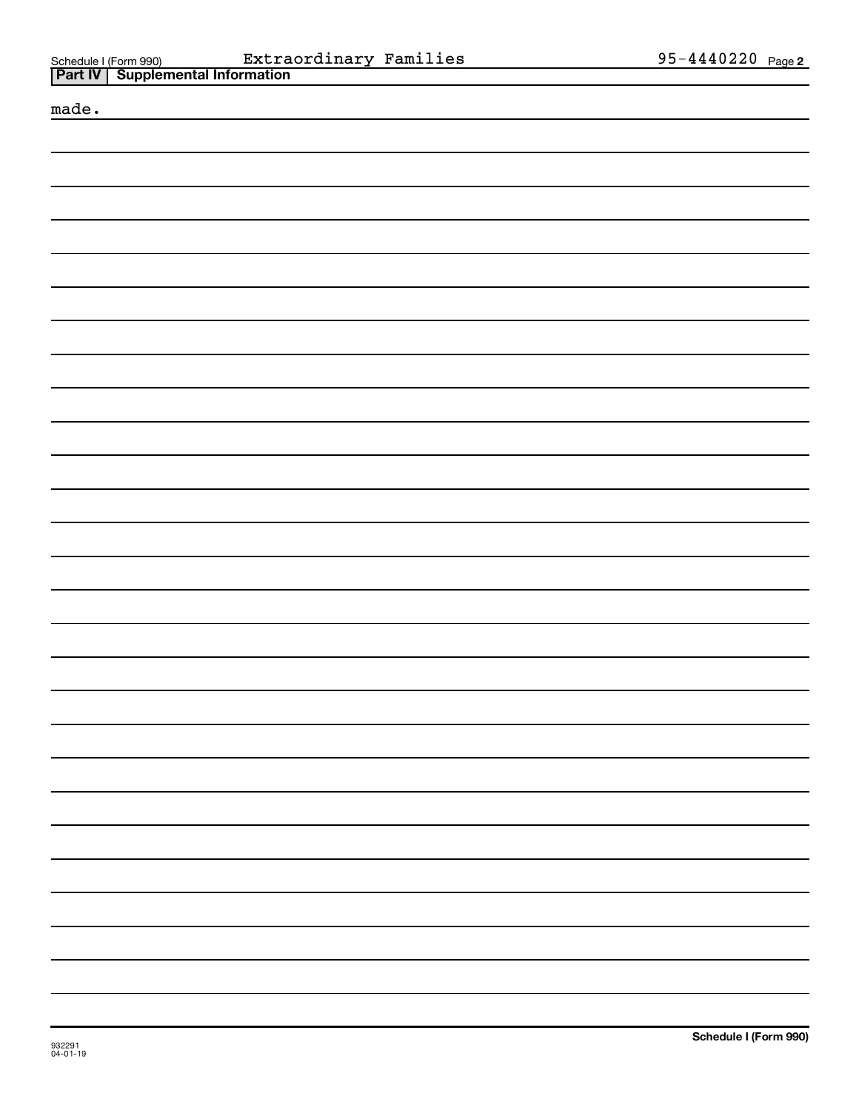| Schedule I (Form 990 |  |
|----------------------|--|
|                      |  |

| -  |  |
|----|--|
| Ш  |  |
| ۰, |  |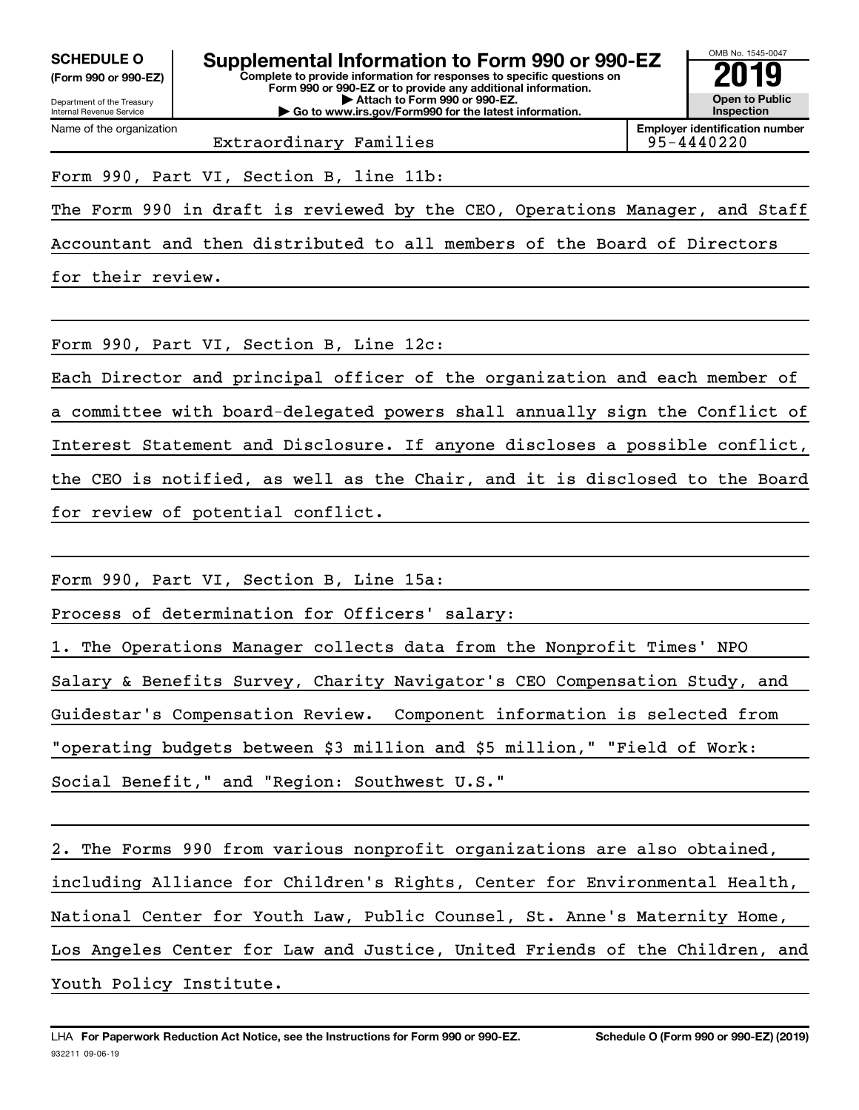**(Form 990 or 990-EZ)**

Name of the organization

**Complete to provide information for responses to specific questions on Form 990 or 990-EZ or to provide any additional information. | Attach to Form 990 or 990-EZ. | Go to www.irs.gov/Form990 for the latest information.** SCHEDULE O **Supplemental Information to Form 990 or 990-EZ** 2019<br>(Form 990 or 990-EZ)



**Employer identification number**

Extraordinary Families

Form 990, Part VI, Section B, line 11b:

The Form 990 in draft is reviewed by the CEO, Operations Manager, and Staff Accountant and then distributed to all members of the Board of Directors

for their review.

Form 990, Part VI, Section B, Line 12c:

Each Director and principal officer of the organization and each member of a committee with board-delegated powers shall annually sign the Conflict of Interest Statement and Disclosure. If anyone discloses a possible conflict, the CEO is notified, as well as the Chair, and it is disclosed to the Board for review of potential conflict.

Form 990, Part VI, Section B, Line 15a:

Process of determination for Officers' salary:

1. The Operations Manager collects data from the Nonprofit Times' NPO

Salary & Benefits Survey, Charity Navigator's CEO Compensation Study, and

Guidestar's Compensation Review. Component information is selected from

"operating budgets between \$3 million and \$5 million," "Field of Work:

Social Benefit," and "Region: Southwest U.S."

2. The Forms 990 from various nonprofit organizations are also obtained, including Alliance for Children's Rights, Center for Environmental Health, National Center for Youth Law, Public Counsel, St. Anne's Maternity Home, Los Angeles Center for Law and Justice, United Friends of the Children, and Youth Policy Institute.